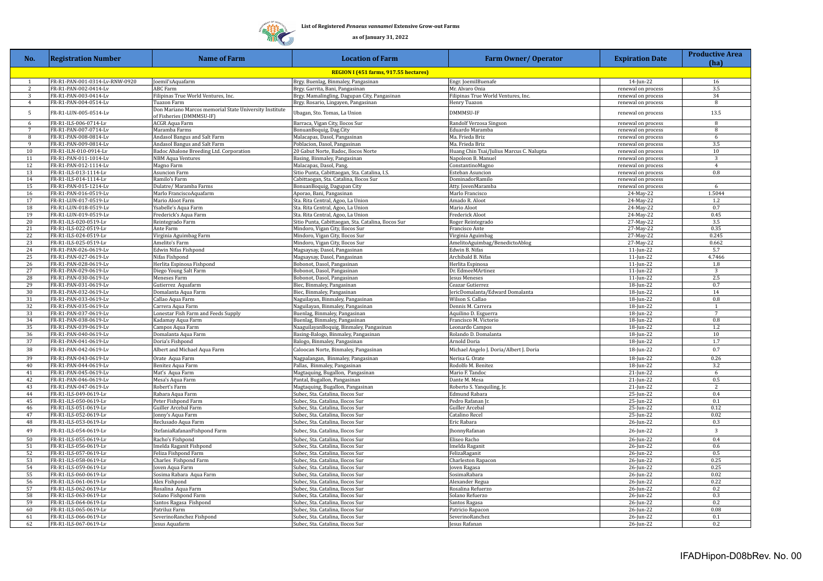## **List of Registered** *Penaeus vannamei* **Extensive Grow-out Farms**

**TING** 

**as of January 31, 2022**

| No.                                   | <b>Registration Number</b>                     | <b>Name of Farm</b>                                                                | <b>Location of Farm</b>                                                                | <b>Farm Owner/ Operator</b>              | <b>Expiration Date</b>                   | <b>Productive Area</b><br>(ha) |  |  |  |
|---------------------------------------|------------------------------------------------|------------------------------------------------------------------------------------|----------------------------------------------------------------------------------------|------------------------------------------|------------------------------------------|--------------------------------|--|--|--|
| REGION I (451 farms, 917.55 hectares) |                                                |                                                                                    |                                                                                        |                                          |                                          |                                |  |  |  |
| $\overline{1}$                        | FR-R1-PAN-001-0314-Lv-RNW-0920                 | Joemil'sAquafarm                                                                   | Brgy. Buenlag, Binmaley, Pangasinan                                                    | Engr. JoemilBuenafe                      | $14$ -Jun-22                             | 16                             |  |  |  |
| 2                                     | FR-R1-PAN-002-0414-Lv                          | ABC Farm                                                                           | Brgy. Garrita, Bani, Pangasinan                                                        | Mr. Alvaro Onia                          | renewal on process                       | 3.5                            |  |  |  |
| 3                                     | FR-R1-PAN-003-0414-Lv                          | Filipinas True World Ventures, Inc.                                                | Brgy. Mamalingling, Dagupan City, Pangasinan                                           | Filipinas True World Ventures, Inc.      | renewal on process                       | 34                             |  |  |  |
| $\overline{4}$                        | FR-R1-PAN-004-0514-Lv                          | Tuazon Farm                                                                        | Brgy. Rosario, Lingayen, Pangasinan                                                    | Henry Tuazon                             | renewal on process                       | 8                              |  |  |  |
| $5 -$                                 | FR-R1-LUN-005-0514-Lv                          | Don Mariano Marcos memorial State University Institute<br>of Fisheries (DMMMSU-IF) | Ubagan, Sto. Tomas, La Union                                                           | DMMMSU-IF                                | renewal on process                       | 13.5                           |  |  |  |
| 6                                     | FR-R1-ILS-006-0714-Lv                          | <b>ACGR Aqua Farm</b>                                                              | Barraca, Vigan City, Ilocos Sur                                                        | Randolf Verzosa Singson                  | renewal on process                       | 8                              |  |  |  |
| $7\overline{ }$                       | FR-R1-PAN-007-0714-Lv                          | Maramba Farms                                                                      | BonuanBoquig, Dag.City                                                                 | Eduardo Maramba                          | renewal on process                       | 8                              |  |  |  |
| 8<br>9                                | FR-R1-PAN-008-0814-Lv<br>FR-R1-PAN-009-0814-Lv | Andasol Bangus and Salt Farm<br>Andasol Bangus and Salt Farm                       | Malacapas, Dasol, Pangasinan                                                           | Ma. Frieda Briz<br>Ma. Frieda Briz       | renewal on process                       | 6<br>3.5                       |  |  |  |
| 10                                    | FR-R1-ILN-010-0914-Lv                          | Badoc Abalone Breeding Ltd. Corporation                                            | Poblacion, Dasol, Pangasinan<br>20 Gabut Norte, Badoc, Ilocos Norte                    | Huang Chin Tsai/Julius Marcus C. Nalupta | renewal on process<br>renewal on process | 10 <sup>1</sup>                |  |  |  |
| 11                                    | FR-R1-PAN-011-1014-Lv                          | NBM Aqua Ventures                                                                  | Basing, Binmaley, Pangasinan                                                           | Napoleon B. Manuel                       | renewal on process                       | $\overline{3}$                 |  |  |  |
| 12                                    | FR-R1-PAN-012-1114-Lv                          | Magno Farm                                                                         | Malacapas, Dasol, Pang.                                                                | ConstantinoMagno                         | renewal on process                       | $\overline{4}$                 |  |  |  |
| 13                                    | FR-R1-ILS-013-1114-Lv                          | Asuncion Farm                                                                      | Sitio Punta, Cabittaogan, Sta. Catalina, I.S.                                          | Esteban Asuncion                         | renewal on process                       | 0.8                            |  |  |  |
| 14                                    | FR-R1-ILS-014-1114-Lv                          | Ramilo's Farm                                                                      | Cabittaogan, Sta. Catalina, Ilocos Sur                                                 | DominadorRamilo                          | renewal on process                       |                                |  |  |  |
| 15                                    | FR-R1-PAN-015-1214-Lv                          | Dulatre/ Maramba Farms                                                             | BonuanBoquig, Dagupan City                                                             | Atty. JovenMaramba                       | renewal on process                       | 6                              |  |  |  |
| 16                                    | FR-R1-PAN-016-0519-Lv                          | Marlo FranciscoAquafarm                                                            | Aporao, Bani, Pangasinan                                                               | Marlo Francisco                          | 24-May-22                                | 1.5044                         |  |  |  |
| 17                                    | FR-R1-LUN-017-0519-Lv                          | Mario Aloot Farm                                                                   | Sta. Rita Central, Agoo, La Union                                                      | Amado R. Aloot                           | 24-May-22                                | 1.2                            |  |  |  |
| 18                                    | FR-R1-LUN-018-0519-Lv                          | Ysabelle's Aqua Farm                                                               | Sta. Rita Central, Agoo, La Union                                                      | Mario Aloot                              | 24-May-22                                | 0.7                            |  |  |  |
| 19                                    | FR-R1-LUN-019-0519-Lv                          | Frederick's Aqua Farm                                                              | Sta. Rita Central, Agoo, La Union                                                      | Frederick Aloot                          | 24-May-22                                | 0.45                           |  |  |  |
| 20<br>21                              | FR-R1-ILS-020-0519-Lv<br>FR-R1-ILS-022-0519-Lv | Reintegrado Farm<br>Ante Farm                                                      | Sitio Punta, Cabittaogan, Sta. Catalina, Ilocos Sur<br>Mindoro, Vigan City, Ilocos Sur | Roger Reintegrado<br>Francisco Ante      | 27-May-22<br>27-May-22                   | 3.5<br>0.35                    |  |  |  |
| 22                                    | FR-R1-ILS-024-0519-Lv                          | Virginia Aguimbag Farm                                                             | Mindoro, Vigan City, Ilocos Sur                                                        | Virginia Aguimbag                        | 27-May-22                                | 0.245                          |  |  |  |
| 23                                    | FR-R1-ILS-025-0519-Lv                          | Amelito's Farm                                                                     | Mindoro, Vigan City, Ilocos Sur                                                        | AmelitoAguimbag/BenedictoAblog           | 27-May-22                                | 0.662                          |  |  |  |
| 24                                    | FR-R1-PAN-026-0619-Lv                          | Edwin Nifas Fishpond                                                               | Magsaysay, Dasol, Pangasinan                                                           | Edwin B. Nifas                           | 11-Jun-22                                | 5.7                            |  |  |  |
| 25                                    | FR-R1-PAN-027-0619-Lv                          | Nifas Fishpond                                                                     | Magsaysay, Dasol, Pangasinan                                                           | Archibald B. Nifas                       | $11$ -Jun-22                             | 4.7466                         |  |  |  |
| 26                                    | FR-R1-PAN-028-0619-Lv                          | Herlita Espinosa Fishpond                                                          | Bobonot, Dasol, Pangasinan                                                             | Herlita Espinosa                         | 11-Jun-22                                | $1.8\,$                        |  |  |  |
| 27                                    | FR-R1-PAN-029-0619-Lv                          | Diego Young Salt Farm                                                              | Bobonot, Dasol, Pangasinan                                                             | Dr. EdmeeMArtinez                        | 11-Jun-22                                | 3                              |  |  |  |
| 28                                    | FR-R1-PAN-030-0619-Lv                          | Meneses Farm                                                                       | Bobonot, Dasol, Pangasinan                                                             | Jesus Meneses                            | 11-Jun-22                                | $2.5\,$                        |  |  |  |
| 29                                    | FR-R1-PAN-031-0619-Lv                          | Gutierrez Aquafarm                                                                 | Biec, Binmaley, Pangasinan                                                             | Ceazar Gutierrez                         | 18-Jun-22                                | 0.7                            |  |  |  |
| 30                                    | FR-R1-PAN-032-0619-Lv                          | Domalanta Aqua Farm                                                                | Biec, Binmaley, Pangasinan                                                             | JericDomalanta/Edward Domalanta          | 18-Jun-22                                | 14                             |  |  |  |
| 31<br>32                              | FR-R1-PAN-033-0619-Lv<br>FR-R1-PAN-035-0619-Lv | Callao Aqua Farm<br>Carrera Aqua Farm                                              | Naguilayan, Binmaley, Pangasinan                                                       | Wilson S. Callao<br>Dennis M. Carrera    | 18-Jun-22<br>18-Jun-22                   | 0.8<br><sup>1</sup>            |  |  |  |
| 33                                    | FR-R1-PAN-037-0619-Lv                          | Lonestar Fish Farm and Feeds Supply                                                | Naguilayan, Binmaley, Pangasinan<br>Buenlag, Binmaley, Pangasinan                      | Aquilino D. Esguerra                     | 18-Jun-22                                | $\overline{7}$                 |  |  |  |
| 34                                    | FR-R1-PAN-038-0619-Lv                          | Kadamay Aqua Farm                                                                  | Buenlag, Binmaley, Pangasinan                                                          | Francisco M. Victorio                    | 18-Jun-22                                | 0.8                            |  |  |  |
| 35                                    | FR-R1-PAN-039-0619-Lv                          | Campos Aqua Farm                                                                   | NaaguilayanBoquig, Binmaley, Pangasinan                                                | Leonardo Campos                          | 18-Jun-22                                | 1.2                            |  |  |  |
| 36                                    | FR-R1-PAN-040-0619-Lv                          | Domalanta Aqua Farm                                                                | Basing-Balogo, Binmaley, Pangasinan                                                    | Rolando D. Domalanta                     | 18-Jun-22                                | 10                             |  |  |  |
| 37                                    | FR-R1-PAN-041-0619-Lv                          | Doria's Fishpond                                                                   | Balogo, Binmaley, Pangasinan                                                           | Arnold Doria                             | 18-Jun-22                                | 1.7                            |  |  |  |
| 38                                    | FR-R1-PAN-042-0619-Lv                          | Albert and Michael Aqua Farm                                                       | Caloocan Norte, Binmaley, Pangasinan                                                   | Michael Angelo J. Doria/Albert J. Doria  | 18-Jun-22                                | 0.7                            |  |  |  |
| 39                                    | FR-R1-PAN-043-0619-Lv                          | Orate Aqua Farm                                                                    | Nagpalangan, Binmaley, Pangasinan                                                      | Nerisa G. Orate                          | 18-Jun-22                                | 0.26                           |  |  |  |
| 40                                    | FR-R1-PAN-044-0619-Lv                          | Benitez Aqua Farm                                                                  | Pallas, Binmaley, Pangasinan                                                           | Rodolfo M. Benitez                       | 18-Jun-22                                | 3.2                            |  |  |  |
| 41<br>42                              | FR-R1-PAN-045-0619-Lv<br>FR-R1-PAN-046-0619-Lv | Mat's Aqua Farm                                                                    | Magtaquing, Bugallon, Pangasinan<br>Pantal, Bugallon, Pangasinan                       | Mario F. Tandoc<br>Dante M. Mesa         | 21-Jun-22<br>21-Jun-22                   | 6<br>0.5                       |  |  |  |
| 43                                    | FR-R1-PAN-047-0619-Lv                          | Mesa's Aqua Farm<br>Robert's Farm                                                  | Magtaquing, Bugallon, Pangasinan                                                       | Roberto S. Yanquiling, Jr.               | 21-Jun-22                                | 2                              |  |  |  |
| 44                                    | FR-R1-ILS-049-0619-Lv                          | Rabara Aqua Farm                                                                   | Subec, Sta. Catalina, Ilocos Sur                                                       | Edmund Rabara                            | 25-Jun-22                                | 0.4                            |  |  |  |
| 45                                    | FR-R1-ILS-050-0619-Lv                          | Peter Fishpond Farm                                                                | Subec, Sta. Catalina, Ilocos Sur                                                       | Pedro Rafanan J                          | 25-Jun-22                                | 0.1                            |  |  |  |
| 46                                    | FR-R1-ILS-051-0619-Lv                          | Guiller Arcebal Farm                                                               | Subec, Sta. Catalina, Ilocos Sur                                                       | Guiller Arcebal                          | 25-Jun-22                                | 0.12                           |  |  |  |
| 47                                    | FR-R1-ILS-052-0619-Lv                          | Jonny's Aqua Farm                                                                  | Subec, Sta. Catalina, Ilocos Sur                                                       | Catalino Recel                           | 25-Jun-22                                | 0.02                           |  |  |  |
| 48                                    | FR-R1-ILS-053-0619-Lv                          | Reclusado Aqua Farm                                                                | Subec, Sta. Catalina, Ilocos Sur                                                       | Eric Rabara                              | 26-Jun-22                                | 0.3                            |  |  |  |
| 49                                    | FR-R1-ILS-054-0619-Lv                          | StefaniaRafananFishpond Farm                                                       | Subec, Sta. Catalina, Ilocos Sur                                                       | JhonnyRafanan                            | 26-Jun-22                                | 3                              |  |  |  |
| 50                                    | FR-R1-ILS-055-0619-Lv                          | Racho's Fishpond                                                                   | Subec, Sta. Catalina, Ilocos Sur                                                       | Eliseo Racho                             | 26-Jun-22                                | 0.4                            |  |  |  |
| 51                                    | FR-R1-ILS-056-0619-Lv                          | Imelda Raganit Fishpond                                                            | Subec, Sta. Catalina, Ilocos Sur                                                       | Imelda Raganit                           | 26-Jun-22                                | 0.6                            |  |  |  |
| 52                                    | FR-R1-ILS-057-0619-Lv                          | Feliza Fishpond Farm                                                               | Subec, Sta. Catalina, Ilocos Sur                                                       | FelizaRaganit                            | 26-Jun-22                                | 0.5                            |  |  |  |
| 53                                    | FR-R1-ILS-058-0619-Lv                          | Charles Fishpond Farm                                                              | Subec, Sta. Catalina, Ilocos Sur                                                       | Charleston Rapacon                       | 26-Jun-22                                | 0.25                           |  |  |  |
| 54                                    | FR-R1-ILS-059-0619-Lv                          | Joven Aqua Farm                                                                    | Subec, Sta. Catalina, Ilocos Sur                                                       | Joven Ragasa                             | 26-Jun-22                                | 0.25                           |  |  |  |
| 55                                    | FR-R1-ILS-060-0619-Lv                          | Sosima Rabara Aqua Farm                                                            | Subec, Sta. Catalina, Ilocos Sur                                                       | SosimaRabara                             | 26-Jun-22                                | 0.02                           |  |  |  |
| 56<br>57                              | FR-R1-ILS-061-0619-Lv<br>FR-R1-ILS-062-0619-Lv | Alex Fishpond<br>Rosalina Aqua Farm                                                | Subec, Sta. Catalina, Ilocos Sur<br>Subec, Sta. Catalina, Ilocos Sur                   | Alexander Regua<br>Rosalina Refuerzo     | 26-Jun-22<br>26-Jun-22                   | 0.22<br>0.2                    |  |  |  |
| 58                                    | FR-R1-ILS-063-0619-Lv                          | Solano Fishpond Farm                                                               | Subec, Sta. Catalina, Ilocos Sur                                                       | Solano Refuerzo                          | 26-Jun-22                                | 0.3                            |  |  |  |
| 59                                    | FR-R1-ILS-064-0619-Lv                          | Santos Ragasa Fishpond                                                             | Subec, Sta. Catalina, Ilocos Sur                                                       | Santos Ragasa                            | 26-Jun-22                                | 0.2                            |  |  |  |
| 60                                    | FR-R1-ILS-065-0619-Lv                          | Patriluz Farm                                                                      | Subec, Sta. Catalina, Ilocos Sur                                                       | Patricio Rapacon                         | 26-Jun-22                                | 0.08                           |  |  |  |
| 61                                    | FR-R1-ILS-066-0619-Lv                          | SeverinoRanchez Fishpond                                                           | Subec, Sta. Catalina, Ilocos Sur                                                       | SeverinoRanchez                          | 26-Jun-22                                | 0.1                            |  |  |  |
| 62                                    | FR-R1-ILS-067-0619-Lv                          | Jesus Aquafarm                                                                     | Subec, Sta. Catalina, Ilocos Sur                                                       | Jesus Rafanan                            | 26-Jun-22                                | 0.2                            |  |  |  |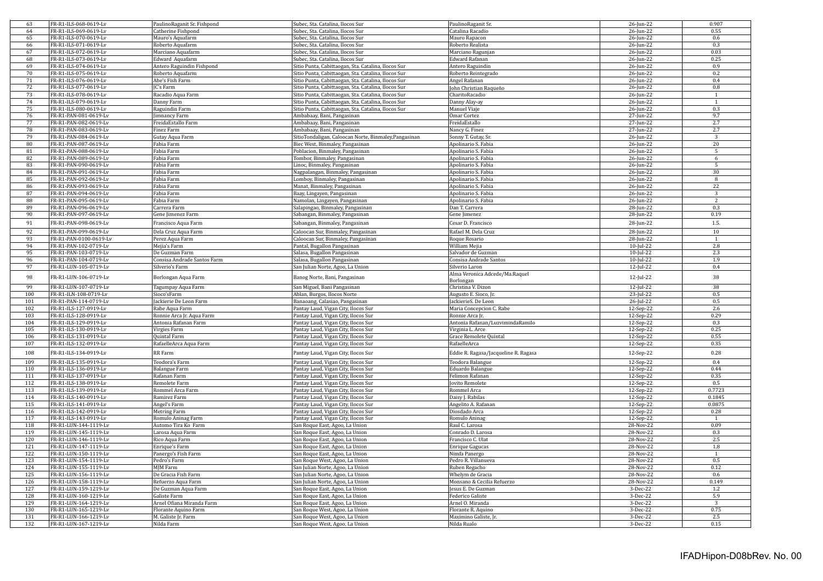| 63              | FR-R1-ILS-068-0619-Lv                          | PaulinoRaganit Sr. Fishpond       | Subec, Sta. Catalina, Ilocos Sur                                 | PaulinoRaganit Sr.                   | 26-Jun-22              | 0.907          |
|-----------------|------------------------------------------------|-----------------------------------|------------------------------------------------------------------|--------------------------------------|------------------------|----------------|
| 64              | FR-R1-ILS-069-0619-Lv                          | Catherine Fishpond                | Subec, Sta. Catalina, Ilocos Sur                                 | Catalina Racadio                     | 26-Jun-22              | 0.55           |
| 65              | FR-R1-ILS-070-0619-Lv                          | Mauro's Aquafarm                  | Subec, Sta. Catalina, Ilocos Sur                                 | Mauro Rapacon                        | 26-Jun-22              | 0.6            |
| 66              | FR-R1-ILS-071-0619-Lv                          | Roberto Aquafarm                  | Subec, Sta, Catalina, Ilocos Sur                                 | Roberto Realista                     | 26-Jun-22              | 0.3            |
| 67              | FR-R1-ILS-072-0619-Lv                          | Marciano Aquafarm                 | Subec, Sta. Catalina, Ilocos Sur                                 | Marciano Ragunjan                    | 26-Jun-22              | 0.03           |
| 68              | FR-R1-ILS-073-0619-Lv                          | Edward Aquafarm                   | Subec, Sta. Catalina, Ilocos Sur                                 | Edward Rafanan                       | 26-Jun-22              | 0.25           |
| 69              | FR-R1-ILS-074-0619-Lv                          | Antero Raguindin Fishpond         | Sitio Punta, Cabittaogan, Sta. Catalina, Ilocos Sur              | Antero Raguindin                     | 26-Jun-22              | 0.9            |
| 70              | FR-R1-ILS-075-0619-Lv                          | Roberto Aquafarm                  | Sitio Punta, Cabittaogan, Sta. Catalina, Ilocos Sur              | Roberto Reintegrado                  | 26-Jun-22              | 0.2            |
| 71              | FR-R1-ILS-076-0619-Lv                          | Abe's Fish Farm                   | Sitio Punta, Cabittaogan, Sta. Catalina, Ilocos Sur              | Angel Rafanan                        | 26-Jun-22              | 0.4            |
| 72              | FR-R1-ILS-077-0619-Lv                          | <b>IC's Farm</b>                  | Sitio Punta, Cabittaogan, Sta. Catalina, Ilocos Sur              | John Christian Raqueño               | 26-Jun-22              | 0.8            |
| 73              | FR-R1-ILS-078-0619-Lv                          | Racadio Aqua Farm                 | Sitio Punta, Cabittaogan, Sta. Catalina, Ilocos Sur              | CharitoRacadio                       | 26-Jun-22              | $\overline{1}$ |
| 74              | FR-R1-ILS-079-0619-Lv                          | Danny Farm                        | Sitio Punta, Cabittaogan, Sta. Catalina, Ilocos Sur              | Danny Alay-ay                        | 26-Jun-22              | $\mathbf{1}$   |
|                 |                                                |                                   |                                                                  |                                      |                        |                |
| $\overline{75}$ | FR-R1-ILS-080-0619-Lv                          | Raguindin Farm                    | Sitio Punta, Cabittaogan, Sta. Catalina, Ilocos Sur              | Manuel Viaje                         | 26-Jun-22              | 0.3            |
| 76              | FR-R1-PAN-081-0619-Lv                          | Jimnancy Farm                     | Ambabaay, Bani, Pangasinan                                       | Omar Cortez                          | 27-Jun-22              | 9.7            |
| 77              | FR-R1-PAN-082-0619-Lv                          | FreidaEstallo Farm                | Ambabaay, Bani, Pangasinan                                       | FreidaEstallo                        | 27-Jun-22              | 2.7            |
| 78              | FR-R1-PAN-083-0619-Lv                          | Finez Farm                        | Ambabaay, Bani, Pangasinan                                       | Nancy G. Finez                       | 27-Jun-22              | 2.7            |
| 79              | FR-R1-PAN-084-0619-Lv                          | Gutay Aqua Farm                   | SitioTondaligan, Caloocan Norte, Binmaley, Pangasinan            | Sonny T. Gutay, Sr.                  | 26-Jun-22              | 3              |
| 80              | FR-R1-PAN-087-0619-Lv                          | Fabia Farm                        | Biec West, Binmaley, Pangasinan                                  | Apolinario S. Fabia                  | 26-Jun-22              | 20             |
| 81              | FR-R1-PAN-088-0619-Lv                          | Fabia Farm                        | Poblacion, Binmaley, Pangasinan                                  | Apolinario S. Fabia                  | 26-Jun-22              | 5              |
| 82              | FR-R1-PAN-089-0619-Lv                          | Fabia Farm                        | Tombor, Binmaley, Pangasinan                                     | Apolinario S. Fabia                  | 26-Jun-22              | 6              |
| 83              | FR-R1-PAN-090-0619-Lv                          | Fabia Farm                        | Linoc, Binmaley, Pangasinan                                      | Apolinario S. Fabia                  | 26-Jun-22              | 5              |
| 84              | FR-R1-PAN-091-0619-Lv                          | Fabia Farm                        | Nagpalangan, Binmaley, Pangasinan                                | Apolinario S. Fabia                  | 26-Jun-22              | 30             |
| 85              | FR-R1-PAN-092-0619-Lv                          | Fabia Farm                        | Lomboy, Binmaley, Pangasinan                                     | Apolinario S. Fabia                  | 26-Jun-22              | 8              |
| 86              | FR-R1-PAN-093-0619-Lv                          | Fabia Farm                        | Manat, Binmaley, Pangasinan                                      | Apolinario S. Fabia                  | 26-Jun-22              | 22             |
| 87              | FR-R1-PAN-094-0619-Lv                          | Fabia Farm                        | Baay, Lingayen, Pangasinan                                       | Apolinario S. Fabia                  | 26-Jun-22              | $\overline{3}$ |
|                 |                                                |                                   |                                                                  |                                      |                        | $\overline{2}$ |
| 88<br>89        | FR-R1-PAN-095-0619-Lv                          | Fabia Farm                        | Namolan, Lingayen, Pangasinan                                    | Apolinario S. Fabia                  | 26-Jun-22              | 0.3            |
|                 | FR-R1-PAN-096-0619-Lv                          | Carrera Farm                      | Salapingao, Binmaley, Pangasinan                                 | Dan T. Carrera                       | 28-Jun-22              |                |
| 90              | FR-R1-PAN-097-0619-Lv                          | Gene Jimenez Farm                 | Sabangan, Binmaley, Pangasinan                                   | Gene Jimenez                         | 28-Jun-22              | 0.19           |
| 91              | FR-R1-PAN-098-0619-Lv                          | Francisco Aqua Farm               | Sabangan, Binmaley, Pangasinan                                   | Cesar D. Francisco                   | 28-Jun-22              | 1.5.           |
| 92              | FR-R1-PAN-099-0619-Lv                          | Dela Cruz Aqua Farm               | Caloocan Sur, Binmaley, Pangasinan                               | Rafael M. Dela Cruz                  | $28$ -Jun-22           | 10             |
| 93              | FR-R1-PAN-0100-0619-Lv                         | Perez Aqua Farm                   | Caloocan Sur, Binmaley, Pangasinan                               | Roque Rosario                        | 28-Jun-22              | $\overline{1}$ |
| 94              | FR-R1-PAN-102-0719-Lv                          | Mejia's Farm                      | Pantal, Bugallon Pangasinan                                      | William Mejia                        | 10-Jul-22              | 2.8            |
| 95              | FR-R1-PAN-103-0719-Lv                          | De Guzman Farm                    |                                                                  |                                      |                        | 2.3            |
|                 |                                                |                                   | Salasa, Bugallon Pangasinan                                      | Salvador de Guzman                   | 10-Jul-22              |                |
| 96              | FR-R1-PAN-104-0719-Lv                          | Consisa Andrade Santos Farm       | Salasa, Bugallon Pangasinan                                      | Consisa Andrade Santos               | $10$ -Jul-22           | 1.9            |
| 97              | FR-R1-LUN-105-0719-Lv                          | Silverio's Farm                   | San Julian Norte, Agoo, La Union                                 | Silverio Laron                       | $12$ -Jul-22           | 0.4            |
| 98              | FR-R1-LUN-106-0719-Lv                          | Borlongan Aqua Farm               | Banog Norte, Bani, Pangasinan                                    | Alma Veronica Adcede/Ma.Raquel       | 12-Jul-22              | 38             |
|                 |                                                |                                   |                                                                  | Borlongan                            |                        |                |
| 99              | FR-R1-LUN-107-0719-Lv                          | Tagumpay Aqua Farm                | San Miguel, Bani Pangasinan                                      | Christina V. Dizon                   | 12-Jul-22              | 38             |
| 100             | FR-R1-ILN-108-0719-Lv                          | Sioco'sFarm                       | Ablan, Burgos, Ilocos Norte                                      | Augusto E. Sioco, Jr.                | 23-Jul-22              | 0.5            |
| 101             | FR-R1-PAN-114-0719-Lv                          | Jackierie De Leon Farm            | Banaoang, Calasiao, Pangasinan                                   | JackierieS. De Leon                  | 26-Jul-22              | 0.5            |
| 102             | FR-R1-ILS-127-0919-Lv                          | Rabe Aqua Farm                    | Pantay Laud, Vigan City, Ilocos Sur                              | Maria Concepcion C. Rabe             | 12-Sep-22              | 2.6            |
| 103             | FR-R1-ILS-128-0919-Lv                          | Ronnie Arca Jr. Aqua Farm         | Pantay Laud, Vigan City, Ilocos Sur                              | Ronnie Arca Jr.                      | 12-Sep-22              | 0.29           |
| 104             | FR-R1-ILS-129-0919-Lv                          | Antonia Rafanan Farm              | Pantay Laud, Vigan City, Ilocos Sur                              | Antonia Rafanan/LuzvimindaRamilo     | 12-Sep-22              | 0.3            |
| 105             | FR-R1-ILS-130-0919-Lv                          | Virgies Farm                      | Pantay Laud, Vigan City, Ilocos Sur                              | Virginia L. Arce                     | 12-Sep-22              | 0.25           |
| 106             | FR-R1-ILS-131-0919-Lv                          | Quintal Farm                      | Pantay Laud, Vigan City, Ilocos Sur                              | Grace Remolete Quintal               | 12-Sep-22              | 0.55           |
| 107             | FR-R1-ILS-132-0919-Lv                          | RafaelleArca Aqua Farm            | Pantay Laud, Vigan City, Ilocos Sur                              | RafaelleArca                         | 12-Sep-22              | 0.35           |
|                 |                                                |                                   |                                                                  |                                      |                        |                |
| 108             | FR-R1-ILS-134-0919-Lv                          | RR Farm                           | Pantay Laud, Vigan City, Ilocos Sur                              | Eddie R. Ragasa/Jacqueline R. Ragasa | 12-Sep-22              | 0.28           |
| 109             | FR-R1-ILS-135-0919-Lv                          | Teodora's Farm                    | Pantay Laud, Vigan City, Ilocos Sur                              | Teodora Balangue                     | 12-Sep-22              | 0.4            |
| 110             | FR-R1-ILS-136-0919-Lv                          | <b>Balangue Farm</b>              | Pantay Laud, Vigan City, Ilocos Sur                              | Eduardo Balangue                     | 12-Sep-22              | 0.44           |
| 111             | FR-R1-ILS-137-0919-Lv                          | Rafanan Farm                      | Pantay Laud, Vigan City, Ilocos Sur                              | Felimon Rafanan                      | 12-Sep-22              | 0.35           |
| 112             | FR-R1-ILS-138-0919-Lv                          | Remolete Farm                     | Pantay Laud, Vigan City, Ilocos Sur                              | Jovito Remolete                      | 12-Sep-22              | 0.5            |
| 113             | FR-R1-ILS-139-0919-Lv                          | Rommel Arca Farm                  | Pantay Laud, Vigan City, Ilocos Sur                              | Rommel Arca                          | 12-Sep-22              | 0.7723         |
| 114             | FR-R1-ILS-140-0919-Lv                          | Ramirez Farm                      | Pantay Laud, Vigan City, Ilocos Sur                              | Daisy J. Rabilas                     | 12-Sep-22              | 0.1845         |
| 115             | FR-R1-ILS-141-0919-Lv                          | Angel's Farm                      | Pantay Laud, Vigan City, Ilocos Sur                              | Angelito A. Rafanan                  | 12-Sep-22              | 0.0875         |
| 116             | FR-R1-ILS-142-0919-Lv                          | Metring Farm                      | Pantay Laud, Vigan City, Ilocos Sur                              | Diosdado Arca                        | 12-Sep-22              | 0.28           |
| 117             | FR-R1-ILS-143-0919-Lv                          |                                   |                                                                  | Romulo Aninag                        |                        | -1             |
| 118             |                                                | Romulo Aninag Farm                | Pantay Laud, Vigan City, Ilocos Sur                              |                                      | 12-Sep-22              | 0.09           |
|                 | FR-R1-LUN-144-1119-Lv                          | Automo Tira Ko Farm               | San Roque East, Agoo, La Union                                   | Raul C. Larosa                       | 28-Nov-22              |                |
| 119             | FR-R1-LUN-145-1119-Lv                          | Larosa Aqua Farm                  | San Roque East, Agoo, La Union                                   | Conrado D. Larosa                    | 28-Nov-22              | 0.3            |
| 120             | FR-R1-LUN-146-1119-Lv                          | Rico Aqua Farm                    | San Roque East, Agoo, La Union                                   | Francisco C. Ulat                    | 28-Nov-22              | $2.5\,$        |
| 121             | FR-R1-LUN-147-1119-Lv                          | Enrique's Farm                    | San Roque East, Agoo, La Union                                   | <b>Enrique Gagucas</b>               | 28-Nov-22              | 1.8            |
| 122             | FR-R1-LUN-150-1119-Lv                          | Panergo's Fish Farm               | San Roque East, Agoo, La Union                                   | Nimfa Panergo                        | 28-Nov-22              | $\mathbf{1}$   |
| 123             | FR-R1-LUN-154-1119-Lv                          | Pedro's Farm                      | San Roque West, Agoo, La Union                                   | Pedro R. Villanueva                  | 28-Nov-22              | 0.5            |
| 124             | FR-R1-LUN-155-1119-Lv                          | MJM Farm                          | San Julian Norte, Agoo, La Union                                 | Ruben Regacho                        | 28-Nov-22              | 0.12           |
| 125             | FR-R1-LUN-156-1119-Lv                          | De Gracia Fish Farm               | San Julian Norte, Agoo, La Union                                 | Whelym de Gracia                     | 28-Nov-22              | 0.6            |
| 126             | FR-R1-LUN-158-1119-Lv                          | Refuerzo Aqua Farm                | San Julian Norte, Agoo, La Union                                 | Monsano & Cecilia Refuerzo           | 28-Nov-22              | 0.149          |
| 127             | FR-R1-LUN-159-1219-Lv                          | De Guzman Aqua Farm               | San Roque East, Agoo, La Union                                   | Jesus E. De Guzman                   | 3-Dec-22               | 1.2            |
| 128             |                                                |                                   |                                                                  |                                      |                        |                |
|                 |                                                |                                   |                                                                  |                                      |                        |                |
|                 | FR-R1-LUN-160-1219-Lv                          | Galiste Farm                      | San Roque East, Agoo, La Union                                   | Federico Galiste                     | 3-Dec-22               | 5.9            |
| 129             | FR-R1-LUN-164-1219-Lv                          | Arnel Ofiana Miranda Farm         | San Roque East, Agoo, La Union                                   | Arnel O. Miranda                     | 3-Dec-22               | 3              |
| 130             | FR-R1-LUN-165-1219-Lv                          | Florante Aquino Farm              | San Roque West, Agoo, La Union                                   | Florante R. Aquino                   | 3-Dec-22               | 0.75           |
| 131<br>132      | FR-R1-LUN-166-1219-Lv<br>FR-R1-LUN-167-1219-Lv | M. Galiste Jr. Farm<br>Nilda Farm | San Roque West, Agoo, La Union<br>San Roque West, Agoo, La Union | Maximino Galiste, Jr.<br>Nilda Rualo | $3-Dec-22$<br>3-Dec-22 | 2.5<br>0.15    |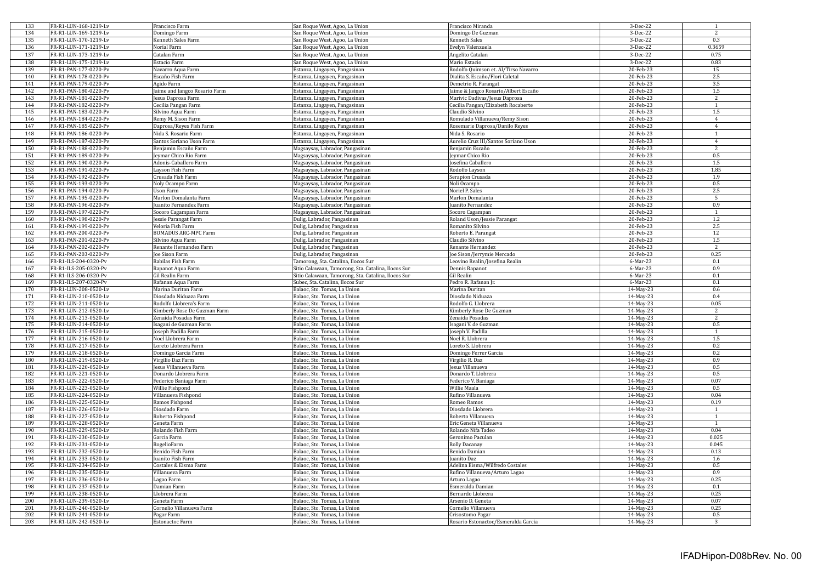| 133        | FR-R1-LUN-168-1219-Lv                          | Francisco Farm                       | San Roque West, Agoo, La Union                               | Francisco Miranda                                       | 3-Dec-22               | $\mathbf{1}$   |
|------------|------------------------------------------------|--------------------------------------|--------------------------------------------------------------|---------------------------------------------------------|------------------------|----------------|
| 134        | FR-R1-LUN-169-1219-Lv                          | Domingo Farm                         | San Roque West, Agoo, La Union                               | Domingo De Guzman                                       | 3-Dec-22               | $\overline{2}$ |
| 135        | FR-R1-LUN-170-1219-Lv                          | Kenneth Sales Farm                   | San Roque West, Agoo, La Union                               | Kenneth Sales                                           | 3-Dec-22               | 0.3            |
|            |                                                |                                      |                                                              |                                                         |                        |                |
| 136        | FR-R1-LUN-171-1219-Lv                          | Norial Farm                          | San Roque West, Agoo, La Union                               | Evelyn Valenzuela                                       | 3-Dec-22               | 0.3659         |
| 137        | FR-R1-LUN-173-1219-Lv                          | Catalan Farm                         | San Roque West, Agoo, La Union                               | Angelito Catalan                                        | 3-Dec-22               | 0.75           |
| 138        | FR-R1-LUN-175-1219-Lv                          | Estacio Farm                         | San Roque West, Agoo, La Union                               | Mario Estacio                                           | 3-Dec-22               | 0.83           |
| 139        | FR-R1-PAN-177-0220-Pv                          |                                      | Estanza, Lingayen, Pangasinan                                | Rodolfo Quimson et. Al/Tirso Navarro                    | 20-Feb-23              | 15             |
|            |                                                | Navarro Aqua Farm                    |                                                              |                                                         |                        |                |
| 140        | FR-R1-PAN-178-0220-Pv                          | Escaño Fish Farm                     | Estanza, Lingayen, Pangasinan                                | Dialita S. Escaño/Flori Caletal                         | 20-Feb-23              | $2.5\,$        |
| 141        | FR-R1-PAN-179-0220-Pv                          | Agido Farm                           | Estanza, Lingayen, Pangasinan                                | Demetrio R. Parangat                                    | 20-Feb-23              | 3.5            |
| 142        | FR-R1-PAN-180-0220-Pv                          | Jaime and Jangco Rosario Farm        | Estanza, Lingayen, Pangasinan                                | Jaime & Jangco Rosario/Albert Escaño                    | 20-Feb-23              | $1.5\,$        |
| 143        | FR-R1-PAN-181-0220-Pv                          | Jesus Daprosa Farm                   | Estanza, Lingayen, Pangasinan                                | Marivic Dadivas/Jesus Daprosa                           | 20-Feb-23              | $\overline{2}$ |
| 144        | FR-R1-PAN-182-0220-Pv                          | Cecilia Pangan Farm                  | Estanza, Lingayen, Pangasinan                                | Cecilia Pangan/Elizabeth Rocaberte                      | 20-Feb-23              | $\mathbf{1}$   |
|            |                                                |                                      |                                                              |                                                         |                        |                |
| 145        | FR-R1-PAN-183-0220-Pv                          | Silvino Aqua Farm                    | Estanza, Lingayen, Pangasinan                                | Claudio Silvino                                         | 20-Feb-23              | $1.5\,$        |
| 146        | FR-R1-PAN-184-0220-Pv                          | Remy M. Sison Farm                   | Estanza, Lingayen, Pangasinan                                | Romulado Villanueva/Remy Sison                          | 20-Feb-23              | $\overline{4}$ |
| 147        | FR-R1-PAN-185-0220-Pv                          | Daprosa/Reyes Fish Farm              | Estanza, Lingayen, Pangasinan                                | Rosemarie Daprosa/Danilo Reyes                          | 20-Feb-23              | $\overline{4}$ |
| 148        | FR-R1-PAN-186-0220-Pv                          | Nida S. Rosario Farm                 | Estanza, Lingayen, Pangasinan                                | Nida S. Rosario                                         | 20-Feb-23              | $\mathbf{1}$   |
| 149        | FR-R1-PAN-187-0220-Pv                          | Santos Soriano Uson Farm             | Estanza, Lingayen, Pangasinan                                | Aurelio Cruz III/Santos Soriano Uson                    | 20-Feb-23              | $\overline{4}$ |
|            |                                                |                                      |                                                              |                                                         |                        |                |
| 150        | FR-R1-PAN-188-0220-Pv                          | Benjamin Escaño Farm                 | Magsaysay, Labrador, Pangasinan                              | Benjamin Escaño                                         | 20-Feb-23              | 2              |
| 151        | FR-R1-PAN-189-0220-Pv                          | Jeymar Chico Rio Farm                | Magsaysay, Labrador, Pangasinan                              | Jeymar Chico Rio                                        | 20-Feb-23              | 0.5            |
| 152        | FR-R1-PAN-190-0220-Pv                          | Adonis-Caballero Farm                | Magsaysay, Labrador, Pangasinan                              | Josefina Caballero                                      | 20-Feb-23              | $1.5\,$        |
| 153        | FR-R1-PAN-191-0220-Pv                          | Layson Fish Farm                     | Magsaysay, Labrador, Pangasinan                              | Rodolfo Layson                                          | 20-Feb-23              | 1.85           |
| 154        | FR-R1-PAN-192-0220-Pv                          | Crusada Fish Farm                    | Magsaysay, Labrador, Pangasinan                              | Serapion Crusada                                        | 20-Feb-23              | 1.9            |
| 155        | FR-R1-PAN-193-0220-Pv                          |                                      |                                                              |                                                         | 20-Feb-23              | 0.5            |
|            |                                                | Noly Ocampo Farm                     | Magsaysay, Labrador, Pangasinan                              | Noli Ocampo                                             |                        |                |
| 156        | FR-R1-PAN-194-0220-Pv                          | Uson Farm                            | Magsaysay, Labrador, Pangasinan                              | Noriel P. Sales                                         | 20-Feb-23              | 2.5            |
| 157        | FR-R1-PAN-195-0220-Pv                          | Marlon Domalanta Farm                | Magsaysay, Labrador, Pangasinan                              | Marlon Domalanta                                        | 20-Feb-23              | 5              |
| 158        | FR-R1-PAN-196-0220-Pv                          | Juanito Fernandez Farm               | Magsaysay, Labrador, Pangasinan                              | Juanito Fernandez                                       | 20-Feb-23              | 0.9            |
| 159        | FR-R1-PAN-197-0220-Pv                          | Socoro Cagampan Farm                 | Magsaysay, Labrador, Pangasinan                              | Socoro Cagampan                                         | 20-Feb-23              | $\overline{1}$ |
| 160        | FR-R1-PAN-198-0220-Pv                          | Jessie Parangat Farm                 | Dulig, Labrador, Pangasinan                                  | Roland Uson/Jessie Parangat                             | 20-Feb-23              | 1.2            |
|            |                                                |                                      |                                                              |                                                         |                        |                |
| 161        | FR-R1-PAN-199-0220-Pv                          | Veloria Fish Farm                    | Dulig, Labrador, Pangasinan                                  | Romanito Silvino                                        | 20-Feb-23              | 2.5            |
| 162        | FR-R1-PAN-200-0220-Pv                          | <b>BOMADUS ARC-MPC Farm</b>          | Dulig, Labrador, Pangasinan                                  | Roberto E. Parangat                                     | 20-Feb-23              | 12             |
| 163        | FR-R1-PAN-201-0220-Pv                          | Silvino Aqua Farm                    | Dulig, Labrador, Pangasinan                                  | Claudio Silvino                                         | 20-Feb-23              | $1.5\,$        |
| 164        | FR-R1-PAN-202-0220-Pv                          | Renante Hernandez Farm               | Dulig, Labrador, Pangasinan                                  | Renante Hernandez                                       | 20-Feb-23              | 2              |
| 165        | FR-R1-PAN-203-0220-Pv                          | Joe Sison Farm                       | Dulig, Labrador, Pangasinan                                  | Joe Sison/Jerrymie Mercado                              | 20-Feb-23              | 0.25           |
| 166        | FR-R1-ILS-204-0320-Pv                          | Rabilas Fish Farm                    | Tamorong, Sta. Catalina, Ilocos Sur                          | Leovino Realin/Josefina Realin                          | 6-Mar-23               | 0.1            |
|            |                                                |                                      |                                                              |                                                         |                        |                |
| 167        | FR-R1-ILS-205-0320-Pv                          | Rapanot Aqua Farm                    | Sitio Calawaan, Tamorong, Sta. Catalina, Ilocos Sur          | Dennis Rapanot                                          | 6-Mar-23               | 0.9            |
| 168        | FR-R1-ILS-206-0320-Pv                          | Gil Realin Farm                      | Sitio Calawaan, Tamorong, Sta. Catalina, Ilocos Sur          | Gil Realin                                              | $6-Mar-23$             | 0.1            |
| 169        | FR-R1-ILS-207-0320-Pv                          | Rafanan Aqua Farm                    | Subec, Sta. Catalina, Ilocos Sur                             | Pedro R. Rafanan Jr.                                    | 6-Mar-23               | $0.1\,$        |
| 170        | FR-R1-LUN-208-0520-Lv                          | Marina Duritan Farm                  | Balaoc, Sto. Tomas, La Union                                 | Marina Duritan                                          | 14-May-23              | 0.6            |
| 171        | FR-R1-LUN-210-0520-Lv                          | Diosdado Niduaza Farm                | Balaoc, Sto. Tomas, La Union                                 | Diosdado Niduaza                                        | 14-May-23              | 0.4            |
|            |                                                |                                      |                                                              |                                                         |                        |                |
| 172        | FR-R1-LUN-211-0520-Lv                          | Rodolfo Llobrera's Farm              | Balaoc, Sto. Tomas, La Union                                 | Rodolfo G. Llobrera                                     | 14-May-23              | 0.05           |
| 173        | FR-R1-LUN-212-0520-Lv                          | Kimberly Rose De Guzman Farm         | Balaoc, Sto. Tomas, La Union                                 | Kimberly Rose De Guzman                                 | 14-May-23              | 2              |
| 174        | FR-R1-LUN-213-0520-Lv                          | Zenaida Posadas Farm                 | Balaoc, Sto. Tomas, La Union                                 | Zenaida Posadas                                         | 14-May-23              | $\overline{2}$ |
| 175        | FR-R1-LUN-214-0520-Lv                          | Isagani de Guzman Farm               | Balaoc, Sto. Tomas, La Union                                 | Isagani V. de Guzman                                    | 14-May-23              | 0.5            |
| 176        | FR-R1-LUN-215-0520-Lv                          | Joseph Padilla Farm                  | Balaoc, Sto. Tomas, La Union                                 | Joseph V. Padilla                                       | 14-May-23              | $\overline{1}$ |
| 177        | FR-R1-LUN-216-0520-Lv                          | Noel Llobrera Farm                   | Balaoc, Sto. Tomas, La Union                                 | Noel R. Llobrera                                        | 14-May-23              | $1.5\,$        |
|            | FR-R1-LUN-217-0520-Lv                          |                                      |                                                              |                                                         |                        |                |
| 178        |                                                | Loreto Llobrera Farm                 | Balaoc, Sto. Tomas, La Union                                 | Loreto S. Llobrera                                      | 14-May-23              | 0.2            |
| 179        | FR-R1-LUN-218-0520-Lv                          | Domingo Garcia Farm                  | Balaoc, Sto. Tomas, La Union                                 | Domingo Ferrer Garcia                                   | 14-May-23              | 0.2            |
| 180        | FR-R1-LUN-219-0520-Lv                          | Virgilio Daz Farm                    | Balaoc, Sto. Tomas, La Union                                 | Virgilio R. Daz                                         | 14-May-23              | 0.9            |
| 181        | FR-R1-LUN-220-0520-Lv                          | Jesus Villanueva Farm                | Balaoc, Sto. Tomas, La Union                                 | Jesus Villanueva                                        | 14-May-23              | 0.5            |
| 182        | FR-R1-LUN-221-0520-Lv                          | Donardo Llobrera Farm                | Balaoc, Sto. Tomas, La Union                                 | Donardo T. Llobrera                                     | 14-May-23              | 0.5            |
| 183        | FR-R1-LUN-222-0520-Lv                          | Federico Baniaga Farm                | Balaoc, Sto. Tomas, La Union                                 | Federico V. Baniaga                                     | 14-May-23              | 0.07           |
| 184        | FR-R1-LUN-223-0520-Lv                          |                                      | Balaoc, Sto. Tomas, La Union                                 | Willie Maala                                            |                        | 0.5            |
|            |                                                | Willie Fishpond                      |                                                              |                                                         | 14-May-23              |                |
| 185        | FR-R1-LUN-224-0520-Lv                          | Villanueva Fishpond                  | Balaoc, Sto. Tomas, La Union                                 | Rufino Villanueva                                       | 14-May-23              | 0.04           |
| 186        | FR-R1-LUN-225-0520-Lv                          | Ramos Fishpond                       | Balaoc, Sto. Tomas, La Union                                 | Romeo Ramos                                             | 14-May-23              | 0.19           |
| 187        | FR-R1-LUN-226-0520-Lv                          | Diosdado Farm                        | Balaoc, Sto. Tomas, La Union                                 | Diosdado Llobrera                                       | 14-May-23              | $\mathbf{1}$   |
| 188        | FR-R1-LUN-227-0520-Lv                          | Roberto Fishpond                     | Balaoc, Sto. Tomas, La Union                                 | Roberto Villanueva                                      | 14-May-23              | 1              |
| 189        | FR-R1-LUN-228-0520-Lv                          | Geneta Farm                          | Balaoc, Sto. Tomas, La Union                                 | Eric Geneta Villanueva                                  | 14-May-23              | $\overline{1}$ |
| 190        |                                                |                                      |                                                              |                                                         |                        | 0.04           |
|            | FR-R1-LUN-229-0520-Lv                          | Rolando Fish Farm                    | Balaoc, Sto. Tomas, La Union                                 | Rolando Nifa Tadeo                                      | 14-May-23              |                |
| 191        | FR-R1-LUN-230-0520-Lv                          | Garcia Farm                          | Balaoc, Sto. Tomas, La Union                                 | Geronimo Paculan                                        | 14-May-23              | 0.025          |
| 192        | FR-R1-LUN-231-0520-Lv                          | RogelioFarm                          | Balaoc, Sto. Tomas, La Union                                 | Rolly Dacanay                                           | 14-May-23              | 0.045          |
| 193        | FR-R1-LUN-232-0520-Lv                          | Benido Fish Farm                     | Balaoc, Sto. Tomas, La Union                                 | Benido Damian                                           | 14-May-23              | 0.13           |
| 194        | FR-R1-LUN-233-0520-Lv                          | Juanito Fish Farm                    | Balaoc, Sto. Tomas, La Union                                 | Juanito Daz                                             | 14-May-23              | 1.6            |
| 195        | FR-R1-LUN-234-0520-Lv                          | Costales & Eisma Farm                | Balaoc, Sto. Tomas, La Union                                 | Adelina Eisma/Wilfredo Costales                         | 14-May-23              | 0.5            |
| 196        |                                                |                                      |                                                              |                                                         |                        |                |
|            | FR-R1-LUN-235-0520-Lv                          | Villanueva Farm                      | Balaoc, Sto. Tomas, La Union                                 | Rufino Villanueva/Arturo Lagao                          | 14-May-23              | 0.9            |
|            |                                                | Lagao Farm                           | Balaoc, Sto. Tomas, La Union                                 | Arturo Lagao                                            | 14-May-23              | 0.25           |
| 197        | FR-R1-LUN-236-0520-Lv                          |                                      |                                                              |                                                         |                        |                |
| 198        | FR-R1-LUN-237-0520-Lv                          | Damian Farm                          | Balaoc, Sto. Tomas, La Union                                 | Esmeralda Damian                                        | 14-May-23              | 0.1            |
| 199        | FR-R1-LUN-238-0520-Lv                          | Llobrera Farm                        | Balaoc, Sto. Tomas, La Union                                 | Bernardo Llobrera                                       | 14-May-23              | 0.25           |
|            |                                                |                                      |                                                              |                                                         |                        |                |
| 200        | FR-R1-LUN-239-0520-Lv                          | Geneta Farm                          | Balaoc, Sto. Tomas, La Union                                 | Arsenio D. Geneta                                       | $14$ -May-23           | 0.07           |
| 201        | FR-R1-LUN-240-0520-Lv                          | Cornelio Villanueva Farm             | Balaoc, Sto. Tomas, La Union                                 | Cornelio Villanueva                                     | 14-May-23              | 0.25           |
| 202<br>203 | FR-R1-LUN-241-0520-Lv<br>FR-R1-LUN-242-0520-Lv | Pagar Farm<br><b>Estonactoc Farm</b> | Balaoc, Sto. Tomas, La Union<br>Balaoc, Sto. Tomas, La Union | Crisostomo Pagar<br>Rosario Estonactoc/Esmeralda Garcia | 14-May-23<br>14-May-23 | 0.5<br>3       |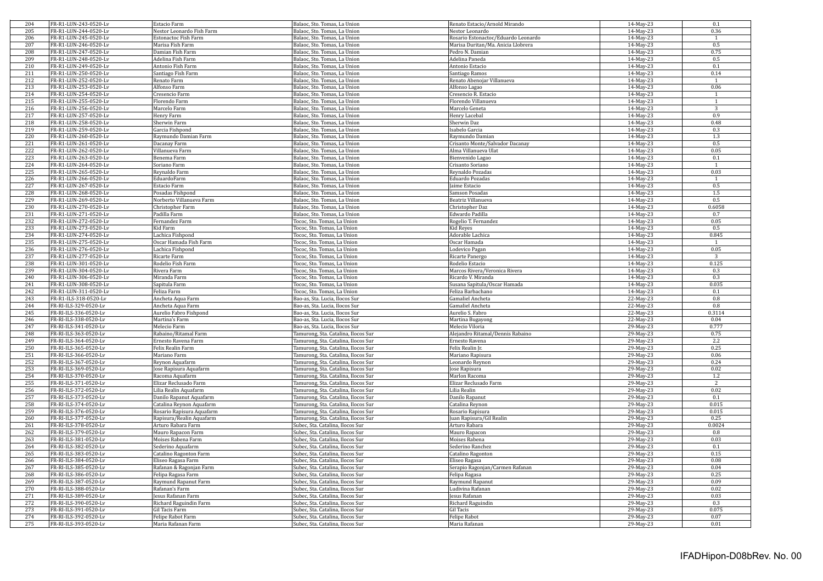| 204 | FR-R1-LUN-243-0520-Lv | Estacio Farm              | Balaoc, Sto. Tomas, La Union        | Renato Estacio/Arnold Mirando       | 14-May-23    | 0.1            |
|-----|-----------------------|---------------------------|-------------------------------------|-------------------------------------|--------------|----------------|
| 205 | FR-R1-LUN-244-0520-Lv | Nestor Leonardo Fish Farm | Balaoc, Sto. Tomas, La Union        | Nestor Leonardo                     | 14-May-23    | 0.36           |
| 206 | FR-R1-LUN-245-0520-Lv | Estonactoc Fish Farm      | Balaoc, Sto. Tomas, La Union        | Rosario Estonactoc/Eduardo Leonardo | 14-May-23    | $\mathbf{1}$   |
| 207 | FR-R1-LUN-246-0520-Lv | Marisa Fish Farm          | Balaoc, Sto. Tomas, La Union        | Marisa Duritan/Ma. Anicia Llobrera  | 14-May-23    | 0.5            |
| 208 | FR-R1-LUN-247-0520-Lv | Damian Fish Farm          | Balaoc, Sto. Tomas, La Union        | Pedro N. Damian                     | 14-May-23    | 0.75           |
| 209 | FR-R1-LUN-248-0520-Lv | Adelina Fish Farm         | Balaoc, Sto. Tomas, La Union        | Adelina Paneda                      | 14-May-23    | $0.5\,$        |
| 210 | FR-R1-LUN-249-0520-Lv | Antonio Fish Farm         | Balaoc, Sto. Tomas, La Union        | Antonio Estacio                     | $14$ -May-23 | 0.1            |
| 211 | FR-R1-LUN-250-0520-Lv | Santiago Fish Farm        | Balaoc, Sto. Tomas, La Union        | Santiago Ramos                      | 14-May-23    | 0.14           |
| 212 | FR-R1-LUN-252-0520-Lv | Renato Farm               | Balaoc, Sto. Tomas, La Union        | Renato Abenojar Villanueva          | 14-May-23    | $\mathbf{1}$   |
| 213 | FR-R1-LUN-253-0520-Lv | Alfonso Farm              | Balaoc, Sto. Tomas, La Union        | Alfonso Lagao                       | 14-May-23    | 0.06           |
| 214 | FR-R1-LUN-254-0520-Lv | Cresencio Farm            | Balaoc, Sto. Tomas, La Union        | Cresencio R. Estacio                | 14-May-23    | $\mathbf{1}$   |
| 215 | FR-R1-LUN-255-0520-Lv | Florendo Farm             | Balaoc, Sto. Tomas, La Union        | Florendo Villanueva                 | 14-May-23    | $\mathbf{1}$   |
| 216 | FR-R1-LUN-256-0520-Lv | Marcelo Farm              | Balaoc, Sto. Tomas, La Union        | Marcelo Geneta                      | 14-May-23    | 3              |
| 217 | FR-R1-LUN-257-0520-Lv | Henry Farm                | Balaoc, Sto. Tomas, La Union        | Henry Lacebal                       | 14-May-23    | 0.9            |
| 218 | FR-R1-LUN-258-0520-Lv | Sherwin Farm              | Balaoc, Sto. Tomas, La Union        | Sherwin Daz                         | 14-May-23    | 0.48           |
|     |                       |                           |                                     |                                     |              |                |
| 219 | FR-R1-LUN-259-0520-Lv | Garcia Fishpond           | Balaoc, Sto. Tomas, La Union        | Isabelo Garcia                      | 14-May-23    | 0.3            |
| 220 | FR-R1-LUN-260-0520-Lv | Raymundo Damian Farm      | Balaoc, Sto. Tomas, La Union        | Raymundo Damian                     | 14-May-23    | 1.3            |
| 221 | FR-R1-LUN-261-0520-Lv | Dacanay Farm              | Balaoc, Sto. Tomas, La Union        | Crisanto Monte/Salvador Dacanay     | 14-May-23    | 0.5            |
| 222 | FR-R1-LUN-262-0520-Lv | Villanueva Farm           | Balaoc, Sto. Tomas, La Union        | Alma Villanueva Ulat                | 14-May-23    | 0.05           |
| 223 | FR-R1-LUN-263-0520-Lv | Benema Farm               | Balaoc, Sto. Tomas, La Union        | Bienvenido Lagao                    | 14-May-23    | 0.1            |
| 224 | FR-R1-LUN-264-0520-Lv | Soriano Farm              | Balaoc, Sto. Tomas, La Union        | Crisanto Soriano                    | 14-May-23    | $\mathbf{1}$   |
| 225 | FR-R1-LUN-265-0520-Lv | Reynaldo Farm             | Balaoc, Sto. Tomas, La Union        | Reynaldo Pozadas                    | 14-May-23    | 0.03           |
| 226 | FR-R1-LUN-266-0520-Lv | EduardoFarm               | Balaoc, Sto. Tomas, La Union        | Eduardo Pozadas                     | 14-May-23    | -1             |
| 227 | FR-R1-LUN-267-0520-Lv | Estacio Farm              | Balaoc, Sto. Tomas, La Union        | Jaime Estacio                       | 14-May-23    | 0.5            |
| 228 | FR-R1-LUN-268-0520-Lv | Posadas Fishpond          | Balaoc, Sto. Tomas, La Union        | Samson Posadas                      | 14-May-23    | $1.5\,$        |
| 229 | FR-R1-LUN-269-0520-Lv | Norberto Villanueva Farm  | Balaoc, Sto, Tomas, La Union        | Beatriz Villanueva                  | 14-May-23    | 0.5            |
| 230 | FR-R1-LUN-270-0520-Lv | Christopher Farm          | Balaoc, Sto. Tomas, La Union        | Christopher Daz                     | 14-May-23    | 0.6058         |
| 231 | FR-R1-LUN-271-0520-Lv | Padilla Farm              | Balaoc, Sto. Tomas, La Union        | Edwardo Padilla                     | 14-May-23    | 0.7            |
| 232 | FR-R1-LUN-272-0520-Lv | Fernandez Farm            | Tococ, Sto. Tomas, La Union         | Rogelio T. Fernandez                | 14-May-23    | 0.05           |
| 233 | FR-R1-LUN-273-0520-Lv | Kid Farm                  | Tococ, Sto. Tomas, La Union         | Kid Reyes                           | 14-May-23    | 0.5            |
| 234 | FR-R1-LUN-274-0520-Lv | Lachica Fishpond          | Tococ, Sto. Tomas, La Union         | Adorable Lachica                    | 14-May-23    | 0.845          |
| 235 | FR-R1-LUN-275-0520-Lv | Oscar Hamada Fish Farm    | Tococ, Sto. Tomas, La Union         | Oscar Hamada                        | 14-May-23    | $\mathbf{1}$   |
| 236 | FR-R1-LUN-276-0520-Lv | Lachica Fishpond          | Tococ, Sto. Tomas, La Union         | Lodevico Pagan                      | 14-May-23    | 0.05           |
| 237 | FR-R1-LUN-277-0520-Lv | Ricarte Farm              | Tococ, Sto. Tomas, La Union         | Ricarte Panergo                     | 14-May-23    | $\overline{3}$ |
| 238 | FR-R1-LUN-301-0520-Lv |                           | Tococ, Sto. Tomas, La Union         | Rodelio Estacio                     | 14-May-23    | 0.125          |
| 239 |                       | Rodelio Fish Farm         |                                     |                                     | 14-May-23    | 0.3            |
|     | FR-R1-LUN-304-0520-Lv | Rivera Farm               | Tococ, Sto. Tomas, La Union         | Marcos Rivera/Veronica Rivera       |              |                |
| 240 | FR-R1-LUN-306-0520-Lv | Miranda Farm              | Tococ, Sto. Tomas, La Union         | Ricardo V. Miranda                  | 14-May-23    | 0.3            |
| 241 | FR-R1-LUN-308-0520-Lv | Sapitula Farm             | Tococ, Sto. Tomas, La Union         | Susana Sapitula/Oscar Hamada        | 14-May-23    | 0.035          |
| 242 | FR-R1-LUN-311-0520-Lv | Feliza Farm               | Tococ, Sto. Tomas, La Union         | Feliza Barbachano                   | 14-May-23    | 0.1            |
| 243 | FR-R1-ILS-318-0520-Lv | Ancheta Aqua Farm         | Bao-as, Sta. Lucia, Ilocos Sur      | <b>Gamaliel Ancheta</b>             | 22-May-23    | $0.8\,$        |
| 244 | FR-RI-ILS-329-0520-Lv | Ancheta Aqua Farm         | Bao-as, Sta. Lucia, Ilocos Sur      | <b>Gamaliel Ancheta</b>             | 22-May-23    | 0.8            |
| 245 | FR-RI-ILS-336-0520-Lv | Aurelio Fabro Fishpond    | Bao-as, Sta. Lucia, Ilocos Sur      | Aurelio S. Fabro                    | 22-May-23    | 0.3114         |
| 246 | FR-RI-ILS-338-0520-Lv | Martina's Farm            | Bao-as, Sta. Lucia, Ilocos Sur      | Martina Bugayong                    | 22-May-23    | 0.04           |
| 247 | FR-RI-ILS-341-0520-Lv | Melecio Farm              | Bao-as, Sta. Lucia, Ilocos Sur      | Melecio Viloria                     | 29-May-23    | 0.777          |
| 248 | FR-RI-ILS-363-0520-Lv | Rabaino/Ritamal Farm      | Tamurong, Sta. Catalina, Ilocos Sur | Alejandro Ritamal/Dennis Rabaino    | 29-May-23    | 0.75           |
| 249 | FR-RI-ILS-364-0520-Lv | Ernesto Ravena Farm       | Tamurong, Sta. Catalina, Ilocos Sur | Ernesto Ravena                      | 29-May-23    | 2.2            |
| 250 | FR-RI-ILS-365-0520-Lv | Felix Realin Farm         | Tamurong, Sta. Catalina, Ilocos Sur | Felix Realin Jr.                    | 29-May-23    | 0.25           |
| 251 | FR-RI-ILS-366-0520-Lv | Mariano Farm              | Tamurong, Sta. Catalina, Ilocos Sur | Mariano Rapisura                    | 29-May-23    | 0.06           |
| 252 | FR-RI-ILS-367-0520-Lv | Reynon Aquafarm           | Tamurong, Sta. Catalina, Ilocos Sur | Leonardo Reynon                     | 29-May-23    | 0.24           |
| 253 | FR-RI-ILS-369-0520-Lv | Jose Rapisura Aquafarm    | Tamurong, Sta. Catalina, Ilocos Sur | Jose Rapisura                       | 29-May-23    | 0.02           |
| 254 | FR-RI-ILS-370-0520-Lv | Racoma Aquafarm           | Tamurong, Sta. Catalina, Ilocos Sur | Marlon Racoma                       | 29-May-23    | $1.2\,$        |
| 255 | FR-RI-ILS-371-0520-Lv | Elizar Reclusado Farm     | Tamurong, Sta. Catalina, Ilocos Sur | Elizar Reclusado Farm               | 29-May-23    | 2              |
| 256 | FR-RI-ILS-372-0520-Lv | Lilia Realin Aquafarm     | Tamurong, Sta. Catalina, Ilocos Sur | Lilia Realin                        | 29-May-23    | 0.02           |
| 257 | FR-RI-ILS-373-0520-Lv | Danilo Rapanut Aquafarm   | Tamurong, Sta. Catalina, Ilocos Sur | Danilo Rapanut                      | 29-May-23    | 0.1            |
| 258 | FR-RI-ILS-374-0520-Lv | Catalina Reynon Aquafarm  | Tamurong, Sta. Catalina, Ilocos Sur | Catalina Reynon                     | 29-May-23    | 0.015          |
| 259 | FR-RI-ILS-376-0520-Lv | Rosario Rapisura Aquafarm | Tamurong, Sta. Catalina, Ilocos Sur | Rosario Rapisura                    | $29$ -May-23 | 0.015          |
| 260 | FR-RI-ILS-377-0520-Lv | Rapisura/Realin Aquafarm  | Tamurong, Sta. Catalina, Ilocos Sur | Juan Rapisura/Gil Realin            | 29-May-23    | 0.25           |
| 261 | FR-RI-ILS-378-0520-Lv |                           |                                     |                                     | 29-May-23    | 0.0024         |
|     |                       | Arturo Rabara Farm        | Subec, Sta. Catalina, Ilocos Sur    | Arturo Rabara                       |              |                |
| 262 | FR-RI-ILS-379-0520-Lv | Mauro Rapacon Farm        | Subec, Sta. Catalina, Ilocos Sur    | Mauro Rapacon                       | 29-May-23    | 0.8            |
| 263 | FR-RI-ILS-381-0520-Lv | Moises Rabena Farm        | Subec, Sta. Catalina, Ilocos Sur    | Moises Rabena                       | 29-May-23    | 0.03           |
| 264 | FR-RI-ILS-382-0520-Lv | Sederino Aquafarm         | Subec, Sta. Catalina, Ilocos Sur    | Sederino Ranchez                    | 29-May-23    | 0.1            |
| 265 | FR-RI-ILS-383-0520-Lv | Catalino Ragonton Farm    | Subec, Sta. Catalina, Ilocos Sur    | Catalino Ragonton                   | 29-May-23    | 0.15           |
| 266 | FR-RI-ILS-384-0520-Lv | Eliseo Ragasa Farm        | Subec, Sta. Catalina, Ilocos Sur    | Eliseo Ragasa                       | 29-May-23    | 0.08           |
| 267 | FR-RI-ILS-385-0520-Lv | Rafanan & Ragonjan Farm   | Subec, Sta. Catalina, Ilocos Sur    | Serapio Ragonjan/Carmen Rafanan     | 29-May-23    | 0.04           |
| 268 | FR-RI-ILS-386-0520-Lv | Felipa Ragasa Farm        | Subec, Sta. Catalina, Ilocos Sur    | Felipa Ragasa                       | 29-May-23    | 0.25           |
| 269 | FR-RI-ILS-387-0520-Lv | Raymund Rapanut Farm      | Subec, Sta. Catalina, Ilocos Sur    | Raymund Rapanut                     | 29-May-23    | 0.09           |
| 270 | FR-RI-ILS-388-0520-Lv | Rafanan's Farm            | Subec, Sta. Catalina, Ilocos Sur    | Ludivina Rafanan                    | 29-May-23    | 0.02           |
| 271 | FR-RI-ILS-389-0520-Lv | Jesus Rafanan Farm        | Subec, Sta. Catalina, Ilocos Sur    | esus Rafanan                        | 29-May-23    | 0.03           |
| 272 | FR-RI-ILS-390-0520-Lv | Richard Raguindin Farm    | Subec, Sta. Catalina, Ilocos Sur    | Richard Raguindin                   | $29$ -May-23 | 0.3            |
| 273 | FR-RI-ILS-391-0520-Lv | Gil Tacis Farm            | Subec, Sta. Catalina, Ilocos Sur    | Gil Tacis                           | 29-May-23    | 0.075          |
| 274 | FR-RI-ILS-392-0520-Lv | Felipe Rabot Farm         | Subec, Sta. Catalina, Ilocos Sur    | Felipe Rabot                        | 29-May-23    | 0.07           |
| 275 | FR-RI-ILS-393-0520-Lv | Maria Rafanan Farm        | Subec, Sta. Catalina, Ilocos Sur    | Maria Rafanan                       | 29-May-23    | 0.01           |
|     |                       |                           |                                     |                                     |              |                |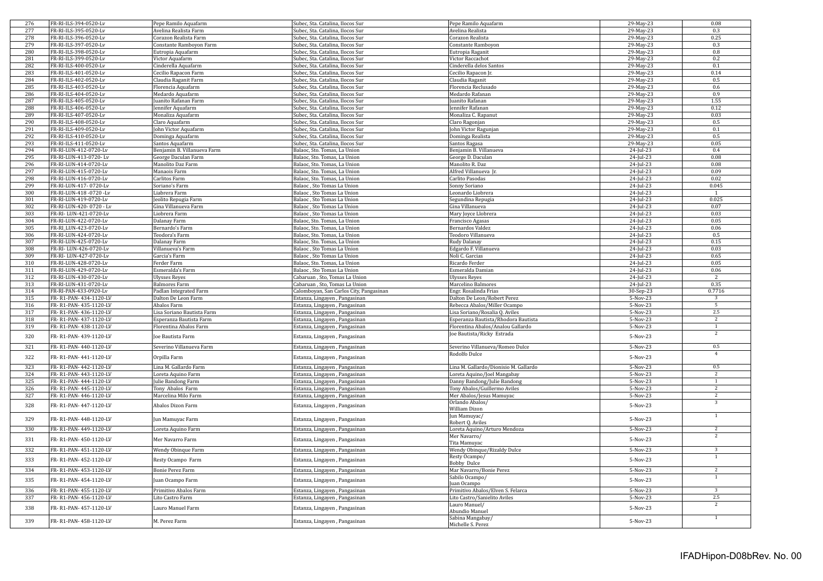| 276 | FR-RI-ILS-394-0520-Lv   | Pepe Ramilo Aquafarm        | Subec, Sta. Catalina, Ilocos Sur        | Pepe Ramilo Aquafarm                  | 29-May-23    | 0.08           |
|-----|-------------------------|-----------------------------|-----------------------------------------|---------------------------------------|--------------|----------------|
| 277 | FR-RI-ILS-395-0520-Lv   |                             |                                         |                                       |              | 0.3            |
|     |                         | Avelina Realista Farm       | Subec, Sta. Catalina, Ilocos Sur        | Avelina Realista                      | 29-May-23    |                |
| 278 | FR-RI-ILS-396-0520-Lv   | Corazon Realista Farm       | Subec, Sta. Catalina, Ilocos Sur        | Corazon Realista                      | $29-May-23$  | 0.25           |
| 279 | FR-RI-ILS-397-0520-Lv   | Constante Ramboyon Farm     | Subec, Sta. Catalina, Ilocos Sur        | Constante Ramboyon                    | 29-May-23    | 0.3            |
| 280 | FR-RI-ILS-398-0520-Lv   | Eutropia Aquafarm           | Subec, Sta. Catalina, Ilocos Sur        | Eutropia Raganit                      | 29-May-23    | 0.8            |
| 281 | FR-RI-ILS-399-0520-Lv   |                             | Subec, Sta. Catalina, Ilocos Sur        | Victor Raccachot                      |              | 0.2            |
|     |                         | Victor Aquafarm             |                                         |                                       | 29-May-23    |                |
| 282 | FR-RI-ILS-400-0520-Lv   | Cinderella Aquafarm         | Subec, Sta. Catalina, Ilocos Sur        | Cinderella delos Santos               | 29-May-23    | 0.1            |
| 283 | FR-RI-ILS-401-0520-Lv   | Cecilio Rapacon Farm        | Subec, Sta. Catalina, Ilocos Sur        | Cecilio Rapacon Jr.                   | 29-May-23    | 0.14           |
| 284 | FR-RI-ILS-402-0520-Lv   |                             | Subec, Sta. Catalina, Ilocos Sur        | Claudia Raganit                       | 29-May-23    | 0.5            |
|     |                         | Claudia Raganit Farm        |                                         |                                       |              |                |
| 285 | FR-RI-ILS-403-0520-Lv   | Florencia Aquafarm          | Subec, Sta. Catalina, Ilocos Sur        | Florencia Reclusado                   | 29-May-23    | 0.6            |
| 286 | FR-RI-ILS-404-0520-Lv   | Medardo Aquafarm            | Subec, Sta. Catalina, Ilocos Sur        | Medardo Rafanan                       | 29-May-23    | 0.9            |
| 287 | FR-RI-ILS-405-0520-Lv   | Juanito Rafanan Farm        | Subec, Sta. Catalina, Ilocos Sur        | uanito Rafanan                        | 29-May-23    | 1.55           |
| 288 | FR-RI-ILS-406-0520-Lv   |                             |                                         |                                       |              | 0.12           |
|     |                         | ennifer Aquafarm            | Subec, Sta. Catalina, Ilocos Sur        | ennifer Rafanan                       | 29-May-23    |                |
| 289 | FR-RI-ILS-407-0520-Lv   | Monaliza Aquafarm           | Subec, Sta. Catalina, Ilocos Sur        | Monaliza C. Rapanut                   | 29-May-23    | 0.03           |
| 290 | FR-RI-ILS-408-0520-Lv   | Claro Aquafarm              | Subec, Sta. Catalina, Ilocos Sur        | Claro Ragonjan                        | 29-May-23    | 0.5            |
| 291 | FR-RI-ILS-409-0520-Lv   | John Victor Aquafarm        | Subec, Sta. Catalina, Ilocos Sur        | ohn Victor Ragunjan                   | 29-May-23    | 0.1            |
|     |                         |                             |                                         |                                       |              |                |
| 292 | FR-RI-ILS-410-0520-Lv   | Dominga Aquafarm            | Subec, Sta. Catalina, Ilocos Sur        | Dominga Realista                      | 29-May-23    | 0.5            |
| 293 | FR-RI-ILS-411-0520-Lv   | Santos Aquafarm             | Subec, Sta. Catalina, Ilocos Sur        | Santos Ragasa                         | 29-May-23    | 0.05           |
| 294 | FR-RI-LUN-412-0720-Lv   | Benjamin B. Villanueva Farm | Balaoc, Sto. Tomas, La Union            | Benjamin B. Villanueva                | 24-Jul-23    | 0.4            |
|     |                         |                             |                                         |                                       |              |                |
| 295 | FR-RI-LUN-413-0720-Lv   | George Daculan Farm         | Balaoc, Sto. Tomas, La Union            | George D. Daculan                     | 24-Jul-23    | 0.08           |
| 296 | FR-RI-LUN-414-0720-Lv   | Manolito Daz Farm           | Balaoc, Sto. Tomas, La Union            | Manolito R. Daz                       | 24-Jul-23    | 0.08           |
| 297 | FR-RI-LUN-415-0720-Lv   | Manaois Farm                | Balaoc, Sto. Tomas, La Union            | Alfred Villanueva Jr.                 | 24-Jul-23    | 0.09           |
| 298 | FR-RI-LUN-416-0720-Lv   | Carlitos Farm               | Balaoc, Sto. Tomas, La Union            | Carlito Pasodas                       | 24-Jul-23    | 0.02           |
|     |                         |                             |                                         |                                       |              |                |
| 299 | FR-RI-LUN-417-0720-Lv   | Soriano's Farm              | Balaoc, Sto Tomas La Union              | Sonny Soriano                         | 24-Jul-23    | 0.045          |
| 300 | FR-RI-LUN-418 -0720 -Lv | Liabrera Farm               | Balaoc, Sto Tomas La Union              | Leonardo Liobrera                     | 24-Jul-23    | $\mathbf{1}$   |
| 301 | FR-RI-LUN-419-0720-Lv   | Jeolito Repugia Farm        | Balaoc, Sto Tomas La Union              | Segundina Repugia                     | 24-Jul-23    | 0.025          |
| 302 | FR-RI-LUN-420-0720 - Lv | Gina Villanueva Farm        | Balaoc, Sto Tomas La Union              | Gina Villanueva                       | 24-Jul-23    | 0.07           |
|     |                         |                             |                                         |                                       |              |                |
| 303 | FR-RI-LUN-421-0720-Lv   | Liobrera Farm               | Balaoc, Sto Tomas La Union              | Mary Joyce Llobrera                   | 24-Jul-23    | 0.03           |
| 304 | FR-RI-LUN-422-0720-Lv   | Dalanay Farm                | Balaoc, Sto. Tomas, La Union            | Francisco Agasas                      | 24-Jul-23    | 0.05           |
| 305 | FR-RI LUN-423-0720-Lv   | Bernardo's Farm             | Balaoc, Sto. Tomas, La Union            |                                       | 24-Jul-23    | 0.06           |
|     |                         |                             |                                         | Bernardos Valdez                      |              |                |
| 306 | FR-RI-LUN-424-0720-Lv   | Teodora's Farm              | Balaoc, Sto. Tomas, La Union            | Teodoro Villanueva                    | 24-Jul-23    | 0.5            |
| 307 | FR-RI-LUN-425-0720-Lv   | Dalanay Farm                | Balaoc, Sto. Tomas, La Union            | Rudy Dalanay                          | 24-Jul-23    | 0.15           |
| 308 | FR-RI-LUN-426-0720-Lv   | Villanueva's Farm           | Balaoc, Sto Tomas La Union              | Edgardo F. Villanueva                 | $24$ -Jul-23 | 0.03           |
|     |                         |                             |                                         |                                       |              |                |
| 309 | FR-RI-LUN-427-0720-Lv   | Garcia's Farm               | Balaoc, Sto Tomas La Union              | Noli C. Garcias                       | 24-Jul-23    | 0.65           |
| 310 | FR-RI-LUN-428-0720-Lv   | Ferder Farm                 | Balaoc, Sto. Tomas, La Union            | Ricardo Ferder                        | 24-Jul-23    | 0.05           |
| 311 | FR-RI-LUN-429-0720-Lv   | Esmeralda's Farm            | Balaoc, Sto Tomas La Union              | Esmeralda Damian                      | $24$ -Jul-23 | 0.06           |
|     |                         |                             |                                         |                                       |              |                |
|     |                         |                             |                                         |                                       |              |                |
| 312 | FR-RI-LUN-430-0720-Lv   | <b>Ulysses Reyes</b>        | Cabaruan, Sto, Tomas La Union           | Ulysses Reyes                         | 24-Jul-23    | 2              |
| 313 | FR-RI-LUN-431-0720-Lv   | <b>Balmores Farm</b>        | Cabaruan, Sto, Tomas La Union           | Marcelino Balmores                    | 24-Jul-23    | 0.35           |
| 314 | FR-RI-PAN-433-0920-Lv   | Padlan Integrated Farm      | Calomboyan, San Carlos City, Pangasinan | Engr. Rosalinda Frias                 |              | 0.7716         |
|     |                         |                             |                                         |                                       | 30-Sep-23    |                |
| 315 | FR-R1-PAN-434-1120-LV   | Dalton De Leon Farm         | Estanza, Lingayen, Pangasinan           | Dalton De Leon/Robert Perez           | 5-Nov-23     | 3              |
| 316 | FR-R1-PAN-435-1120-LV   | Abalos Farm                 | Estanza, Lingayen, Pangasinan           | Rebecca Abalos/Miller Ocampo          | 5-Nov-23     | 5              |
| 317 | FR-R1-PAN-436-1120-LV   | Lisa Soriano Bautista Farm  | Estanza, Lingayen, Pangasinan           | Lisa Soriano/Rosalia Q. Aviles        | $5-Nov-23$   | 2.5            |
| 318 | FR-R1-PAN-437-1120-LV   | Esperanza Bautista Farm     |                                         | Esperanza Bautista/Rhodora Bautista   | 5-Nov-23     | $\overline{2}$ |
|     |                         |                             | Estanza, Lingayen, Pangasinan           |                                       |              |                |
| 319 | FR-R1-PAN-438-1120-LV   | Florentina Abalos Farm      | Estanza, Lingayen, Pangasinan           | Florentina Abalos/Analou Gallardo     | 5-Nov-23     | $\mathbf{1}$   |
|     |                         |                             |                                         | Joe Bautista/Ricky Estrada            |              | 2              |
| 320 | FR-R1-PAN-439-1120-LV   | Joe Bautista Farm           | Estanza, Lingayen , Pangasinan          |                                       | 5-Nov-23     |                |
| 321 | FR-R1-PAN-440-1120-LV   | Severino Villanueva Farm    | Estanza, Lingayen , Pangasinan          | Severino Villanueva/Romeo Dulce       | 5-Nov-23     | 0.5            |
|     |                         |                             |                                         |                                       |              | $\overline{4}$ |
| 322 | FR-R1-PAN-441-1120-LV   | Orpilla Farm                | Estanza, Lingayen, Pangasinan           | Rodolfo Dulce                         | 5-Nov-23     |                |
|     |                         |                             |                                         |                                       |              |                |
| 323 | FR-R1-PAN-442-1120-LV   | Lina M. Gallardo Farm       | Estanza, Lingayen, Pangasinan           | Lina M. Gallardo/Dionisio M. Gallardo | 5-Nov-23     | 0.5            |
| 324 | FR-R1-PAN-443-1120-LV   | Loreta Aquino Farm          | Estanza, Lingayen, Pangasinan           | Loreta Aquino/Joel Mangabay           | 5-Nov-23     | $\overline{c}$ |
|     |                         |                             |                                         |                                       |              | 1              |
| 325 | FR-R1-PAN-444-1120-LV   | Julie Bandong Farm          | Estanza, Lingayen, Pangasinan           | Danny Bandong/Julie Bandong           | 5-Nov-23     |                |
| 326 | FR-R1-PAN-445-1120-LV   | Tony Abalos Farm            | Estanza, Lingayen, Pangasinan           | Tony Abalos/Guillermo Aviles          | 5-Nov-23     | 2              |
| 327 | FR-R1-PAN-446-1120-LV   | Marcelina Milo Farm         | Estanza, Lingayen, Pangasinan           | Mer Abalos/Jesus Mamuyac              | 5-Nov-23     | $\overline{2}$ |
|     |                         |                             |                                         | Orlando Abalos/                       |              | $\overline{3}$ |
| 328 | FR-R1-PAN-447-1120-LV   | Abalos Dizon Farm           | Estanza, Lingayen , Pangasinan          |                                       | 5-Nov-23     |                |
|     |                         |                             |                                         | William Dizon                         |              |                |
| 329 | FR-R1-PAN-448-1120-LV   |                             |                                         | Jun Mamuyac/                          | 5-Nov-23     | $\mathbf{1}$   |
|     |                         | Jun Mamuyac Farm            | Estanza, Lingayen , Pangasinan          | Robert Q. Aviles                      |              |                |
| 330 | FR-R1-PAN-449-1120-LV   | Loreta Aquino Farm          | Estanza, Lingayen, Pangasinan           | Loreta Aquino/Arturo Mendoza          | 5-Nov-23     | $\overline{2}$ |
|     |                         |                             |                                         |                                       |              | 2              |
| 331 | FR-R1-PAN-450-1120-LV   | Mer Navarro Farm            | Estanza, Lingayen , Pangasinan          | Mer Navarro/                          | 5-Nov-23     |                |
|     |                         |                             |                                         | Tita Mamuyac                          |              |                |
| 332 | FR-R1-PAN-451-1120-LV   | Wendy Obinque Farm          | Estanza, Lingayen, Pangasinan           | Wendy Obinque/Rizaldy Dulce           | $5-Nov-23$   | $\overline{3}$ |
|     |                         |                             |                                         | Resty Ocampo/                         |              | $\mathbf{1}$   |
| 333 | FR-R1-PAN-452-1120-LV   | Resty Ocampo Farm           | Estanza, Lingayen, Pangasinan           |                                       | 5-Nov-23     |                |
|     |                         |                             |                                         | <b>Bobby Dulce</b>                    |              |                |
| 334 | FR-R1-PAN-453-1120-LV   | <b>Bonie Perez Farm</b>     | Estanza, Lingayen, Pangasinan           | Mar Navarro/Bonie Perez               | 5-Nov-23     | $\overline{2}$ |
| 335 | FR-R1-PAN-454-1120-LV   |                             |                                         | Sabilo Ocampo/                        | 5-Nov-23     | 1              |
|     |                         | Juan Ocampo Farm            | Estanza, Lingayen, Pangasinan           | uan Ocampo                            |              |                |
| 336 | FR-R1-PAN-455-1120-LV   | Primitivo Abalos Farm       |                                         | Primitivo Abalos/Elven S. Felarca     | 5-Nov-23     | $\overline{3}$ |
|     |                         |                             | Estanza, Lingayen, Pangasinan           |                                       |              |                |
| 337 | FR-R1-PAN-456-1120-LV   | Lito Castro Farm            | Estanza, Lingayen, Pangasinan           | Lito Castro/Sanielito Aviles          | 5-Nov-23     | 2.5            |
|     |                         |                             |                                         | Lauro Manuel/                         |              | $\overline{2}$ |
| 338 | FR-R1-PAN-457-1120-LV   | Lauro Manuel Farm           | Estanza, Lingayen, Pangasinan           | Abundio Manuel                        | 5-Nov-23     |                |
|     |                         |                             |                                         |                                       |              | $\overline{1}$ |
| 339 | FR-R1-PAN-458-1120-LV   | M. Perez Farm               | Estanza, Lingayen , Pangasinan          | Sabina Mangabay/<br>Michelle S. Perez | 5-Nov-23     |                |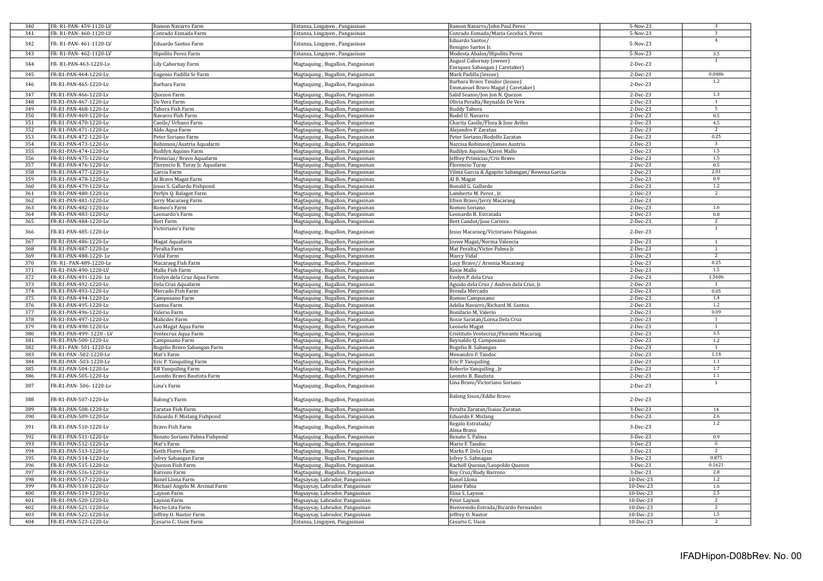| 340 | FR-R1-PAN-459-1120-LV   | Ramon Navarro Farm              | Estanza, Lingayen, Pangasinan    | Ramon Navarro/John Paul Perez                  | 5-Nov-23   | 3                |
|-----|-------------------------|---------------------------------|----------------------------------|------------------------------------------------|------------|------------------|
| 341 | FR-R1-PAN-460-1120-LV   | Conrado Esmada Farm             | Estanza, Lingayen, Pangasinan    | Conrado Esmada/Maria Cecelia S. Perez          | 5-Nov-23   | $\overline{3}$   |
|     |                         |                                 |                                  | Eduardo Santos/                                |            | $\overline{4}$   |
| 342 | FR-R1-PAN-461-1120-LV   | Eduardo Santos Farm             | Estanza, Lingayen, Pangasinan    |                                                | 5-Nov-23   |                  |
|     |                         |                                 |                                  | Benigno Santos Jr.                             |            |                  |
| 343 | FR-R1-PAN-462-1120-LV   | Hipolito Perez Farm             | Estanza, Lingayen, Pangasinan    | Modesta Abalos/Hipolito Perez                  | 5-Nov-23   | 3.5              |
| 344 | FR-R1-PAN-463-1220-Lv   | Lily Cabornay Farm              | Magtaquing, Bugallon, Pangasinan | August Cabornay (owner)                        | 2-Dec-23   | $\mathbf{1}$     |
|     |                         |                                 |                                  | Enriquez Sabangan (Caretaker)                  |            |                  |
| 345 | FR-R1-PAN-464-1220-Lv   | Eugenio Padilla Sr Farm         | Magtaquing, Bugallon, Pangasinan | Mark Padilla (lessee)                          | 2-Dec-23   | 0.0486           |
|     |                         |                                 |                                  | Barbara Bravo Tinidor (lessee)                 |            | 1.2              |
| 346 | FR-R1-PAN-465-1220-Lv   | Barbara Farm                    | Magtaquing, Bugallon, Pangasinan |                                                | 2-Dec-23   |                  |
|     |                         |                                 |                                  | Emmanuel Bravo Magat (Caretaker)               |            |                  |
| 347 | FR-R1-PAN-466-1220-Lv   | Quezon Farm                     | Magtaquing, Bugallon, Pangasinan | Salid Seanio/Jon Jon N. Quezon                 | 2-Dec-23   | 1.3              |
| 348 | FR-R1-PAN-467-1220-Lv   | De Vera Farm                    | Magtaquing, Bugallon, Pangasinan | Olivia Peralta/Reynaldo De Vera                | 2-Dec-23   | $\mathbf{1}$     |
| 349 | FR-R1-PAN-468-1220-Lv   | Tabora Fish Farm                | Magtaquing, Bugallon, Pangasinan | <b>Buddy Tabora</b>                            | 2-Dec-23   | $\overline{5}$   |
| 350 | FR-R1-PAN-469-1220-Lv   | Navarro Fish Farm               | Magtaquing, Bugallon, Pangasinan | Rodel U. Navarro                               | 2-Dec-23   | $0.5\,$          |
|     |                         |                                 |                                  |                                                |            |                  |
| 351 | FR-R1-PAN-470-1220-Lv   | Caoile/ Urbano Farm             | Magtaquing, Bugallon, Pangasinan | Charita Caoile/Flora & Jose Aviles             | 2-Dec-23   | $4.5\,$          |
| 352 | FR-R1-PAN-471-1220-Lv   | Aldo Aqua Farm                  | Magtaquing, Bugallon, Pangasinan | Alejandro P. Zaratan                           | 2-Dec-23   | $\overline{2}$   |
| 353 | FR-R1-PAN-472-1220-Lv   | Peter Soriano Farm              | Magtaquing, Bugallon, Pangasinan | Peter Soriano/Rodolfo Zaratan                  | 2-Dec-23   | 0.25             |
| 354 | FR-R1-PAN-473-1220-Lv   | Robinson/Austria Aquafarm       | Magtaquing, Bugallon, Pangasinan | Narcisa Robinson/James Austria                 | 2-Dec-23   | $\overline{3}$   |
| 355 | FR-R1-PAN-474-1220-Lv   | Rudilyn Aquino Farm             |                                  | Rudilyn Aquino/Karen Mallo                     | 2-Dec-23   | 1.5              |
|     |                         |                                 | Magtaquing, Bugallon, Pangasinan |                                                |            |                  |
| 356 | FR-R1-PAN-475-1220-Lv   | Primicias/ Bravo Aquafarm       | magtaquing, Bugallon, Pangasinan | Jeffrey Primicias/Cris Bravo                   | 2-Dec-23   | 1.5              |
| 357 | FR-R1-PAN-476-1220-Lv   | Florencio R. Turay Jr. Aquafarm | Magtaquing, Bugallon, Pangasinan | Florencio Turay                                | 2-Dec-23   | 0.5              |
| 358 | FR-R1-PAN-477-1220-Lv   | Garcia Farm                     | Magtaquing, Bugallon, Pangasinan | Vilma Garcia & Agapito Sabangan/ Rowena Garcia | 2-Dec-23   | 2.01             |
| 359 | FR-R1-PAN-478-1220-Lv   | Al Bravo Magat Farm             | Magtaquing, Bugallon, Pangasinan | Al B. Magat                                    | 2-Dec-23   | 0.9              |
| 360 | FR-R1-PAN-479-1220-Lv   | Jesus S. Gallardo Fishpond      |                                  | Ronald G. Gallardo                             | 2-Dec-23   | 1.2              |
|     |                         |                                 | Magtaquing, Bugallon, Pangasinan |                                                |            |                  |
| 361 | FR-R1-PAN-480-1220-Lv   | Perlyn Q. Balagot Farm          | Magtaquing, Bugallon, Pangasinan | Lamberto M. Perez, Jr.                         | $2-Dec-23$ | $\overline{2}$   |
| 362 | FR-R1-PAN-481-1220-Lv   | Jerry Macaraeg Farm             | Magtaquing, Bugallon, Pangasinan | Efren Bravo/Jerry Macaraeg                     | 2-Dec-23   |                  |
| 363 | FR-R1-PAN-482-1220-Lv   | Romeo's Farm                    | Magtaquing, Bugallon, Pangasinan | Romeo Soriano                                  | 2-Dec-23   | $1.6\,$          |
| 364 | FR-R1-PAN-483-1220-Lv   | Leonardo's Farm                 | Magtaquing, Bugallon, Pangasinan | Leonardo B. Estratada                          | $2-Dec-23$ | $0.8\,$          |
| 365 | FR-R1-PAN-484-1220-Lv   | Bert Farm                       |                                  | Bert Candot/Jose Carrera                       | $2-Dec-23$ | $\overline{2}$   |
|     |                         |                                 | Magtaquing, Bugallon, Pangasinan |                                                |            |                  |
| 366 | FR-R1-PAN-485-1220-Lv   | Victoriano's Farm               | Magtaquing, Bugallon, Pangasinan | Jesus Macaraeg/Victoriano Palaganas            | 2-Dec-23   | $\mathbf{1}$     |
|     |                         |                                 |                                  |                                                |            |                  |
| 367 | FR-R1-PAN-486-1220-Lv   | Magat Aquafarm                  | Magtaquing, Bugallon, Pangasinan | Joswe Magat/Norma Valencia                     | $2-Dec-23$ | $\mathbf{1}$     |
| 368 | FR-R1-PAN-487-1220-Lv   | Peralta Farm                    | Magtaquing, Bugallon, Pangasinan | Mat Peralta/Victor Palma Jr.                   | 2-Dec-23   | $\mathbf{1}$     |
| 369 | FR-R1-PAN-488-1220-Lv   | Vidal Farm                      | Magtaquing, Bugallon, Pangasinan | Marcy Vidal                                    | 2-Dec-23   | $\overline{2}$   |
|     |                         |                                 |                                  |                                                |            | 0.25             |
| 370 | FR-R1-PAN-489-1220-Lv   | Macaraeg Fish Farm              | Magtaquing, Bugallon, Pangasinan | Lucy Bravo// Arsenia Macaraeg                  | 2-Dec-23   |                  |
| 371 | FR-R1-PAN-490-1220-LV   | Mallo Fish Farm                 | Magtaquing, Bugallon, Pangasinan | Rosie Mallo                                    | 2-Dec-23   | 1.5              |
| 372 | FR-R1-PAN-491-1220-Lv   | Evelyn dela Cruz Aqua Farm      | Magtaquing, Bugallon, Pangasinan | Evelyn P. dela Cruz                            | 2-Dec-23   | 1.5606           |
| 373 | FR-R1-PAN-492-1220-Lv   | Dela Cruz Aquafarm              | Magtaquing, Bugallon, Pangasinan | Aguido dela Cruz / Andres dela Cruz, Jr.       | $2-Dec-23$ | $\overline{1}$   |
| 374 | FR-R1-PAN-493-1220-Lv   | Mercado Fish Farm               | Magtaquing, Bugallon, Pangasinan | Brenda Mercado                                 | 2-Dec-23   | 0.05             |
| 375 | FR-R1-PAN-494-1220-Lv   | Camposano Farm                  | Magtaquing, Bugallon, Pangasinan | Romeo Camposano                                | 2-Dec-23   | 1,4              |
|     |                         |                                 |                                  |                                                |            |                  |
| 376 | FR-R1-PAN-495-1220-Lv   | Santos Farm                     | Magtaquing, Bugallon, Pangasinan | Adelia Navarro/Richard M. Santos               | 2-Dec-23   | $1.2\,$          |
| 377 | FR-R1-PAN-496-1220-Lv   | Valerio Farm                    | Magtaquing, Bugallon, Pangasinan | Bonifacio M, Valerio                           | 2-Dec-23   | 0.09             |
| 378 | FR-R1-PAN-497-1220-Lv   | Malicdec Farm                   | Magtaquing, Bugallon, Pangasinan | Rosie Saratan/Lorna Dela Cruz                  | 2-Dec-23   | $\overline{1}$   |
| 379 | FR-R1-PAN-498-1220-Lv   | Leo Magat Aqua Farm             | Magtaquing, Bugallon, Pangasinan | Leonelo Magat                                  | $2-Dec-23$ | $\mathbf{1}$     |
| 380 | FR-R1-PAN-499-1220 - LV | Ventecruz Aqua Farm             | Magtaquing, Bugallon, Pangasinan | Cristituto Ventecruz/Florante Macaraig         | 2-Dec-23   | 3.5              |
|     |                         |                                 |                                  |                                                |            | 1.2              |
| 381 | FR-R1-PAN-500-1220-Lv   | Camposano Farm                  | Magtaquing, Bugallon, Pangasinan | Reynaldo Q. Camposano                          | 2-Dec-23   |                  |
| 382 | FR-R1- PAN-501-1220-Lv  | Rogelio Bravo Sabangan Farm     | Magtaquing, Bugallon, Pangasinan | Rogelio B. Sabangan                            | 2-Dec-23   | $\mathbf{1}$     |
| 383 | FR-R1-PAN -502-1220-Lv  | Mat's Farm                      | Magtaquing, Bugallon, Pangasinan | Menandro F. Tandoc                             | 2-Dec-23   | 1.14             |
| 384 | FR-R1-PAN -503-1220-Lv  | Eric P. Yanquiling Farm         | Magtaquing, Bugallon, Pangasinan | Eric P. Yanquiling                             | 2-Dec-23   | 1.1              |
| 385 | FR-R1-PAN-504-1220-Lv   | RB Yanquiling Farm              | Magtaquing, Bugallon, Pangasinan | Roberto Yanquiling, Jr                         | 2-Dec-23   | 1.7              |
| 386 | FR-R1-PAN-505-1220-Lv   | Leonito Bravo Bautista Farm     |                                  | Leonito B. Bautista                            |            | $1.1\,$          |
|     |                         |                                 | Magtaquing, Bugallon, Pangasinan |                                                | 2-Dec-23   |                  |
| 387 | FR-R1-PAN-506-1220-Lv   | Lina's Farm                     | Magtaquing, Bugallon, Pangasinan | Lina Bravo/Victoriano Soriano                  | $2-Dec-23$ |                  |
|     |                         |                                 |                                  |                                                |            |                  |
|     |                         |                                 |                                  | Balong Sison/Eddie Bravo                       |            |                  |
| 388 | FR-R1-PAN-507-1220-Lv   | Balong's Farm                   | Magtaquing, Bugallon, Pangasinan |                                                | 2-Dec-23   |                  |
| 389 | FR-R1-PAN-508-1220-Lv   | Zaratan Fish Farm               | Magtaquing, Bugallon, Pangasinan | Peralta Zaratan/Isaias Zaratan                 | 3-Dec-23   | 14               |
| 390 | FR-R1-PAN-509-1220-Lv   | Eduardo F. Mislang Fishpond     | Magtaquing, Bugallon, Pangasinan | Eduardo F. Mislang                             | 3-Dec-23   | 2.6              |
|     |                         |                                 |                                  |                                                |            | $\overline{1.2}$ |
| 391 | FR-R1-PAN-510-1220-Lv   | Bravo Fish Farm                 | Magtaquing, Bugallon, Pangasinan | Regalo Estratada/                              | 3-Dec-23   |                  |
|     |                         |                                 |                                  | Alma Bravo                                     |            |                  |
| 392 | FR-R1-PAN-511-1220-Lv   | Renato Soriano Palma Fishpond   | Magtaquing, Bugallon, Pangasinan | Renato S. Palma                                | 3-Dec-23   | 0.9              |
| 393 | FR-R1-PAN-512-1220-Lv   | Mat's Farm                      | Magtaquing, Bugallon, Pangasinan | Mario F. Tandoc                                | 3-Dec-23   | $6\overline{6}$  |
| 394 | FR-R1-PAN-513-1220-Lv   | Keith Flores Farm               | Magtaquing, Bugallon, Pangasinan | Marks P. Dela Cruz                             | 3-Dec-23   | $\overline{2}$   |
|     |                         |                                 |                                  |                                                |            | 0.875            |
| 395 | FR-R1-PAN-514-1220-Lv   | Jefrey Sabangan Farm            | Magtaquing, Bugallon, Pangasinan | Jefrey S. Sabnagan                             | 3-Dec-23   |                  |
| 396 | FR-R1-PAN-515-1220-Lv   | Quezon Fish Farm                | Magtaquing, Bugallon, Pangasinan | Rachell Quezon/Leopoldo Quezon                 | 3-Dec-23   | 0.1621           |
| 397 | FR-R1-PAN-516-1220-Lv   | Barrozo Farm                    | Magtaquing, Bugallon, Pangasinan | Roy Cruz/Rudy Barrozo                          | 3-Dec-23   | 2.8              |
| 398 | FR-R1-PAN-517-1220-Lv   | Ronel Llona Farm                | Magsaysay, Labrador, Pangasinan  | Ronel Llona                                    | 10-Dec-23  | 1.2              |
| 399 | FR-R1-PAN-518-1220-Lv   | Michael Angelo M. Arcinal Farm  | Magsaysay, Labrador, Pangasinan  | Jaime Fabia                                    | 10-Dec-23  | $1.6\,$          |
| 400 | FR-R1-PAN-519-1220-Lv   |                                 | Magsaysay, Labrador, Pangasinan  | Elisa S. Layson                                | 10-Dec-23  | 2.5              |
|     |                         | Layson Farm                     |                                  |                                                |            |                  |
| 401 | FR-R1-PAN-520-1220-Lv   | Layson Farm                     | Magsaysay, Labrador, Pangasinan  | Peter Layson                                   | 10-Dec-23  | $\overline{2}$   |
| 402 | FR-R1-PAN-521-1220-Lv   | Recto-Lita Farm                 | Magsaysay, Labrador, Pangasinan  | Bienvenido Estrada/Ricardo Fernandez           | 10-Dec-23  | 2                |
| 403 | FR-R1-PAN-522-1220-Lv   | Jeffrey O. Nastor Farm          | Magsaysay, Labrador, Pangasinan  | Jeffrey O. Nastor                              | 10-Dec-23  | 1.5              |
| 404 | FR-R1-PAN-523-1220-Lv   | Cesario C. Uson Farm            | Estanza, Lingayen, Pangasinan    | Cesario C. Uson                                | 10-Dec-23  | $\overline{2}$   |
|     |                         |                                 |                                  |                                                |            |                  |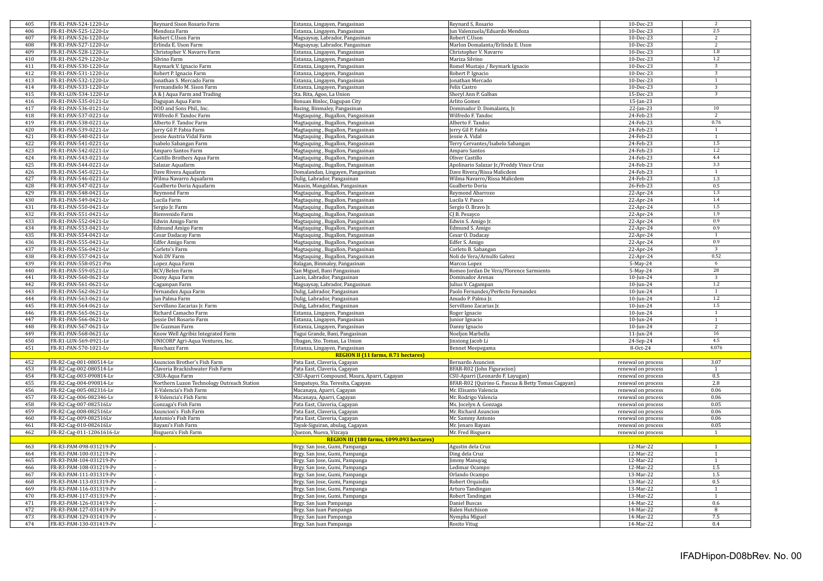| 405        | FR-R1-PAN-524-1220-Lv                              | Reynard Sison Rosario Farm                 | Estanza, Lingayen, Pangasinan                      | Reynard S, Rosario                                 | 10-Dec-23              | 2                       |
|------------|----------------------------------------------------|--------------------------------------------|----------------------------------------------------|----------------------------------------------------|------------------------|-------------------------|
| 406        | FR-R1-PAN-525-1220-Lv                              | Mendoza Farm                               | Estanza, Lingayen, Pangasinan                      | Jun Valenzuela/Eduardo Mendoza                     | 10-Dec-23              | $2.5\,$                 |
| 407        | FR-R1-PAN-526-1220-Lv                              | Robert C.Uson Farm                         | Magsaysay, Labrador, Pangasinan                    | Robert C.Uson                                      | 10-Dec-23              | $\overline{2}$          |
| 408        | FR-R1-PAN-527-1220-Lv                              | Erlinda E. Uson Farm                       | Magsaysay, Labrador, Pangasinan                    | Marlon Domalanta/Erlinda E. Uson                   | 10-Dec-23              | 2                       |
| 409        | FR-R1-PAN-528-1220-Lv                              | Christopher V. Navarro Farm                | Estanza, Lingayen, Pangasinan                      | Christopher V. Navarro                             | 10-Dec-23              | 1.8                     |
| 410        | FR-R1-PAN-529-1220-Lv                              | Silvino Farm                               | Estanza, Lingayen, Pangasinan                      | Mariza Silvino                                     | 10-Dec-23              | 1.2                     |
| 411        | FR-R1-PAN-530-1220-Lv                              | Raymark V. Ignacio Farm                    | Estanza, Lingayen, Pangasinan                      | Romel Mustajo / Reymark Ignacio                    | 10-Dec-23              | $\overline{3}$          |
| 412        | FR-R1-PAN-531-1220-Lv                              | Robert P. Ignacio Farm                     | Estanza, Lingayen, Pangasinan                      | Robert P. Ignacio                                  | 10-Dec-23              | $\overline{3}$          |
| 413        | FR-R1-PAN-532-1220-Lv                              | Jonathan S. Mercado Farm                   | Estanza, Lingayen, Pangasinan                      | Jonathan Mercado                                   | 10-Dec-23              | $\mathbf{1}$            |
|            |                                                    |                                            |                                                    |                                                    |                        | 3                       |
| 414        | FR-R1-PAN-533-1220-Lv                              | Fermandielo M. Sison Farm                  | Estanza, Lingayen, Pangasinan                      | Felix Castro                                       | 10-Dec-23              |                         |
| 415        | FR-R1-LUN-534-1220-Lv                              | A & I Aqua Farm and Trading                | Sta. Rita, Agoo, La Union                          | Sheryl Ann P. Galban                               | 15-Dec-23              | 3                       |
| 416        | FR-R1-PAN-535-0121-Lv                              | Dagupan Aqua Farm                          | Bonuan Binloc, Dagupan City                        | Arlito Gomez                                       | $15$ -Jan-23           |                         |
| 417        | FR-R1-PAN-536-0121-Lv                              | DOD and Sons Phil., Inc.                   | Basing, Binmaley, Pangasinan                       | Dominador D. Domalanta, Jr.                        | 22-Jan-23              | 10                      |
| 418        | FR-R1-PAN-537-0221-Lv                              | Wilfredo F. Tandoc Farm                    | Magtaquing, Bugallon, Pangasinan                   | Wilfredo F. Tandoc                                 | 24-Feb-23              | 2                       |
| 419        | FR-R1-PAN-538-0221-Lv                              | Alberto F. Tandoc Farm                     | Magtaquing, Bugallon, Pangasinan                   | Alberto F. Tandoc                                  | 24-Feb-23              | 0.76                    |
| 420        | FR-R1-PAN-539-0221-Lv                              | Jerry Gil P. Fabia Farm                    | Magtaquing, Bugallon, Pangasinan                   | Jerry Gil P. Fabia                                 | 24-Feb-23              | 1                       |
| 421        | FR-R1-PAN-540-0221-Lv                              | Jessie Austria Vidal Farm                  | Magtaquing, Bugallon, Pangasinan                   | Jessie A. Vidal                                    | 24-Feb-23              | 1                       |
| 422        | FR-R1-PAN-541-0221-Lv                              | Isabelo Sabangan Farm                      | Magtaquing, Bugallon, Pangasinan                   | Terry Cervantes/Isabelo Sabangan                   | 24-Feb-23              | 1.5                     |
| 423        | FR-R1-PAN-542-0221-Lv                              | Amparo Santos Farm                         | Magtaquing, Bugallon, Pangasinan                   | Amparo Santos                                      | 24-Feb-23              | 1.2                     |
| 424        | FR-R1-PAN-543-0221-Lv                              | Castillo Brothers Aqua Farm                | Magtaquing, Bugallon, Pangasinan                   | Oliver Castillo                                    | 24-Feb-23              | 4.4                     |
| 425        | FR-R1-PAN-544-0221-Lv                              | Salazar Aquafarm                           | Magtaquing, Bugallon, Pangasinan                   | Apolinario Salazar Jr./Freddy Vince Cruz           | 24-Feb-23              | 3.3                     |
|            |                                                    |                                            |                                                    |                                                    |                        |                         |
| 426        | FR-R1-PAN-545-0221-Lv                              | Dave Rivera Aquafarm                       | Domalandan, Lingayen, Pangasinan                   | Dave Rivera/Rissa Malicdem                         | 24-Feb-23              | $\mathbf{1}$            |
| 427        | FR-R1-PAN-546-0221-Lv                              | Wilma Navarro Aquafarm                     | Dulig, Labrador, Pangasinan                        | Wilma Navarro/Rissa Malicdem                       | 24-Feb-23              | $1.3\,$                 |
| 428        | FR-R1-PAN-547-0221-Lv                              | Gualberto Doria Aquafarm                   | Maasin, Mangaldan, Pangasinan                      | Gualberto Doria                                    | 26-Feb-23              | 0.5                     |
| 429        | FR-R1-PAN-548-0421-Lv                              | Reymond Farm                               | Magtaquing, Bugallon, Pangasinan                   | Reymond Abarrozo                                   | 22-Apr-24              | 1.3                     |
| 430        | FR-R1-PAN-549-0421-Lv                              | Lucila Farm                                | Magtaquing, Bugallon, Pangasinan                   | Lucila V. Pasco                                    | 22-Apr-24              | 1.4                     |
| 431        | FR-R1-PAN-550-0421-Lv                              | Sergio Jr. Farm                            | Magtaquing, Bugallon, Pangasinan                   | Sergio O. Bravo Jr.                                | 22-Apr-24              | 1.5                     |
| 432        | FR-R1-PAN-551-0421-Lv                              | Bienvenido Farm                            | Magtaquing, Bugallon, Pangasinan                   | CJ B. Pesayco                                      | 22-Apr-24              | 1.9                     |
| 433        | FR-R1-PAN-552-0421-Lv                              | Edwin Amigo Farm                           | Magtaquing, Bugallon, Pangasinan                   | Edwin S. Amigo Jr.                                 | 22-Apr-24              | 0.9                     |
| 434        | FR-R1-PAN-553-0421-Lv                              | <b>Edmund Amigo Farm</b>                   | Magtaquing, Bugallon, Pangasinan                   | Edmund S. Amigo                                    | 22-Apr-24              | 0.9                     |
| 435        | FR-R1-PAN-554-0421-Lv                              | Cesar Dadacay Farm                         | Magtaquing, Bugallon, Pangasinan                   | Cesar O. Dadacay                                   | 22-Apr-24              | 1                       |
| 436        | FR-R1-PAN-555-0421-Lv                              | Edfer Amigo Farm                           | Magtaquing, Bugallon, Pangasinan                   | Edfer S. Amigo                                     | 22-Apr-24              | 0.9                     |
| 437        | FR-R1-PAN-556-0421-Lv                              |                                            |                                                    |                                                    |                        | $\overline{3}$          |
|            |                                                    | Corleto's Farm                             | Magtaquing, Bugallon, Pangasinan                   | Corleto B. Sabangan                                | 22-Apr-24              | 0.52                    |
| 438        | FR-R1-PAN-557-0421-Lv                              | Noli DV Farm                               | Magtaquing, Bugallon, Pangasinan                   | Noli de Vera/Arnulfo Galvez                        | 22-Apr-24              |                         |
| 439        | FR-R1-PAN-558-0521-Pm                              | Lopez Aqua Farm                            | Balagan, Binmaley, Pangasinan                      | Marcos Lopez                                       | 5-May-24               | 6                       |
| 440        | FR-R1-PAN-559-0521-Lv                              | RCV/Belen Farm                             | San Miguel, Bani Pangasinan                        | Romeo Jordan De Vera/Florence Sarmiento            | 5-May-24               | 28                      |
| 441        | FR-R1-PAN-560-0621-Lv                              | Domy Aqua Farm                             | Laois, Labrador, Pangasinan                        | Dominador Arenas                                   | 10-Jun-24              | $\overline{\mathbf{3}}$ |
| 442        | FR-R1-PAN-561-0621-Lv                              | Cagampan Farm                              | Magsaysay, Labrador, Pangasinan                    | Julius V. Cagampan                                 | 10-Jun-24              | 1.2                     |
| 443        | FR-R1-PAN-562-0621-Lv                              | Fernandez Aqua Farm                        | Dulig, Labrador, Pangasinan                        | Paolo Fernandez/Perfecto Fernandez                 | 10-Jun-24              | $\mathbf{1}$            |
| 444        | FR-R1-PAN-563-0621-Lv                              | Jun Palma Farm                             | Dulig, Labrador, Pangasinan                        | Amado P. Palma Jr.                                 | $10$ -Jun-24           | 1.2                     |
| 445        | FR-R1-PAN-564-0621-Lv                              | Servillano Zacarias Jr. Farm               | Dulig, Labrador, Pangasinan                        | Servillano Zacarias Jr.                            | $10$ -Jun-24           | 1.5                     |
| 446        | FR-R1-PAN-565-0621-Lv                              | Richard Camacho Farm                       | Estanza, Lingayen, Pangasinan                      | Roger Ignacio                                      | 10-Jun-24              | 1                       |
| 447        | FR-R1-PAN-566-0621-Lv                              | Jessie Del Rosario Farm                    | Estanza, Lingayen, Pangasinan                      | Junior Ignacio                                     | 10-Jun-24              | $\mathbf{1}$            |
| 448        | FR-R1-PAN-567-0621-Lv                              | De Guzman Farm                             |                                                    |                                                    |                        | $\overline{2}$          |
|            |                                                    |                                            | Estanza, Lingayen, Pangasinan                      | Danny Ignacio                                      | 10-Jun-24              | 16                      |
| 449        | FR-R1-PAN-568-0621-Lv                              | Know Well Agribiz Integrated Farm          | Tugui Grande, Bani, Pangasinan                     | Noeljon Marbella                                   | 11-Jun-24              |                         |
| 450        | FR-R1-LUN-569-0921-Lv                              | UNICORP Agri-Aqua Ventures, Inc.           | Ubagan, Sto. Tomas, La Union                       | Jinxiong Jacob Li                                  | 24-Sep-24              | 4.5                     |
| 451        | FR-R1-PAN-570-1021-Lv                              | Roschazz Farm                              | Estanza, Lingayen, Pangasinan                      | Bennet Meepegama                                   | 8-Oct-24               | 4.076                   |
|            |                                                    |                                            | <b>REGION II (11 farms, 8.71 hectares)</b>         |                                                    |                        |                         |
| 452        | FR-R2-Cag-001-080514-Lv                            | Asuncion Brother's Fish Farm               | Pata East, Claveria, Cagayan                       | Bernardo Asuncion                                  | renewal on process     | 3.07                    |
| 453        | FR-R2-Cag-002-080514-Lv                            | Claveria Brackishwater Fish Farm           | Pata East, Claveria, Cagayan                       | BFAR-R02 (John Figuracion)                         | renewal on process     | $\overline{1}$          |
| 454        | FR-R2-Cag-003-090814-Lv                            | CSUA-Aqua Farm                             | CSU-Aparri Compound, Maura, Aparri, Cagayan        | CSU-Aparri (Leonardo F. Layugan)                   | renewal on process     | 0.5                     |
| 455        | FR-R2-Cag-004-090814-Lv                            | Northern Luzon Technology Outreach Station | Simpatuyo, Sta. Teresita, Cagayan                  | BFAR-R02 (Quirino G. Pascua & Betty Tomas Cagayan) | renewal on process     | 2.8                     |
| 456        | FR-R2-Cag-005-082316-Lv                            | E-Valencia's Fish Farm                     | Macanaya, Aparri, Cagayan                          | Mr. Elisanto Valencia                              | renewal on process     | 0.06                    |
| 457        | FR-R2-Cag-006-082346-Lv                            | R-Valencia's Fish Farm                     | Macanaya, Aparri, Cagayan                          | Mr. Rodrigo Valencia                               | renewal on process     | 0.06                    |
| 458        | FR-R2-Cag-007-082516Lv                             | Gonzaga's Fish Farm                        | Pata East, Claveria, Cagayan                       | Ms. Jocelyn A. Gonzaga                             | renewal on process     | 0.05                    |
| 459        | FR-R2-Cag-008-082516Lv                             | Asuncion's Fish Farm                       | Pata East, Claveria, Cagayan                       | Mr. Richard Asuncion                               | renewal on process     | 0.06                    |
| 460        | FR-R2-Cag-009-082516Lv                             | Antonio's Fish Farm                        |                                                    | Mr. Sammy Antonio                                  |                        | 0.06                    |
|            |                                                    |                                            | Pata East, Claveria, Cagayan                       |                                                    | renewal on process     |                         |
| 461        | FR-R2-Cag-010-082616Lv                             | Bayani's Fish Farm                         | Tayak-Siguiran, abulag, Cagayan                    | Mr. Jenaro Bayani                                  | renewal on process     | 0.05                    |
| 462        | FR-R2-Cag-011-12061616-Lv                          | Bisguera's Fish Farm                       | Quezon, Nueva, Vizcaya                             | Mr. Fred Bisguera                                  | renewal on process     | $\mathbf{1}$            |
|            |                                                    |                                            | REGION III (180 farms, 1099.093 hectares)          |                                                    |                        |                         |
| 463        | FR-R3-PAM-098-031219-Pv                            |                                            | Brgy. San Jose, Gumi, Pampanga                     | Agustin dela Cruz                                  | 12-Mar-22              | $\overline{1}$          |
| 464        | FR-R3-PAM-100-031219-Pv                            |                                            | Brgy. San Jose, Gumi, Pampanga                     | Ding dela Cruz                                     | 12-Mar-22              | $\mathbf{1}$            |
| 465        | FR-R3-PAM-104-031219-Pv                            |                                            | Brgy. San Jose, Gumi, Pampanga                     | <b>Jimmy Manuyag</b>                               | 12-Mar-22              | $\mathbf{1}$            |
| 466        | FR-R3-PAM-108-031219-Pv                            |                                            | Brgy. San Jose, Gumi, Pampanga                     | Ledimar Ocampo                                     | 12-Mar-22              | $1.5\,$                 |
| 467        | FR-R3-PAM-111-031319-Pv                            |                                            | Brgy. San Jose, Gumi, Pampanga                     | Orlando Ocampo                                     | 13-Mar-22              | 1.5                     |
| 468        | FR-R3-PAM-113-031319-Pv                            |                                            | Brgy. San Jose, Gumi, Pampanga                     | Robert Orquiolla                                   | 13-Mar-22              | 0.5                     |
| 469        | FR-R3-PAM-116-031319-Pv                            |                                            | Brgy. San Jose, Gumi, Pampanga                     | Arturo Tandingan                                   | 13-Mar-22              | $\overline{1}$          |
| 470        | FR-R3-PAM-117-031319-Pv                            |                                            | Brgy. San Jose, Gumi, Pampanga                     | Robert Tandingan                                   | 13-Mar-22              | 1                       |
| 471        |                                                    |                                            |                                                    |                                                    |                        | 0.6                     |
|            | FR-R3-PAM-126-031419-Pv                            |                                            | Brgy. San Juan Pampanga                            | Daniel Buscas                                      | 14-Mar-22              |                         |
| 472<br>473 | FR-R3-PAM-127-031419-Pv                            |                                            | Brgy. San Juan Pampanga                            | <b>Balen Hutchison</b>                             | 14-Mar-22              | -8                      |
|            |                                                    |                                            |                                                    |                                                    |                        |                         |
| 474        | FR-R3-PAM-129-031419-Pv<br>FR-R3-PAM-130-031419-Pv |                                            | Brgy. San Juan Pampanga<br>Brgy. San Juan Pampanga | Nympha Miguel<br><b>Rosito Vitug</b>               | 14-Mar-22<br>14-Mar-22 | 7.5<br>0.4              |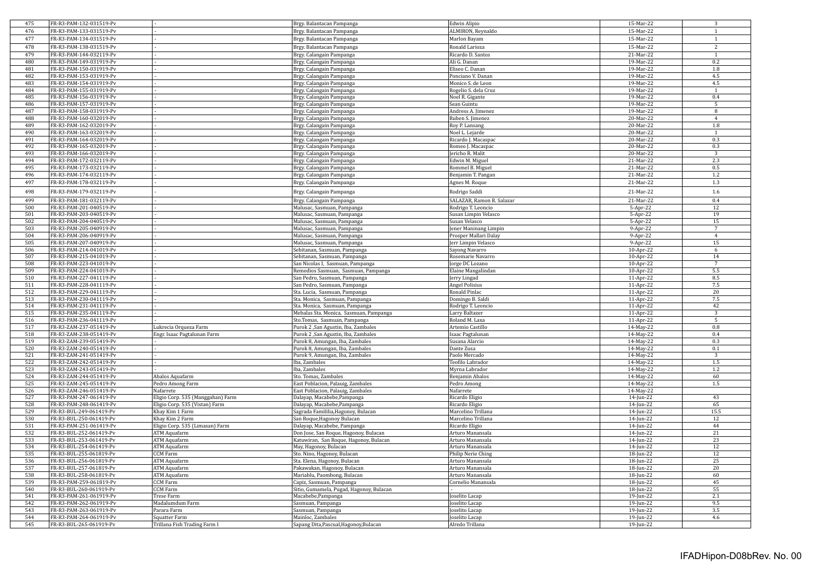| 475        | FR-R3-PAM-132-031519-Pv                            |                                               | Brgy. Balantacan Pampanga                                   | Edwin Alipio                     | 15-Mar-22              | 3                    |
|------------|----------------------------------------------------|-----------------------------------------------|-------------------------------------------------------------|----------------------------------|------------------------|----------------------|
| 476        | FR-R3-PAM-133-031519-Pv                            |                                               | Brgy. Balantacan Pampanga                                   | ALMIRON, Reynaldo                | 15-Mar-22              | $\mathbf{1}$         |
| 477        | FR-R3-PAM-134-031519-Pv                            |                                               | Brgy. Balantacan Pampanga                                   | Marlon Bayam                     | 15-Mar-22              | $\mathbf{1}$         |
| 478        | FR-R3-PAM-138-031519-Pv                            |                                               | Brgy. Balantacan Pampanga                                   | Ronald Larioza                   | 15-Mar-22              | $\overline{2}$       |
|            |                                                    |                                               |                                                             |                                  |                        |                      |
| 479        | FR-R3-PAM-144-032119-Pv                            |                                               | Brgy. Calangain Pampanga                                    | Ricardo D. Santos                | 21-Mar-22              | $\mathbf{1}$         |
| 480        | FR-R3-PAM-149-031919-Pv                            |                                               | Brgy. Calangain Pampanga                                    | Ali G. Danan                     | 19-Mar-22              | 0.2                  |
| 481        | FR-R3-PAM-150-031919-Pv                            |                                               | Brgy. Calangain Pampanga                                    | Eliseo C. Danan                  | 19-Mar-22              | 1.8                  |
| 482        | FR-R3-PAM-153-031919-Pv                            |                                               | Brgy. Calangain Pampanga                                    | Ponciano V. Danan                | 19-Mar-22              | 4.5                  |
| 483        | FR-R3-PAM-154-031919-Pv                            |                                               | Brgy. Calangain Pampanga                                    | Monico S. de Leon                | 19-Mar-22              | 4.5                  |
| 484        | FR-R3-PAM-155-031919-Pv                            |                                               | Brgy. Calangain Pampanga                                    | Rogelio S. dela Cruz             | 19-Mar-22              | $\mathbf{1}$         |
| 485        | FR-R3-PAM-156-031919-Pv                            |                                               | Brgy. Calangain Pampanga                                    | Noel R. Gigante                  | 19-Mar-22              | 0.4                  |
| 486        | FR-R3-PAM-157-031919-Pv                            |                                               | Brgy. Calangain Pampanga                                    | Sean Guintu                      | 19-Mar-22              | 5                    |
| 487        | FR-R3-PAM-158-031919-Pv                            |                                               | Brgy. Calangain Pampanga                                    | Andress A. Jimenez               | 19-Mar-22              | 8                    |
| 488        | FR-R3-PAM-160-032019-Pv                            |                                               | Brgy. Calangain Pampanga                                    | Ruben S. Jimenez                 | $20$ -Mar-22           | $\overline{4}$       |
| 489        | FR-R3-PAM-162-032019-Pv                            |                                               | Brgy. Calangain Pampanga                                    | Roy P. Lansang                   | 20-Mar-22              | 1.8                  |
| 490        | FR-R3-PAM-163-032019-Pv                            |                                               | Brgy. Calangain Pampanga                                    | Noel L. Lejarde                  | $20-Mar-22$            | -1                   |
| 491        | FR-R3-PAM-164-032019-Pv                            |                                               | Brgy. Calangain Pampanga                                    | Ricardo J. Macaspac              | 20-Mar-22              | 0.3                  |
| 492        | FR-R3-PAM-165-032019-Pv                            |                                               | Brgy. Calangain Pampanga                                    | Romeo J. Macaspac                | 20-Mar-22              | 0.3                  |
| 493        | FR-R3-PAM-166-032019-Pv                            |                                               | Brgy. Calangain Pampanga                                    | Jericho R. Malit                 | 20-Mar-22              | 3                    |
| 494        | FR-R3-PAM-172-032119-Pv                            |                                               | Brgy. Calangain Pampanga                                    | Edwin M. Miguel                  | 21-Mar-22              | 2.3                  |
| 495        | FR-R3-PAM-173-032119-Pv                            |                                               | Brgy. Calangain Pampanga                                    | Rommel B. Miguel                 | 21-Mar-22              | 0.5                  |
| 496        | FR-R3-PAM-174-032119-Pv                            |                                               | Brgy. Calangain Pampanga                                    | Benjamin T. Pangan               | 21-Mar-22              | 1.2                  |
| 497        | FR-R3-PAM-178-032119-Pv                            |                                               | Brgy. Calangain Pampanga                                    | Agnes M. Roque                   | 21-Mar-22              | 1.3                  |
| 498        | FR-R3-PAM-179-032119-Pv                            |                                               | Brgy. Calangain Pampanga                                    | Rodrigo Saddi                    | 21-Mar-22              | 1.6                  |
|            |                                                    |                                               |                                                             |                                  |                        |                      |
| 499        | FR-R3-PAM-181-032119-Pv                            |                                               | Brgy. Calangain Pampanga                                    | SALAZAR, Ramon R. Salazar        | 21-Mar-22              | 0.4                  |
| 500<br>501 | FR-R3-PAM-201-040519-Pv<br>FR-R3-PAM-203-040519-Pv |                                               | Malusac, Sasmuan, Pampanga                                  | Rodrigo T. Leoncio               | 5-Apr-22               | 12                   |
|            |                                                    |                                               | Malusac, Sasmuan, Pampanga                                  | Susan Limpin Velasco             | 5-Apr-22               | 19                   |
| 502        | FR-R3-PAM-204-040519-Pv                            |                                               | Malusac, Sasmuan, Pampanga                                  | Susan Velasco                    | 5-Apr-22               | 15                   |
| 503        | FR-R3-PAM-205-040919-Pv                            |                                               | Malusac, Sasmuan, Pampanga                                  | ener Maninang Limpin             | 9-Apr-22               | $\overline{7}$       |
| 504        | FR-R3-PAM-206-040919-Pv                            |                                               | Malusac, Sasmuan, Pampanga                                  | Prosper Mallari Dalay            | 9-Apr-22               | $\overline{4}$       |
| 505        | FR-R3-PAM-207-040919-Pv                            |                                               | Malusac, Sasmuan, Pampanga                                  | Jerr Limpin Velasco              | 9-Apr-22               | 15                   |
| 506        | FR-R3-PAM-214-041019-Pv                            |                                               | Sebitanan, Sasmuan, Pampanga                                | Sayong Navarro                   | 10-Apr-22              | 6                    |
| 507        | FR-R3-PAM-215-041019-Pv                            |                                               | Sebitanan, Sasmuan, Pampanga                                | Rosemarie Navarro                | 10-Apr-22              | 14<br>$\overline{7}$ |
| 508        | FR-R3-PAM-223-041019-Pv                            |                                               | San Nicolas I,  Sasmuan, Pampanga                           | orge DC Lozano                   | 10-Apr-22              |                      |
| 509        | FR-R3-PAM-224-041019-Pv                            |                                               | Remedios Sasmuan, Sasmuan, Pampanga                         | Elaine Mangalindan               | $10$ -Apr-22           | 5.5                  |
| 510        | FR-R3-PAM-227-041119-Pv                            |                                               | San Pedro, Sasmuan, Pampanga                                | erry Lingad                      | 11-Apr-22              | 8.5                  |
| 511        | FR-R3-PAM-228-041119-Pv                            |                                               | San Pedro, Sasmuan, Pampanga                                | Angel Polisius                   | $11-Apr-22$            | 7.5                  |
| 512        | FR-R3-PAM-229-041119-Pv                            |                                               | Sta. Lucia, Sasmuan, Pampanga                               | Ronald Pinlac                    | 11-Apr-22              | 20                   |
| 513        | FR-R3-PAM-230-041119-Pv                            |                                               | Sta. Monica, Sasmuan, Pampanga                              | Domingo B. Saldi                 | 11-Apr-22              | 7.5                  |
| 514        | FR-R3-PAM-231-041119-Pv                            |                                               | Sta. Monica, Sasmuan, Pampanga                              | Rodrigo T. Leoncio               | 11-Apr-22              | 42                   |
| 515        | FR-R3-PAM-235-041119-Pv                            |                                               | Mebalas Sta. Monica, Sasmuan, Pampanga                      | Larry Baltazer                   | 11-Apr-22              | 3                    |
| 516        |                                                    |                                               |                                                             |                                  |                        |                      |
|            | FR-R3-PAM-236-041119-Pv                            |                                               | Sto.Tomas, Sasmuan, Pampanga                                | Roland M. Laxa                   | 11-Apr-22              | 5                    |
| 517        | FR-R3-ZAM-237-051419-Pv                            | Lukrecia Orqueza Farm                         | Purok 2 ,San Agustin, Iba, Zambales                         | Artemio Castillo                 | 14-May-22              | $\rm 0.8$            |
| 518        | FR-R3-ZAM-238-051419-Pv                            | Engr. Isaac Pagtalunan Farm                   | Purok 2, San Agustin, Iba, Zambales                         | saac Pagtalunan                  | 14-May-22              | 0.4                  |
| 519        | FR-R3-ZAM-239-051419-Pv                            |                                               | Purok 8, Amungan, Iba, Zambales                             | Susana Alarcio                   | 14-May-22              | 0.3                  |
| 520        | FR-R3-ZAM-240-051419-Pv                            |                                               | Purok 8, Amungan, Iba, Zambales                             | Dante Zusa                       | 14-May-22              | 0.1                  |
| 521        | FR-R3-ZAM-241-051419-Pv                            |                                               | Purok 9, Amungan, Iba, Zambales                             | Paolo Mercado                    | 14-May-22              | $\mathbf{3}$         |
| 522        | FR-R3-ZAM-242-051419-Pv                            |                                               | Iba, Zambales                                               | Teofilo Labrador                 | 14-May-22              | $1.5\,$              |
| 523        | FR-R3-ZAM-243-051419-Pv                            |                                               | Iba, Zambales                                               | Myrna Labrador                   | 14-May-22              | 1.2                  |
| 524        | FR-R3-ZAM-244-051419-Pv                            | Abalos Aquafarm                               | Sto. Tomas, Zambales                                        | Benjamin Abalos                  | 14-May-22              | 60                   |
| 525        | FR-R3-ZAM-245-051419-Pv                            | Pedro Among Farm                              | East Poblacion, Palauig, Zambales                           | Pedro Among                      | 14-May-22              | $1.5\,$              |
| 526        | FR-R3-ZAM-246-051419-Pv                            | Nafarrete                                     | East Poblacion, Palauig, Zambales                           | Nafarrete                        | 14-May-22              |                      |
| 527        | FR-R3-PAM-247-061419-Pv                            | Eligio Corp. 535 (Manggahan) Farm             | Dalayap, Macabebe, Pampanga                                 | Ricardo Eligio                   | 14-Jun-22              | 43                   |
| 528        | FR-R3-PAM-248-061419-Pv                            | Eligio Corp. 535 (Vistan) Farm                | Dalayap, Macabebe, Pampanga                                 | Ricardo Eligio                   | 14-Jun-22              | 65                   |
| 529        | FR-R3-BUL-249-061419-Pv                            | Khay Kim 1 Farm                               | Sagrada Famililia, Hagonoy, Bulacan                         | Marcelino Trillana               | 14-Jun-22              | 15.5                 |
| 530        | FR-R3-BUL-250-061419-Pv                            | Khay Kim 2 Farm                               | San Roque,Hagonoy Bulacan                                   | Marcelino Trillana               | 14-Jun-22              | 12                   |
| 531        | FR-R3-PAM-251-061419-Pv                            | Eligio Corp. 535 (Limasan) Farm               | Dalayap, Macabebe, Pampanga                                 | Ricardo Eligio                   | 14-Jun-22              | 44                   |
| 532        | FR-R3-BUL-252-061419-Pv                            | ATM Aquafarm                                  | Don Jose, San Roque, Hagonoy, Bulacan                       | Arturo Manansala                 | 14-Jun-22              | 21                   |
| 533        | FR-R3-BUL-253-061419-Pv                            | <b>ATM Aquafarm</b>                           | Katuwiran, San Roque, Hagonoy, Bulacan                      | Arturo Manansala                 | 14-Jun-22              | 23                   |
| 534        | FR-R3-BUL-254-061419-Pv                            | <b>ATM Aquafarm</b>                           | May, Hagonoy, Bulacan                                       | Arturo Manansala                 | 14-Jun-22              | 12                   |
| 535        | FR-R3-BUL-255-061819-Pv                            | CCM Farm                                      | Sto. Nino, Hagonoy, Bulacan                                 | Philip Nerie Ching               | 18-Jun-22              | 12                   |
| 536        | FR-R3-BUL-256-061819-Pv                            | <b>ATM Aquafarm</b>                           | Sta. Elena, Hagonoy, Bulacan                                | Arturo Manansala                 | 18-Jun-22              | 25                   |
| 537        | FR-R3-BUL-257-061819-Pv                            | ATM Aquafarm                                  | Pakawakan, Hagonoy, Bulacan                                 | Arturo Manansala                 | 18-Jun-22              | 20                   |
| 538        | FR-R3-BUL-258-061819-Pv                            | ATM Aquafarm                                  | Mariablu, Paombong, Bulacan                                 | Arturo Manansala                 | 18-Jun-22              | 60                   |
| 539        | FR-R3-PAM-259-061819-Pv                            | CCM Farm                                      | Capiz, Sasmuan, Pampanga                                    | Cornelio Manansala               | 18-Jun-22              | 45                   |
| 540        | FR-R3-BUL-260-061919-Pv                            | CCM Farm                                      | Sitio, Gumamela, Pugad, Hagonoy, Bulacan                    |                                  | 18-Jun-22              | 55                   |
| 541        | FR-R3-PAM-261-061919-Pv                            | <b>Trese Farm</b>                             | Macabebe,Pampanga                                           | oselito Lacap                    | 19-Jun-22              | 2.1                  |
| 542        | FR-R3-PAM-262-061919-Pv                            | Madalumdum Farm                               | Sasmuan, Pampanga                                           | oselito Lacap                    | 19-Jun-22              | 9.5                  |
| 543        | FR-R3-PAM-263-061919-Pv                            | Parara Farm                                   | Sasmuan, Pampanga                                           | oselito Lacap                    | 19-Jun-22              | 3.5                  |
| 544<br>545 | FR-R3-PAM-264-061919-Pv<br>FR-R3-BUL-265-061919-Pv | Squatter Farm<br>Trillana Fish Trading Farm I | Mainloc, Zambales<br>Sapang Dita, Pascual, Hagonoy, Bulacan | oselito Lacap<br>Alredo Trillana | 19-Jun-22<br>19-Jun-22 | 4.6                  |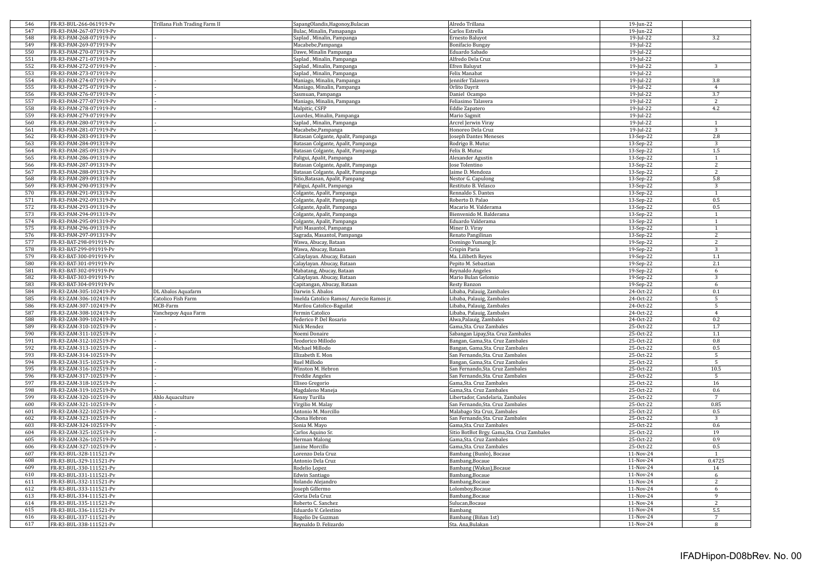| 546 | FR-R3-BUL-266-061919-Pv | Trillana Fish Trading Farm II | SapangOlandis, Hagonoy, Bulacan          | Alredo Trillana                             | 19-Jun-22 |                     |
|-----|-------------------------|-------------------------------|------------------------------------------|---------------------------------------------|-----------|---------------------|
| 547 | FR-R3-PAM-267-071919-Pv |                               | Bulac, Minalin, Pamapanga                | Carlos Estrella                             | 19-Jun-22 |                     |
| 548 | FR-R3-PAM-268-071919-Pv |                               | Saplad, Minalin, Pampanga                | Ernesto Baluyot                             | 19-Jul-22 | 3.2                 |
| 549 | FR-R3-PAM-269-071919-Pv |                               | Macabebe, Pampanga                       | Bonifacio Bungay                            | 19-Jul-22 |                     |
| 550 | FR-R3-PAM-270-071919-Pv |                               | Dawe, Minalin Pampanga                   | Eduardo Sabado                              | 19-Jul-22 |                     |
| 551 | FR-R3-PAM-271-071919-Pv |                               | Saplad, Minalin, Pampanga                | Alfredo Dela Cruz                           | 19-Jul-22 |                     |
| 552 | FR-R3-PAM-272-071919-Pv |                               | Saplad , Minalin, Pampanga               | Efren Baluyut                               | 19-Jul-22 | $\overline{3}$      |
| 553 | FR-R3-PAM-273-071919-Pv |                               | Saplad , Minalin, Pampanga               | Felix Manabat                               | 19-Jul-22 |                     |
| 554 | FR-R3-PAM-274-071919-Pv |                               | Maniago, Minalin, Pampanga               | ennifer Talavera                            | 19-Jul-22 | 3.8                 |
| 555 | FR-R3-PAM-275-071919-Pv |                               | Maniago, Minalin, Pampanga               | Orlito Dayrit                               | 19-Jul-22 | $\overline{4}$      |
| 556 | FR-R3-PAM-276-071919-Pv |                               | Sasmuan, Pampanga                        | Daniel Ocampo                               | 19-Jul-22 | 3.7                 |
| 557 | FR-R3-PAM-277-071919-Pv |                               | Maniago, Minalin, Pampanga               | Feliasimo Talavera                          | 19-Jul-22 | $\overline{2}$      |
| 558 | FR-R3-PAM-278-071919-Pv |                               |                                          |                                             |           | 4.2                 |
| 559 | FR-R3-PAM-279-071919-Pv |                               | Malpitic, CSFP                           | Eddie Zapatero                              | 19-Jul-22 |                     |
|     |                         |                               | Lourdes, Minalin, Pampanga               | Mario Sagmit                                | 19-Jul-22 |                     |
| 560 | FR-R3-PAM-280-071919-Pv |                               | Saplad, Minalin, Pampanga                | Arcrel Jerwin Viray                         | 19-Jul-22 | $\mathbf{1}$        |
| 561 | FR-R3-PAM-281-071919-Pv |                               | Macabebe, Pampanga                       | Honoreo Dela Cruz                           | 19-Jul-22 | $\mathcal{R}$       |
| 562 | FR-R3-PAM-283-091319-Pv |                               | Batasan Colgante, Apalit, Pampanga       | oseph Dantes Meneses                        | 13-Sep-22 | 2.8                 |
| 563 | FR-R3-PAM-284-091319-Pv |                               | Batasan Colgante, Apalit, Pampanga       | Rodrigo B. Mutuc                            | 13-Sep-22 | 3                   |
| 564 | FR-R3-PAM-285-091319-Pv |                               | Batasan Colgante, Apalit, Pampanga       | Felix B. Mutuc                              | 13-Sep-22 | $1.5\,$             |
| 565 | FR-R3-PAM-286-091319-Pv |                               | Paligui, Apalit, Pampanga                | Alexander Agustin                           | 13-Sep-22 | $\mathbf{1}$        |
| 566 | FR-R3-PAM-287-091319-Pv |                               | Batasan Colgante, Apalit, Pampanga       | ose Tolentino                               | 13-Sep-22 | $\overline{2}$      |
| 567 | FR-R3-PAM-288-091319-Pv |                               | Batasan Colgante, Apalit, Pampanga       | aime D. Mendoza                             | 13-Sep-22 | $\overline{2}$      |
| 568 | FR-R3-PAM-289-091319-Pv |                               | Sitio, Batasan, Apalit, Pampang          | Nestor G. Capulong                          | 13-Sep-22 | 5.8                 |
| 569 | FR-R3-PAM-290-091319-Pv |                               | Paligui, Apalit, Pampanga                | Restituto B. Velasco                        | 13-Sep-22 | 3                   |
| 570 | FR-R3-PAM-291-091319-Pv |                               | Colgante, Apalit, Pampanga               | Rennaldo S. Dantes                          | 13-Sep-22 | $\mathbf{1}$        |
| 571 | FR-R3-PAM-292-091319-Pv |                               | Colgante, Apalit, Pampanga               | Roberto D. Palao                            | 13-Sep-22 | 0.5                 |
| 572 | FR-R3-PAM-293-091319-Pv |                               | Colgante, Apalit, Pampanga               | Macario M. Valderama                        | 13-Sep-22 | 0.5                 |
| 573 | FR-R3-PAM-294-091319-Pv |                               | Colgante, Apalit, Pampanga               | Bienvenido M. Balderama                     | 13-Sep-22 | $\mathbf{1}$        |
| 574 | FR-R3-PAM-295-091319-Pv |                               | Colgante, Apalit, Pampanga               | Eduardo Valderama                           | 13-Sep-22 | -1                  |
| 575 | FR-R3-PAM-296-091319-Pv |                               | Puti Masantol, Pampanga                  | Miner D. Viray                              | 13-Sep-22 | $\overline{1}$      |
| 576 | FR-R3-PAM-297-091319-Pv |                               | Sagrada, Masantol, Pampanga              | Renato Pangilinan                           | 13-Sep-22 | $\overline{2}$      |
| 577 | FR-R3-BAT-298-091919-Pv |                               | Wawa, Abucay, Bataan                     | Domingo Yumang Jr.                          | 19-Sep-22 | 2                   |
| 578 | FR-R3-BAT-299-091919-Pv |                               | Wawa, Abucay, Bataan                     | Crispin Paria                               | 19-Sep-22 | 3                   |
| 579 | FR-R3-BAT-300-091919-Pv |                               | Calaylayan. Abucay, Bataan               | Ma. Lilibeth Reyes                          | 19-Sep-22 | $1.1\,$             |
| 580 | FR-R3-BAT-301-091919-Pv |                               |                                          |                                             |           | $2.1\,$             |
| 581 | FR-R3-BAT-302-091919-Pv |                               | Calaylayan. Abucay, Bataan               | Pepito M. Sebastian                         | 19-Sep-22 |                     |
| 582 |                         |                               | Mabatang, Abucay, Bataan                 | Reynaldo Angeles                            | 19-Sep-22 | 6<br>$\overline{3}$ |
|     | FR-R3-BAT-303-091919-Pv |                               | Calaylayan. Abucay, Bataan               | Mario Bulan Gelomio                         | 19-Sep-22 |                     |
| 583 | FR-R3-BAT-304-091919-Pv |                               | Capitangan, Abucay, Bataan               | Resty Banzon                                | 19-Sep-22 | 6                   |
| 584 | FR-R3-ZAM-305-102419-Pv | DL Abalos Aquafarm            | Darwin S. Abalos                         | Libaba, Palauig, Zambales                   | 24-Oct-22 | 0.1                 |
| 585 | FR-R3-ZAM-306-102419-Pv | Catolico Fish Farm            | Imelda Catolico Ramos/ Aurecio Ramos jr. | Libaba, Palauig, Zambales                   | 24-Oct-22 | $\overline{5}$      |
| 586 | FR-R3-ZAM-307-102419-Pv | MCB-Farm                      | Marilou Catolico-Baguilat                | Libaba, Palauig, Zambales                   | 24-Oct-22 | 5                   |
| 587 | FR-R3-ZAM-308-102419-Pv | Vanchepoy Aqua Farm           | Fermin Catolico                          | Libaba, Palauig, Zambales                   | 24-Oct-22 | $\overline{4}$      |
| 588 | FR-R3-ZAM-309-102419-Pv |                               | Federico P. Del Rosario                  | Alwa, Palauig, Zambales                     | 24-Oct-22 | 0.2                 |
| 589 | FR-R3-ZAM-310-102519-Pv |                               | Nick Mendez                              | Gama,Sta. Cruz Zambales                     | 25-Oct-22 | 1.7                 |
| 590 | FR-R3-ZAM-311-102519-Pv |                               | Noemi Donaire                            | Sabangan Lipay, Sta. Cruz Zambales          | 25-Oct-22 | $1.1\,$             |
| 591 | FR-R3-ZAM-312-102519-Pv |                               | Teodorico Millodo                        | Bangan, Gama, Sta. Cruz Zambales            | 25-Oct-22 | 0.8                 |
| 592 | FR-R3-ZAM-313-102519-Pv |                               | Michael Millodo                          | Bangan, Gama, Sta. Cruz Zambales            | 25-Oct-22 | 0.5                 |
| 593 | FR-R3-ZAM-314-102519-Pv |                               | Elizabeth E. Mon                         | San Fernando, Sta. Cruz Zambales            | 25-Oct-22 | 5                   |
| 594 | FR-R3-ZAM-315-102519-Pv |                               | Ruel Millodo                             | Bangan, Gama, Sta. Cruz Zambales            | 25-Oct-22 | 5                   |
| 595 | FR-R3-ZAM-316-102519-Pv |                               | Winston M. Hebron                        | San Fernando, Sta. Cruz Zambales            | 25-Oct-22 | 10.5                |
| 596 | FR-R3-ZAM-317-102519-Pv |                               | Freddie Angeles                          | San Fernando, Sta. Cruz Zambales            | 25-Oct-22 | $\overline{5}$      |
| 597 | FR-R3-ZAM-318-102519-Pv |                               | Eliseo Gregorio                          | Gama, Sta. Cruz Zambales                    | 25-Oct-22 | 16                  |
| 598 | FR-R3-ZAM-319-102519-Pv |                               | Magdaleno Maneja                         | Gama,Sta. Cruz Zambales                     | 25-Oct-22 | 0.6                 |
| 599 | FR-R3-ZAM-320-102519-Pv | Ahlo Aquaculture              | Kenny Turilla                            | Libertador, Candelaria, Zambales            | 25-Oct-22 | $\overline{7}$      |
| 600 | FR-R3-ZAM-321-102519-Pv |                               | Virgilio M. Malay                        | San Fernando, Sta. Cruz Zambales            | 25-Oct-22 | 0.85                |
| 601 | FR-R3-ZAM-322-102519-Pv |                               | Antonio M. Morcillo                      | Malabago Sta Cruz, Zambales                 | 25-Oct-22 | 0.5                 |
| 602 | FR-R3-ZAM-323-102519-Pv |                               | Chona Hebron                             | San Fernando, Sta. Cruz Zambales            | 25-Oct-22 | 3                   |
| 603 | FR-R3-ZAM-324-102519-Pv |                               | Sonia M. Mayo                            | Gama, Sta. Cruz Zambales                    | 25-Oct-22 | 0.6                 |
|     |                         |                               |                                          |                                             |           | 19                  |
| 604 | FR-R3-ZAM-325-102519-Pv |                               | Carlos Aquino Sr.                        | Sitio BotBot Brgy. Gama, Sta. Cruz Zambales | 25-Oct-22 |                     |
| 605 | FR-R3-ZAM-326-102519-Pv |                               | Herman Malong                            | Gama, Sta. Cruz Zambales                    | 25-Oct-22 | 0.9                 |
| 606 | FR-R3-ZAM-327-102519-Pv |                               | Janine Morcillo                          | Gama,Sta. Cruz Zambales                     | 25-Oct-22 | 0.5                 |
| 607 | FR-R3-BUL-328-111521-Pv |                               | Lorenzo Dela Cruz                        | Bambang (Bunlo), Bocaue                     | 11-Nov-24 | $\mathbf{1}$        |
| 608 | FR-R3-BUL-329-111521-Pv |                               | Antonio Dela Cruz                        | Bambang, Bocaue                             | 11-Nov-24 | 0.4725              |
| 609 | FR-R3-BUL-330-111521-Pv |                               | Rodelio Lopez                            | Bambang (Wakas), Bocaue                     | 11-Nov-24 | $14\,$              |
| 610 | FR-R3-BUL-331-111521-Pv |                               | Edwin Santiago                           | Bambang, Bocaue                             | 11-Nov-24 | 6                   |
| 611 | FR-R3-BUL-332-111521-Pv |                               | Rolando Alejandro                        | Bambang, Bocaue                             | 11-Nov-24 | $\overline{2}$      |
| 612 | FR-R3-BUL-333-111521-Pv |                               | Joseph Gillermo                          | Lolomboy,Bocaue                             | 11-Nov-24 | 6                   |
| 613 | FR-R3-BUL-334-111521-Pv |                               | Gloria Dela Cruz                         | Bambang, Bocaue                             | 11-Nov-24 | 9                   |
| 614 | FR-R3-BUL-335-111521-Pv |                               | Roberto C. Sanchez                       | Sulucan, Bocaue                             | 11-Nov-24 | $\overline{2}$      |
| 615 | FR-R3-BUL-336-111521-Pv |                               | Eduardo V. Celestino                     | Bambang                                     | 11-Nov-24 | 5.5                 |
| 616 | FR-R3-BUL-337-111521-Pv |                               | Rogelio De Guzman                        | Bambang (Biñan 1st)                         | 11-Nov-24 | 7                   |
| 617 | FR-R3-BUL-338-111521-Pv |                               | Reynaldo D. Felizardo                    | Sta. Ana, Bulakan                           | 11-Nov-24 | 8                   |
|     |                         |                               |                                          |                                             |           |                     |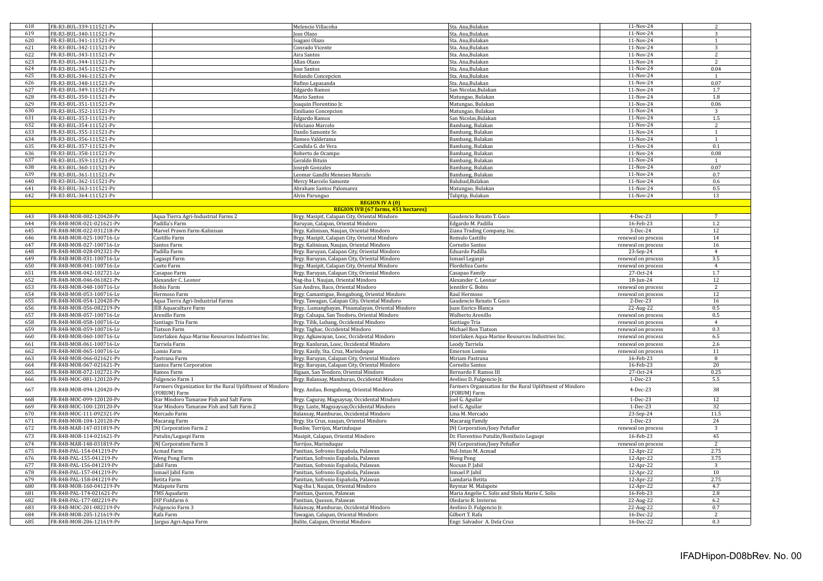| 618        | FR-R3-BUL-339-111521-Pv                              |                                                          | Melencio Villacoba                                                      | Sta. Ana, Bulakan                                        | 11-Nov-24              | 2                        |
|------------|------------------------------------------------------|----------------------------------------------------------|-------------------------------------------------------------------------|----------------------------------------------------------|------------------------|--------------------------|
| 619        | FR-R3-BUL-340-111521-Pv                              |                                                          | Jose Olazo                                                              | Sta. Ana,Bulakan                                         | 11-Nov-24              | 3                        |
| 620        | FR-R3-BUL-341-111521-Pv                              |                                                          | Isagani Olazo                                                           | Sta. Ana,Bulakan                                         | 11-Nov-24              |                          |
| 621        | FR-R3-BUL-342-111521-Pv                              |                                                          | Conrado Vicente                                                         | Sta. Ana.Bulakan                                         | 11-Nov-24              | 3                        |
| 622        | FR-R3-BUL-343-111521-Pv                              |                                                          | Aira Santos                                                             | Sta. Ana, Bulakan                                        | 11-Nov-24              | $\overline{\phantom{a}}$ |
| 623        | FR-R3-BUL-344-111521-Pv                              |                                                          | Allan Olazo                                                             | Sta. Ana, Bulakan                                        | 11-Nov-24              | 2                        |
| 624        | FR-R3-BUL-345-111521-Pv                              |                                                          | Jose Santos                                                             | Sta. Ana, Bulakan                                        | 11-Nov-24              | 0.04                     |
| 625        | FR-R3-BUL-346-111521-Pv                              |                                                          | Rolando Concepcion                                                      | Sta. Ana,Bulakan                                         | 11-Nov-24              | $\overline{1}$           |
| 626        | FR-R3-BUL-348-111521-Pv                              |                                                          | Rufino Lapasanda                                                        | Sta. Ana.Bulakan                                         | 11-Nov-24              | 0.07                     |
| 627        | FR-R3-BUL-349-111521-Pv                              |                                                          | <b>Edgardo Ramos</b>                                                    | San Nicolas, Bulakan                                     | 11-Nov-24              | 1.7                      |
| 628        | FR-R3-BUL-350-111521-Pv                              |                                                          | Mario Santos                                                            | Matungao, Bulakan                                        | 11-Nov-24              | $1.8\,$                  |
| 629        | FR-R3-BUL-351-111521-Pv                              |                                                          | Joaquin Florentino Jr.                                                  | Matungao, Bulakan                                        | 11-Nov-24              | 0.06                     |
| 630        | FR-R3-BUL-352-111521-Pv                              |                                                          | <b>Emiliano Concepcion</b>                                              | Matungao, Bulakan                                        | 11-Nov-24              | 3                        |
| 631        | FR-R3-BUL-353-111521-Pv                              |                                                          | <b>Edgardo Ramos</b>                                                    | San Nicolas, Bulakan                                     | 11-Nov-24              | $1.5\,$                  |
| 632        | FR-R3-BUL-354-111521-Pv                              |                                                          | Feliciano Marcelo                                                       | Bambang, Bulakan                                         | 11-Nov-24              | $\mathcal{L}$            |
| 633        | FR-R3-BUL-355-111521-Pv                              |                                                          | Danilo Samonte Sr.                                                      | Bambang, Bulakan                                         | 11-Nov-24              | $\mathbf{1}$             |
| 634        | FR-R3-BUL-356-111521-Pv                              |                                                          | Romeo Valderama                                                         | Bambang, Bulakan                                         | $11-Nov-24$            | 1                        |
| 635        | FR-R3-BUL-357-111521-Pv                              |                                                          | Candida G. de Vera                                                      | Bambang, Bulakan                                         | 11-Nov-24              | 0.1                      |
| 636        | FR-R3-BUL-358-111521-Pv                              |                                                          | Roberto de Ocampo                                                       | Bambang, Bulakan                                         | 11-Nov-24              | 0.08                     |
| 637        | FR-R3-BUL-359-111521-Pv                              |                                                          |                                                                         |                                                          | 11-Nov-24              | $\overline{1}$           |
| 638        |                                                      |                                                          | Geraldo Bituin                                                          | Bambang, Bulakan                                         | 11-Nov-24              | 0.07                     |
|            | FR-R3-BUL-360-111521-Pv                              |                                                          | Joseph Gonzales                                                         | Bambang, Bulakan                                         |                        | 0.7                      |
| 639        | FR-R3-BUL-361-111521-Pv                              |                                                          | Leomar Gandhi Meneses Marcelo                                           | Bambang, Bulakan                                         | 11-Nov-24              |                          |
| 640        | FR-R3-BUL-362-111521-Pv                              |                                                          | Mercy Marcelo Samonte                                                   | Balubad, Bulakan                                         | 11-Nov-24              | 0.6                      |
| 641        | FR-R3-BUL-363-111521-Pv                              |                                                          | Abraham Santos Palomarez                                                | Matungao, Bulakan                                        | 11-Nov-24              | 0.5                      |
| 642        | FR-R3-BUL-364-111521-Pv                              |                                                          | Alvin Parungao                                                          | Taliptip, Bulakan                                        | 11-Nov-24              | 13                       |
|            |                                                      |                                                          | <b>REGION IV A (0)</b>                                                  |                                                          |                        |                          |
|            |                                                      |                                                          | <b>REGION IVB (67 farms, 451 hectares)</b>                              |                                                          |                        |                          |
| 643        | FR-R4B-MOR-002-120420-Pv                             | Aqua Tierra Agri-Industrial Farms 2                      | Brgy. Masipit, Calapan City, Oriental Mindoro                           | Gaudencio Renato T. Goco                                 | 4-Dec-23               | $\overline{7}$           |
| 644        | FR-R4B-MOR-021-021621-Pv                             | Padilla's Farm                                           | Baruyan, Calapan, Oriental Mindoro                                      | Edgardo M. Padilla                                       | 16-Feb-23              | 1.2                      |
| 645        | FR-R4B-MOR-022-031218-Pv                             | Marvel Prawn Farm-Kalinisan                              | Brgy. Kalinisan, Naujan, Oriental Mindoro                               | Ziana Trading Company, Inc.                              | 3-Dec-24               | 12                       |
| 646        | FR-R4B-MOR-025-100716-Lv                             | Castillo Farm                                            | Brgy. Masipit, Calapan City, Oriental Mindoro                           | Romulo Castillo                                          | renewal on process     | 14                       |
| 647        | FR-R4B-MOR-027-100716-Lv                             | Santos Farm                                              | Brgy. Kalinisan, Naujan, Oriental Mindoro                               | Cornelio Santos                                          | renewal on process     | 16                       |
| 648        | FR-R4B-MOR-028-092321-Pv                             | Padilla Farm                                             | Brgy. Baruyan, Calapan City, Oriental Mindoro                           | Eduardo Padilla                                          | 23-Sep-24              | $\overline{4}$           |
| 649        | FR-R4B-MOR-031-100716-Lv                             | Legaspi Farm                                             | Brgy. Baruyan, Calapan City, Oriental Mindoro                           | Ismael Legaspi                                           | renewal on process     | 3.5                      |
| 650        | FR-R4B-MOR-041-100716-Lv                             | Cueto Farm                                               | Brgy. Masipit, Calapan City, Oriental Mindoro                           | Flordeliza Cueto                                         | renewal on process     | $\overline{4}$           |
| 651        | FR-R4B-MOR-042-102721-Lv                             | Casapao Farm                                             | Brgy. Baruyan, Calapan City, Oriental Mindoro                           | Casapao Family                                           | 27-Oct-24              | 1.7                      |
| 652        | FR-R4B-MOR-046-061821-Pv                             | Alexander C. Leonor                                      | Nag-iba I, Naujan, Oriental Mindoro                                     | Alexander C. Leonar                                      | 18-Jun-24              | 12                       |
|            |                                                      |                                                          |                                                                         |                                                          |                        |                          |
| 653        | FR-R4B-MOR-048-100716-Lv                             | <b>Bobis Farm</b>                                        | San Andres, Baco, Oriental Mindoro                                      | Jennifer G. Bobis                                        | renewal on process     | 2                        |
| 654        | FR-R4B-MOR-053-100716-Lv                             | Hermoso Farm                                             | Brgy. Camantigue, Bongabong, Oriental Mindoro                           | Raul Hermoso                                             | renewal on process     | 12                       |
| 655        | FR-R4B-MOR-054-120420-Pv                             | Aqua Tierra Agri-Industrial Farms                        | Brgy. Tawagan, Calapan City, Oriental Mindoro                           | Gaudencio Renato T. Goco                                 | $2-Dec-23$             | 16                       |
| 656        | FR-R4B-MOR-056-082219-Pv                             | <b>JEB Aquaculture Farm</b>                              | Brgy Lumangbayan, Pinamalayan, Oriental Mindoro                         | Juan Enrico Blanca                                       | 22-Aug-22              | 0.5                      |
| 657        | FR-R4B-MOR-057-100716-Lv                             | Arenillo Farm                                            | Brgy. Calsapa, San Teodoro, Oriental Mindoro                            | Walberto Arenillo                                        | renewal on process     | 0.5                      |
| 658        | FR-R4B-MOR-058-100716-Lv                             | Santiago Tria Farm                                       | Brgy. Tilik, Lubang, Occidental Mindoro                                 | Santiago Tria                                            | renewal on process     | $\overline{4}$           |
| 659        | FR-R4B-MOR-059-100716-Lv                             | <b>Tiatson Farm</b>                                      | Brgy. Tagbac, Occidental Mindoro                                        | Michael Ron Tiatson                                      | renewal on process     | 0.3                      |
| 660        | FR-R4B-MOR-060-100716-Lv                             | Interlaken Aqua-Marine Resources Industries Inc.         | Brgy. Agkawayan, Looc, Occidental Mindoro                               | Interlaken Aqua-Marine Resources Industries Inc.         | renewal on process     | 6.5                      |
|            |                                                      |                                                          |                                                                         |                                                          |                        |                          |
| 661        | FR-R4B-MOR-061-100716-Lv                             | Tarriela Farm                                            | Brgy. Kanluran, Looc, Occidental Mindoro                                | Leody Tarriela                                           | renewal on process     | 2.6                      |
| 662        | FR-R4B-MOR-065-100716-Lv                             | Lomio Farm                                               | Brgy. Kasily, Sta. Cruz, Marinduque                                     | Emerson Lomio                                            | renewal on process     | 11                       |
| 663        | FR-R4B-MOR-066-021621-Pv                             | Pastrana Farm                                            | Brgy. Baruyan, Calapan City, Oriental Mindoro                           | Miriam Pastrana                                          | 16-Feb-23              | 8                        |
| 664        | FR-R4B-MOR-067-021621-Pv                             | Santos Farm Corporation                                  | Brgy. Baruyan, Calapan City, Oriental Mindoro                           | Cornelio Santos                                          | 16-Feb-23              | 20                       |
| 665        | FR-R4B-MOR-072-102721-Pv                             | Ramos Farm                                               | Bigaan, San Teodoro, Oriental Mindoro                                   | Bernardo F. Ramos III                                    | 27-Oct-24              | 0.25                     |
| 666        | FR-R4B-MOC-081-120120-Pv                             | Fulgencio Farm 1                                         | Brgy. Balansay, Mamburao, Occidental Mindoro                            | Avelino D. Fulgencio Jr.                                 | 1-Dec-23               | 5.5                      |
| 667        | FR-R4B-MOR-094-120420-Pv                             | Farmers Organization for the Rural Upliftment of Mindoro | Brgy. Anilao, Bongabong, Oriental Mindoro                               | Farmers Organization for the Rural Upliftment of Mindoro | 4-Dec-23               | 38                       |
|            |                                                      | FORUM) Farm                                              |                                                                         | FORUM) Farm                                              |                        |                          |
| 668        | FR-R4B-MOC-099-120120-Pv                             | Star Mindoro Tamaraw Fish and Salt Farm                  | Brgy. Caguray, Magsaysay, Occidental Mindoro                            | Joel G. Aguilar                                          | $1-Dec-23$             | 12                       |
| 669        | FR-R4B-MOC-100-120120-Pv                             | Star Mindoro Tamaraw Fish and Salt Farm 2                | Brgy. Laste, Magssaysay, Occidental Mindoro                             | Joel G. Aguilar                                          | 1-Dec-23               | 32                       |
| 670        | FR-R4B-MOC-111-092321-Pv                             | Mercado Farm                                             | Balansay, Mamburao, Occidental Mindoro                                  | Lina M. Mercado                                          | 23-Sep-24              | 11.5                     |
| 671        | FR-R4B-MOR-104-120120-Pv                             | Macaraig Farm                                            | Brgy. Sta Cruz, naujan, Oriental Mindoro                                | Macaraig Family                                          | $1-Dec-23$             | 24                       |
| 672        | FR-R4B-MAR-147-031819-Pv                             | JNJ Corporation Farm 2                                   | Bonliw, Torrijos, Marinduque                                            | JNJ Corporation/Joey Peñaflor                            | renewal on process     | 3                        |
| 673        | FR-R4B-MOR-114-021621-Pv                             | Putulin/Legaspi Farm                                     | Masipit, Calapan, Oriental Mindoro                                      | Dr. Florentino Putulin/Bonifacio Legaspi                 | 16-Feb-23              | 45                       |
| 674        | FR-R4B-MAR-148-031819-Pv                             | JNJ Corporation Farm 3                                   | Torrijos, Marinduque                                                    | JNJ Corporation/Joey Peñaflor                            | renewal on process     | $\overline{2}$           |
| 675        | FR-R4B-PAL-154-041219-Pv                             | Acmad Farm                                               | Panitian, Sofronio Española, Palawan                                    | Nul-Intan M. Acmad                                       | 12-Apr-22              | 2.75                     |
| 676        | FR-R4B-PAL-155-041219-Pv                             | Weng Pong Farm                                           | Panitian, Sofronio Española, Palawan                                    | <b>Weng Pong</b>                                         | 12-Apr-22              | 3.75                     |
| 677        | FR-R4B-PAL-156-041219-Pv                             | Jabil Farm                                               | Panitian, Sofronio Española, Palawan                                    | Nocsan P. Jabil                                          | 12-Apr-22              | 3                        |
| 678        | FR-R4B-PAL-157-041219-Pv                             | Ismael Jabil Farm                                        | Panitian, Sofronio Española, Palawan                                    | Ismael P. Jabil                                          | 12-Apr-22              | 10                       |
| 679        | FR-R4B-PAL-158-041219-Pv                             | Betita Farm                                              | Panitian, Sofronio Española, Palawan                                    | Lamdaria Betita                                          | 12-Apr-22              | 2.75                     |
| 680        | FR-R4B-MOR-160-041219-Pv                             | Malapote Farm                                            | Nag-iba I, Naujan, Oriental Mindoro                                     | Reymar M. Malapote                                       | 12-Apr-22              | 4.7                      |
| 681        | FR-R4B-PAL-174-021621-Pv                             | TMS Aquafarm                                             | Panitian, Quezon, Palawan                                               | Maria Angelie C. Solis and Shela Marie C. Solis          | 16-Feb-23              | 2.8                      |
| 682        | FR-R4B-PAL-177-082219-Pv                             | DIP Fishfarm 6                                           | Panitian, Quezon, Palawan                                               | Oledario R. Invierno                                     | 22-Aug-22              | 6.2                      |
| 683        | FR-R4B-MOC-201-082219-Pv                             | Fulgencio Farm 3                                         | Balansay, Mamburao, Occidental Mindoro                                  | Avelino D. Fulgencio Jr.                                 | 22-Aug-22              | 0.7                      |
| 684<br>685 | FR-R4B-MOR-205-121619-Pv<br>FR-R4B-MOR-206-121619-Pv | Rafa Farm                                                | Tawagan, Calapan, Oriental Mindoro<br>Balite, Calapan, Oriental Mindoro | Gilbert T. Rafa<br>Engr. Salvador A. Dela Cruz           | 16-Dec-22<br>16-Dec-22 | $\overline{2}$<br>0.3    |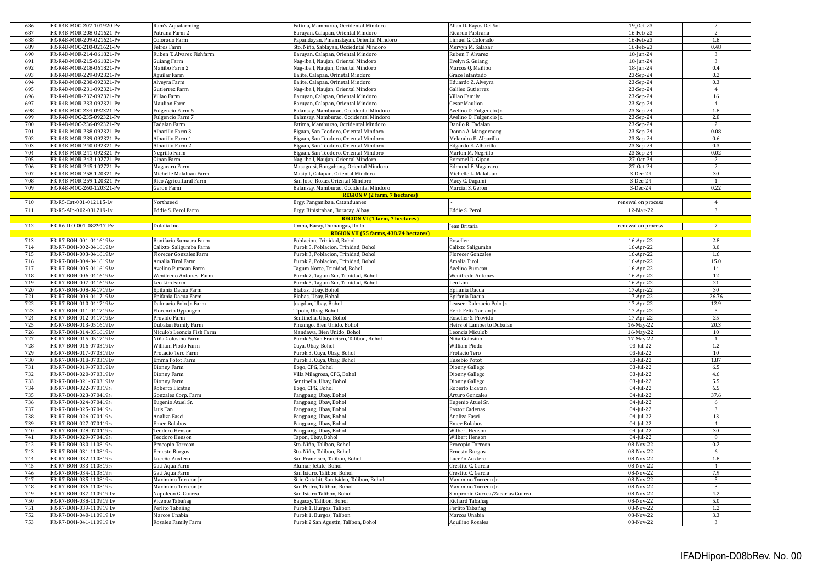| 686        | FR-R4B-MOC-207-101920-Pv                           | Ram's Aquafarming                    | Fatima, Mamburao, Occidental Mindoro                            | Allan D. Rayos Del Sol                   | 19_Oct-23              | 2              |
|------------|----------------------------------------------------|--------------------------------------|-----------------------------------------------------------------|------------------------------------------|------------------------|----------------|
| 687        | FR-R4B-MOR-208-021621-Pv                           | Patrana Farm 2                       | Baruyan, Calapan, Oriental Mindoro                              | Ricardo Pastrana                         | 16-Feb-23              | $\overline{2}$ |
| 688        | FR-R4B-MOR-209-021621-Pv                           | Colorado Farm                        | Papandayan, Pinamalayan, Oriental Mindoro                       | Limuel G. Colorado                       | 16-Feb-23              | $1.8\,$        |
| 689        | FR-R4B-MOC-210-021621-Pv                           | Felros Farm                          | Sto. Niño, Sablayan, Occiedntal Mindoro                         | Mervyn M. Salazar                        | 16-Feb-23              | 0.48           |
| 690        | FR-R4B-MOR-214-061821-Pv                           | Ruben T. Alvarez Fishfarm            | Baruyan, Calapan, Oriental Mindoro                              | Ruben T. Alvarez                         | 18-Jun-24              | $\overline{3}$ |
| 691        | FR-R4B-MOR-215-061821-Pv                           | Guiang Farm                          | Nag-iba I, Naujan, Oriental Mindoro                             | Evelyn S. Guiang                         | 18-Jun-24              | $\overline{3}$ |
| 692        | FR-R4B-MOR-218-061821-Pv                           | Mañibo Farm 2                        | Nag-iba I, Naujan, Oriental Mindoro                             | Marcos Q. Mañibo                         | 18-Jun-24              | 0.4            |
| 693        | FR-R4B-MOR-229-092321-Pv                           | Aguilar Farm                         | Ba;ite, Calapan, Orinetal Mindoro                               | Grace Infantado                          | 23-Sep-24              | 0.2            |
| 694        | FR-R4B-MOR-230-092321-Pv                           | Alveyra Farm                         | Ba;ite, Calapan, Orinetal Mindoro                               | Eduardo Z. Alveyra                       | 23-Sep-24              | 0.3            |
| 695        | FR-R4B-MOR-231-092321-Pv                           | Gutierrez Farm                       | Nag-iba I, Naujan, Oriental Mindoro                             | Galileo Gutierrez                        | 23-Sep-24              | $\overline{4}$ |
| 696        | FR-R4B-MOR-232-092321-Pv                           | Villao Farm                          | Baruyan, Calapan, Oriental Mindoro                              | Villao Family                            | 23-Sep-24              | 16             |
| 697        | FR-R4B-MOR-233-092321-Pv                           | Maulion Farm                         | Baruyan, Calapan, Oriental Mindoro                              | Cesar Maulion                            | 23-Sep-24              | $\overline{4}$ |
| 698        | FR-R4B-MOC-234-092321-Pv                           | Fulgencio Farm 6                     | Balansay, Mamburao, Occidental Mindoro                          | Avelino D. Fulgencio Jr.                 | 23-Sep-24              | 1.8            |
| 699        | FR-R4B-MOC-235-092321-Pv                           | Fulgencio Farm 7                     | Balansay, Mamburao, Occidental Mindoro                          | Avelino D. Fulgencio Jr.                 | 23-Sep-24              | 2.8            |
| 700        | FR-R4B-MOC-236-092321-Pv                           | Tadalan Farm                         | Fatima, Mamburao, Occidental Mindoro                            | Danilo R. Tadalan                        | 23-Sep-24              | $\overline{2}$ |
| 701        | FR-R4B-MOR-238-092321-Pv                           | Albarillo Farm 3                     | Bigaan, San Teodoro, Oriental Mindoro                           | Donna A. Mangornong                      | 23-Sep-24              | 0.08           |
| 702        | FR-R4B-MOR-239-092321-Pv                           | Albarillo Farm 4                     | Bigaan, San Teodoro, Oriental Mindoro                           | Melandro E. Albarillo                    | 23-Sep-24              | 0.6            |
| 703        | FR-R4B-MOR-240-092321-Pv                           | Albariilo Farm 2                     |                                                                 |                                          | 23-Sep-24              | 0.3            |
|            |                                                    |                                      | Bigaan, San Teodoro, Oriental Mindoro                           | Edgardo E. Albarillo                     |                        | 0.02           |
| 704        | FR-R4B-MOR-241-092321-Pv                           | Negrillo Farm                        | Bigaan, San Teodoro, Oriental Mindoro                           | Marlon M. Negrillo                       | 23-Sep-24              |                |
| 705        | FR-R4B-MOR-243-102721-Pv                           | Gipan Farm                           | Nag-iba I, Naujan, Oriental Mindoro                             | Rommel D. Gipan                          | 27-Oct-24              | 2              |
| 706        | FR-R4B-MOR-245-102721-Pv                           | Magararu Farm                        | Masaguisi, Bongabong, Oriental Mindoro                          | Edmund F. Magararu                       | 27-Oct-24              | $\overline{2}$ |
| 707        | FR-R4B-MOR-258-120321-Pv                           | Michelle Malaluan Farm               | Masipit, Calapan, Oriental Mindoro                              | Michelle L. Malaluan                     | 3-Dec-24               | 30             |
| 708        | FR-R4B-MOR-259-120321-Pv                           | Rico Agricultural Farm               | San Jose, Roxas, Oriental Mindoro                               | Macy C. Dagami                           | 3-Dec-24               | -1             |
| 709        | FR-R4B-MOC-260-120321-Pv                           | Geron Farm                           | Balansay, Mamburao, Occidental Mindoro                          | Marcial S. Geron                         | 3-Dec-24               | 0.22           |
|            |                                                    |                                      | <b>REGION V (2 farm, 7 hectares)</b>                            |                                          |                        |                |
| 710        | FR-R5-Cat-001-012115-Lv                            | Northseed                            | Brgy. Panganiban, Catanduanes                                   |                                          | renewal on process     | $\overline{4}$ |
| 711        | FR-R5-Alb-002-031219-Lv                            | Eddie S. Perol Farm                  | Brgy. Binisitahan, Boracay, Albay                               | Eddie S. Perol                           | 12-Mar-22              | 3              |
|            |                                                    |                                      | <b>REGION VI (1 farm, 7 hectares)</b>                           |                                          |                        |                |
| 712        | FR-R6-ILO-001-082917-Pv                            | Dulalia Inc.                         | Umba, Bacay, Dumangas, Iloilo                                   | Jean Britaňa                             | renewal on process     | $\overline{7}$ |
|            |                                                    |                                      | REGION VII (55 farms, 438.74 hectares)                          |                                          |                        |                |
| 713        | FR-R7-BOH-001-041619Lv                             | Bonifacio Sumatra Farm               | Poblacion, Trinidad, Bohol                                      | Roseller                                 | 16-Apr-22              | $2.8\,$        |
| 714        | FR-R7-BOH-002-041619Lv                             | Calixto Saligumba Farm               | Purok 5, Poblacion, Trinidad, Bohol                             | Calixto Saligumba                        | 16-Apr-22              | 3.0            |
| 715        | FR-R7-BOH-003-041619Lv                             | Florecer Gonzales Farm               | Purok 3, Poblacion, Trinidad, Bohol                             | <b>Florecer Gonzales</b>                 | 16-Apr-22              | 1.6            |
|            | FR-R7-BOH-004-041619Lv                             |                                      |                                                                 |                                          |                        | 15.0           |
| 716        |                                                    | Amalia Tirol Farm                    | Purok 2, Poblacion, Trinidad, Bohol                             | Amalia Tirol                             | 16-Apr-22              |                |
| 717        | FR-R7-BOH-005-041619Lv                             | Avelino Puracan Farm                 | Tagum Norte, Trinidad, Bohol                                    | Avelino Puracan                          | 16-Apr-22              | 14             |
| 718        | FR-R7-BOH-006-041619Lv                             | Wenifredo Antones Farm               | Purok 7, Tagum Sur, Trinidad, Bohol                             | Wenifredo Antones                        | 16-Apr-22              | 12             |
| 719        | FR-R7-BOH-007-041619Lv                             | Leo Lim Farm                         | Purok 5, Tagum Sur, Trinidad, Bohol                             | Leo Lim                                  | 16-Apr-22              | 21             |
| 720        | FR-R7-BOH-008-041719Lv                             | Epifania Dacua Farm                  | Biabas, Ubay, Bohol                                             | Epifania Dacua                           | 17-Apr-22              | 30             |
| 721        | FR-R7-BOH-009-041719Lv                             | Epifania Dacua Farm                  | Biabas, Ubay, Bohol                                             | Epifania Dacua                           | 17-Apr-22              | 26.76          |
| 722        | FR-R7-BOH-010-041719Lv                             | Dalmacio Polo Jr. Farm               | Juagdan, Ubay, Bohol                                            | Leasee: Dalmacio Polo Jr.                | 17-Apr-22              | 12.9           |
| 723        | FR-R7-BOH-011-041719Lv                             | Florencio Dypongco                   | Tipolo, Ubay, Bohol                                             | Rent: Felix Tac-an Jr.                   | 17-Apr-22              | $\overline{5}$ |
| 724        | FR-R7-BOH-012-041719Lv                             | Provido Farm                         | Sentinella, Ubay, Bohol                                         | Roseller S. Provido                      | 17-Apr-22              | 25             |
| 725        | FR-R7-BOH-013-051619Lv                             | Dubalan Family Farm                  | Pinamgo, Bien Unido, Bohol                                      | Heirs of Lamberto Dubalan                | 16-May-22              | 20.3           |
| 726        | FR-R7-BOH-014-051619Lv                             | Miculob Leoncia Fish Farm            | Mandawa, Bien Unido, Bohol                                      | Leoncia Miculob                          | 16-May-22              | 10             |
| 727        | FR-R7-BOH-015-051719Lv                             | Niña Golosino Farm                   | Purok 6, San Francisco, Talibon, Bohol                          | Niña Golosino                            | 17-May-22              | $\overline{1}$ |
| 728        | FR-R7-BOH-016-070319Lv                             | William Piodo Farm                   | Cuya, Ubay, Bohol                                               | William Piodo                            | 03-Jul-22              | 1.2            |
| 729        | FR-R7-BOH-017-070319Lv                             | Protacio Tero Farm                   | Purok 3, Cuya, Ubay, Bohol                                      | Protacio Tero                            | $03$ -Jul-22           | 10             |
| 730        | FR-R7-BOH-018-070319Lv                             | Emma Potot Farm                      | Purok 3, Cuya, Ubay, Bohol                                      | Eusebio Potot                            | 03-Jul-22              | 1.87           |
| 731        | FR-R7-BOH-019-070319Lv                             | Dionny Farm                          | Bogo, CPG, Bohol                                                | Dionny Gallego                           | 03-Jul-22              | 6.5            |
| 732        | FR-R7-BOH-020-070319Lv                             | Dionny Farm                          | Villa Milagrosa, CPG, Bohol                                     | Dionny Gallego                           | 03-Jul-22              | 4.6            |
| 733        | FR-R7-BOH-021-070319Lv                             | Dionny Farm                          | Sentinella, Ubay, Bohol                                         | Dionny Gallego                           | 03-Jul-22              | $5.5\,$        |
| 734        | FR-R7-BOH-022-070319Lv                             | Roberto Licatan                      | Bogo, CPG, Bohol                                                | Roberto Licatan                          | $04$ -Jul-22           | 6.5            |
| 735        | FR-R7-BOH-023-070419Lv                             | Gonzales Corp. Farm                  | Pangpang, Ubay, Bohol                                           | Arturo Gonzales                          | 04-Jul-22              | 37.6           |
| 736        | FR-R7-BOH-024-070419Lv                             | Eugenio Atuel Sr.                    | Pangpang, Ubay, Bohol                                           | Eugenio Atuel Sr.                        | 04-Jul-22              | 6              |
| 737        | FR-R7-BOH-025-070419Lv                             | Luis Tan                             | Pangpang, Ubay, Bohol                                           | Pastor Cadenas                           | 04-Jul-22              | 3              |
| 738        | FR-R7-BOH-026-070419Lv                             | Analiza Fasci                        | Pangpang, Ubay, Bohol                                           | Analiza Fasci                            | $04$ -Jul-22           | 13             |
| 739        | FR-R7-BOH-027-070419Lv                             | <b>Emee Bolabos</b>                  | Pangpang, Ubay, Bohol                                           | Emee Bolabos                             | 04-Jul-22              | $\overline{4}$ |
| 740        | FR-R7-BOH-028-070419Lv                             | Teodoro Henson                       | Pangpang, Ubay, Bohol                                           | Wilbert Henson                           | 04-Jul-22              | 30             |
| 741        | FR-R7-BOH-029-070419Lv                             | Teodoro Henson                       | Tapon, Ubay, Bohol                                              | Wilbert Henson                           | 04-Jul-22              | 8              |
| 742        | FR-R7-BOH-030-110819Lv                             | Procopio Torreon                     | Sto. Niño, Talibon, Bohol                                       | Procopio Torreon                         | 08-Nov-22              | 0.2            |
| 743        | FR-R7-BOH-031-110819Lv                             | Ernesto Burgos                       | Sto. Niño, Talibon, Bohol                                       | Ernesto Burgos                           | 08-Nov-22              | 6              |
| 744        | FR-R7-BOH-032-110819Lv                             |                                      | San Francisco, Talibon, Bohol                                   | Luceño Auxtero                           | 08-Nov-22              | 1.8            |
| 745        | FR-R7-BOH-033-110819Lv                             | Luceño Auxtero                       |                                                                 |                                          |                        | $\overline{4}$ |
|            |                                                    | Gati Aqua Farm                       | Alumar, Jetafe, Bohol                                           | Crestito C. Garcia                       | 08-Nov-22              |                |
| 746        | FR-R7-BOH-034-110819Lv                             | Gati Aqua Farm                       | San Isidro, Talibon, Bohol                                      | Crestito C. Garcia                       | 08-Nov-22              | 7.9            |
| 747        | FR-R7-BOH-035-110819Lv                             | Maximino Torreon Jr.                 | Sitio Gutahit, San Isidro, Talibon, Bohol                       | Maximino Torreon Jr.                     | 08-Nov-22              | $\overline{5}$ |
| 748        | FR-R7-BOH-036-110819Lv                             | Maximino Torreon Jr.                 | San Pedro, Talibon, Bohol                                       | Maximino Torreon Jr.                     | 08-Nov-22              | 3              |
| 749        | FR-R7-BOH-037-110919 Lv                            | Napoleon G. Gurrea                   | San Isidro Talibon, Bohol                                       | Simpronio Gurrea/Zacarias Gurrea         | 08-Nov-22              | 4.2            |
| 750        |                                                    |                                      |                                                                 | Richard Tabañag                          | 08-Nov-22              | $5.0\,$        |
|            | FR-R7-BOH-038-110919 Lv                            | Vicente Tabañag                      | Bagacay, Talibon, Bohol                                         |                                          |                        |                |
| 751        | FR-R7-B0H-039-110919 Lv                            | Perlito Tabañag                      | Purok 1, Burgos, Talibon                                        | Perlito Tabañag                          | 08-Nov-22              | 1.2            |
| 752<br>753 | FR-R7-BOH-040-110919 Lv<br>FR-R7-BOH-041-110919 Lv | Marcos Unabia<br>Rosales Family Farm | Purok 1, Burgos, Talibon<br>Purok 2 San Agustin, Talibon, Bohol | Marcos Unabia<br><b>Aquilino Rosales</b> | 08-Nov-22<br>08-Nov-22 | 3.3<br>3       |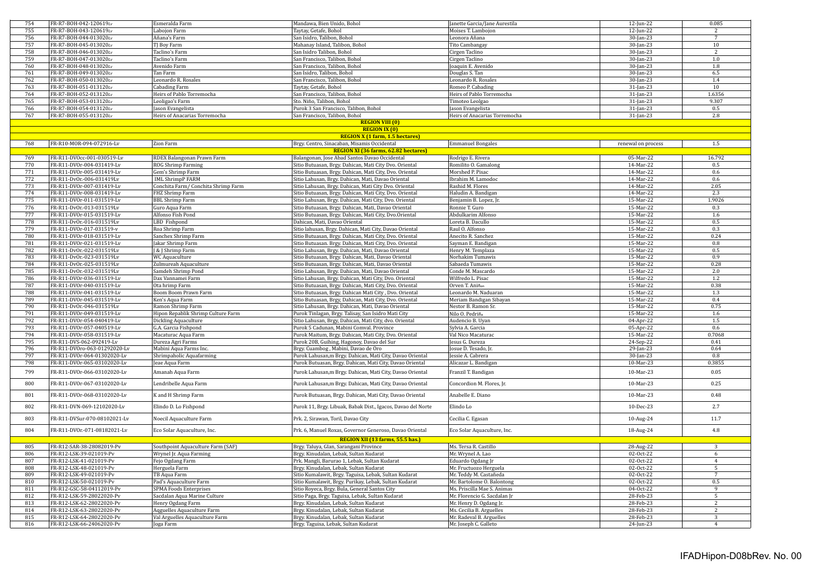| 754 | FR-R7-BOH-042-120619Lv        | Esmeralda Farm                     | Mandawa, Bien Unido, Bohol                                   | Janette Garcia/Jane Aurestila | 12-Jun-22          | 0.085           |
|-----|-------------------------------|------------------------------------|--------------------------------------------------------------|-------------------------------|--------------------|-----------------|
| 755 | FR-R7-BOH-043-120619Lv        | Labojon Farm                       | Taytay, Getafe, Bohol                                        | Moises T. Lambojon            | 12-Jun-22          | $\overline{2}$  |
| 756 | FR-R7-BOH-044-013020Lv        | Añana's Farm                       | San Isidro, Talibon, Bohol                                   | Leonora Añana                 | 30-Jan-23          | $7\overline{ }$ |
| 757 | FR-R7-BOH-045-013020Lv        |                                    | Mahanay Island, Talibon, Bohol                               |                               | 30-Jan-23          | 10              |
|     |                               | TJ Boy Farm                        |                                                              | Tito Cambangay                |                    |                 |
| 758 | FR-R7-BOH-046-013020Lv        | Taclino's Farm                     | San Isidro Talibon, Bohol                                    | Cirgen Taclino                | 30-Jan-23          | $\overline{2}$  |
| 759 | FR-R7-BOH-047-013020Lv        | Taclino's Farm                     | San Francisco, Talibon, Bohol                                | Cirgen Taclino                | 30-Jan-23          | 1.0             |
| 760 | FR-R7-BOH-048-013020Lv        | Avenido Farm                       | San Francisco, Talibon, Bohol                                | oaquin E. Avenido             | 30-Jan-23          | $1.8\,$         |
| 761 | FR-R7-BOH-049-013020Lv        | Tan Farm                           | San Isidro, Talibon, Bohol                                   | Douglas S. Tan                | 30-Jan-23          | 6.5             |
| 762 | FR-R7-BOH-050-013020Lv        | Leonardo R. Rosales                | San Francisco, Talibon, Bohol                                | Leonardo R. Rosales           | 30-Jan-23          | 1.4             |
| 763 | FR-R7-BOH-051-013120Lv        | Cabading Farm                      | Taytay, Getafe, Bohol                                        | Romeo P. Cabading             | 31-Jan-23          | 10              |
| 764 | FR-R7-BOH-052-013120Lv        | Heirs of Pablo Torremocha          | San Francisco, Talibon, Bohol                                | Heirs of Pablo Torremocha     | $31$ -Jan-23       | 1.6356          |
| 765 | FR-R7-BOH-053-013120Lv        | Leoligao's Farm                    | Sto. Niño, Talibon, Bohol                                    | Timoteo Leolgao               | $31$ -Jan-23       | 9.307           |
| 766 | FR-R7-BOH-054-013120Lv        | Jason Evangelista                  | Purok 3 San Francisco, Talibon, Bohol                        | Jason Evangelista             | $31$ -Jan-23       | 0.5             |
| 767 | FR-R7-BOH-055-013120Lv        | Heirs of Anacarias Torremocha      | San Francisco, Talibon, Bohol                                | Heirs of Anacarias Torremocha | $31$ -Jan-23       | 2.8             |
|     |                               |                                    |                                                              |                               |                    |                 |
|     |                               |                                    | <b>REGION VIII (0)</b>                                       |                               |                    |                 |
|     |                               |                                    | <b>REGION IX (0)</b>                                         |                               |                    |                 |
|     |                               |                                    | <b>REGION X (1 farm, 1.5 hectares)</b>                       |                               |                    |                 |
| 768 | FR-R10-MOR-094-072916-Lv      | Zion Farm                          | Brgy. Centro, Sinacaban, Misamis Occidental                  | Emmanuel Bongales             | renewal on process | 1.5             |
|     |                               |                                    | REGION XI (36 farms, 62.82 hectares)                         |                               |                    |                 |
| 769 | FR-R11-DVOcc-001-030519-Lv    | RDEX Balangonan Prawn Farm         | Balangonan, Jose Abad Santos Davao Occidental                | Rodrigo E. Rivera             | 05-Mar-22          | 16.792          |
| 770 | FR-R11-DVOr-004-031419-Lv     | <b>ROG Shrimp Farming</b>          | Sitio Butuasan, Brgy. Dahican, Mati City Dvo. Oriental       | Romilito O. Gamalong          | 14-Mar-22          | 0.5             |
| 771 | FR-R11-DVOr-005-031419-Lv     | Gem's Shrimp Farm                  | Sitio Butuasan, Brgy. Dahican, Mati City, Dvo. Oriental      | Morshed P. Pisac              | 14-Mar-22          | $0.6\,$         |
| 772 |                               |                                    |                                                              |                               |                    | 0.6             |
|     | FR-R11-DvOr-006-031419Lv      | <b>IML ShrimpP FARM</b>            | Sitio Lahusan, Brgy. Dahican, Mati, Davao Oriental           | Ibrahim M. Lamodoc            | 14-Mar-22          |                 |
| 773 | FR-R11-DVOr-007-031419-Lv     | Conchita Farm/Conchita Shrimp Farm | Sitio Lahusan, Brgy. Dahican, Mati City Dvo. Oriental        | Rashid M. Flores              | 14-Mar-22          | 2.05            |
| 774 | FR-R11-DVOr-008-031419-Lv     | FHZ Shrimp Farm                    | Sitio Butuasan, Brgy. Dahican, Mati City, Dvo. Oriental      | Haludin A. Bandigan           | 14-Mar-22          | 2.3             |
| 775 | FR-R11-DVOr-011-031519-Lv     | <b>BBL Shrimp Farm</b>             | Sitio Lahusan, Brgy. Dahican, Mati City, Dvo. Oriental       | Benjamin B. Lopez, Jr.        | 15-Mar-22          | 1.9026          |
| 776 | FR-R11-DvOr-013-031519Lv      | Guro Aqua Farm                     | Sitio Butuasan, Brgy. Dahican, Mati, Davao Oriental          | Ronnie T. Guro                | 15-Mar-22          | 0.3             |
| 777 | FR-R11-DVOr-015-031519-Lv     | Alfonso Fish Pond                  | Sitio Butuasan, Brgy. Dahican, Mati City, Dvo.Oriental       | Abdulkarim Alfonso            | 15-Mar-22          | 1.6             |
| 778 | FR-R11-DvOr-016-031519Lv      | LBD Fishpond                       | Dahican, Mati, Davao Oriental                                | Loreta B. Dacullo             | 15-Mar-22          | 0.5             |
|     |                               |                                    |                                                              |                               |                    |                 |
| 779 | FR-R11-DVOr-017-031519-v      | Roa Shrimp Farm                    | Sitio lahusan, Brgy. Dahican, Mati City, Davao Oriental      | Raul O. Alfonso               | 15-Mar-22          | 0.3             |
| 780 | FR-R11-DVOr-018-031519-Lv     | Sanchex Shrimp Farm                | Sitio Butuasan, Brgy. Dahican, Mati City, Dvo. Oriental      | Anecito R. Sanchez            | 15-Mar-22          | 0.24            |
| 781 | FR-R11-DVOr-021-031519-Lv     | Jakar Shrimp Farm                  | Sitio Butuasan. Brgy. Dahican, Mati City, Dvo. Oriental      | Sayman E. Bandigan            | 15-Mar-22          | $0.8\,$         |
| 782 | FR-R11-DvOr-022-031519Lv      | <b>&amp; J Shrimp Farm</b>         | Sitio Lahusan, Brgy. Dahican, Mati, Davao Oriental           | Henry M. Templaza             | 15-Mar-22          | $0.5\,$         |
| 783 | FR-R11-DvOr.-023-031519Lv     | WC Aquaculture                     | Sitio Butuasan, Brgy. Dahican, Mati, Davao Oriental          | Norhakim Tumawis              | 15-Mar-22          | 0.9             |
| 784 | FR-R11-DvOr-025-031519Lv      | Zulmureah Aquaculture              | Sitio Butuasan, Brgy. Dahican, Mati, Davao Oriental          | Sabaeda Tumawis               | 15-Mar-22          | 0.28            |
| 785 | FR-R11-DvOr-032-031519Lv      | Samdeh Shrimp Pond                 | Sitio Lahusan, Brgy. Dahican, Mati, Davao Oriental           | Conde M. Mascardo             | 15-Mar-22          | 2.0             |
| 786 | FR-R11-DVOr-036-031519-Lv     | Dax Vannamei Farm                  | Sitio Lahusan, Brgy. Dahican, Mati City, Dvo. Oriental       | Wilfredo L. Pisac             | 15-Mar-22          | 1.2             |
|     |                               |                                    |                                                              |                               |                    |                 |
| 787 | FR-R11-DVOr-040-031519-Lv     | Ota hrimp Farm                     | Sitio Butuasan, Brgy. Dahican, Mati City, Dvo. Oriental      | Orven T. Aniñon               | 15-Mar-22          | 0.38            |
| 788 | FR-R11-DVOr-041-031519-Lv     | Boom Boom Prawn Farm               | Sitio Butuasan, Brgy. Dahican Mati City, Dvo. Oriental       | Leonardo M. Naduaran          | 15-Mar-22          | $1.3\,$         |
| 789 | FR-R11-DVOr-045-031519-Lv     | Ken's Aqua Farm                    | Sitio Butuasan, Brgy, Dahican, Mati City, Dvo. Oriental      | Meriam Bandigan Sibayan       | 15-Mar-22          | 0.4             |
| 790 | FR-R11-DvOr - 046-031519Lv    | Ramon Shrimp Farm                  | Sitio Lahusan, Brgy. Dahican, Mati, Davao Oriental           | Nestor B. Ramon Sr.           | 15-Mar-22          | 0.75            |
| 791 | FR-R11-DVOr-049-031519-Lv     | Hipon Repablik Shrimp Culture Farm | Purok Tinlagan, Brgy. Talisay, San Isidro Mati City          | Nilo O. Pedriña               | 15-Mar-22          | 1.6             |
| 792 | FR-R11-DVOr-054-040419-Lv     | Dickling Aquaculture               | Sitio Lahusan, Brgy, Dahican, Mati City, dvo. Oriental       | Audencio B. Uyan              | 04-Apr-22          | 1.5             |
| 793 | FR-R11-DVOr-057-040519-Lv     | G.A. Garcia Fishpond               | Purok 5 Cadunan, Mabini Comval. Province                     | Sylvia A. Garcia              | $05-Apr-22$        | 0.6             |
| 794 | FR-R11-DVOr-058-031519-Lv     |                                    |                                                              | Val Nico Macaturac            | 15-Mar-22          | 0.7068          |
| 795 | FR-R11-DVS-062-092419-Lv      | Macaturac Aqua Farm                | Purok Maitum, Brgy. Dahican, Mati City, Dvo. Oriental        |                               |                    |                 |
|     |                               | Dureza Agri Farms                  | Purok 20B, Guihing, Hagonoy, Davao del Sur                   | Jesus G. Dureza               | 24-Sep-22          | 0.41            |
| 796 | FR-R11-DVOro-063-01292020-Lv  | Mabini Aqua Farms Inc.             | Brgy. Cuambog, Mabini, Davao de Oro                          | Josue D. Tesado, Jr.          | 29-Jan-23          | 0.64            |
| 797 | FR-R11-DVOr-064-01302020-Lv   | Shrimpaholic Aquafarming           | Purok Lahusan, m Brgy. Dahican, Mati City, Davao Oriental    | Jessie A. Cabrera             | $30$ -Jan-23       | 0.8             |
| 798 | FR-R11-DVOr-065-03102020-Lv   | Jeae Aqua Farm                     | Purok Butuasan, Brgy. Dahican, Mati City, Davao Oriental     | Alicazar L. Bandigan          | 10-Mar-23          | 0.3855          |
| 799 | FR-R11-DVOr-066-03102020-Lv   | Amanah Aqua Farm                   | Purok Lahusan, m Brgy. Dahican, Mati City, Davao Oriental    | Franzil T. Bandigan           | 10-Mar-23          | 0.05            |
|     |                               |                                    |                                                              |                               |                    |                 |
| 800 | FR-R11-DVOr-067-03102020-Lv   | Lendribelle Aqua Farm              | Purok Lahusan, m Brgy. Dahican, Mati City, Davao Oriental    | Concordion M. Flores, Jr.     | 10-Mar-23          | 0.25            |
|     |                               |                                    |                                                              |                               |                    |                 |
| 801 | FR-R11-DVOr-068-03102020-Lv   | K and H Shrimp Farm                | Purok Butuasan, Brgy. Dahican, Mati City, Davao Oriental     | Anabelle E. Diano             | 10-Mar-23          | 0.48            |
|     |                               |                                    |                                                              |                               |                    |                 |
| 802 | FR-R11-DVN-069-12102020-Lv    | Elindo D. Lo Fishpond              | Purok 11, Brgy. Libuak, Babak Dist., Igacos, Davao del Norte | Elindo Lo                     | 10-Dec-23          | 2.7             |
|     |                               |                                    |                                                              |                               |                    |                 |
| 803 | FR-R11-DVSur-070-08102021-Lv  | Noecil Aquaculture Farm            | Prk. 2, Sirawan, Toril, Davao City                           | Cecilia C. Egasan             | 10-Aug-24          | 11.7            |
| 804 | FR-R11-DVOr - 071-08182021-Lv |                                    | Prk. 6, Manuel Roxas, Governor Generoso, Davao Oriental      | Eco Solar Aquaculture, Inc.   | 18-Aug-24          | 4.8             |
|     |                               | Eco Solar Aquaculture, Inc.        |                                                              |                               |                    |                 |
|     |                               |                                    | REGION XII (13 farms, 55.5 has.)                             |                               |                    |                 |
| 805 | FR-R12-SAR-38-28082019-Pv     | Southpoint Aquaculture Farm (SAF)  | Brgy. Taluya, Glan, Sarangani Province                       | Ms. Tersa R. Castillo         | 28-Aug-22          | 3               |
| 806 | FR-R12-LSK-39-021019-Pv       | Wrynel Jr. Aqua Farming            | Brgy. Kinudalan, Lebak, Sultan Kudarat                       | Mr. Wrynel A. Lao             | 02-Oct-22          | 6               |
| 807 | FR-R12-LSK-41-021019-Pv       | Fejo Ogdang Farm                   | Prk. Mangli, Barurao 1, Lebak, Sultan Kudarat                | Eduardo Ogdang Jr             | 02-Oct-22          | $\overline{4}$  |
| 808 | FR-R12-LSK-48-021019-Pv       | Herguela Farm                      | Brgy. Kinudalan, Lebak, Sultan Kudarat                       | Mr. Fructuozo Herguela        | 02-Oct-22          | 5               |
|     |                               |                                    |                                                              |                               |                    |                 |
| 809 | FR-R12-LSK-49-021019-Pv       | TB Aqua Farm                       | Sitio Kumalawit, Brgy. Taguisa, Lebak, Sultan Kudarat        | Mr. Teddy M. Castañeda        | 02-Oct-22          | 7               |
| 810 | FR-R12-LSK-50-021019-Pv       | Pad's Aquaculture Farm             | Sitio Kumalawit, Brgy. Purikay, Lebak, Sultan Kudarat        | Mr. Bartolome O. Balontong    | 02-Oct-22          | 0.5             |
| 811 | FR-R12-GSC-58-04112019-Pv     | <b>SPMA Foods Enterprises</b>      | Sitio Royeca, Brgy. Bula, General Santos City                | Ms. Priscilla Mae S. Animas   | 04-Oct-22          | 9               |
| 812 | FR-R12-LSK-59-28022020-Pv     | Sacdalan Aqua Marine Culture       | Sitio Paga, Brgy. Taguisa, Lebak, Sultan Kudarat             | Mr. Florencio G. Sacdalan Jr  | 28-Feb-23          | $\overline{5}$  |
| 813 | FR-R12-LSK-62-28022020-Pv     | Henry Ogdang Farm                  | Brgy. Kinudalan, Lebak, Sultan Kudarat                       | Mr. Henry D. Ogdang Jr.       | 28-Feb-23          | $\overline{2}$  |
| 814 | FR-R12-LSK-63-28022020-Pv     | Agguelles Aquaculture Farm         | Brgy. Kinudalan, Lebak, Sultan Kudarat                       | Ms. Cecilia B. Arguelles      | 28-Feb-23          | 2               |
| 815 | FR-R12-LSK-64-28022020-Pv     | Val Arguelles Aquaculture Farm     | Brgy. Kinudalan, Lebak, Sultan Kudarat                       | Mr. Radeval B. Arguelles      | 28-Feb-23          | 3               |
| 816 | FR-R12-LSK-66-24062020-Pv     |                                    | Brgy. Taguisa, Lebak, Sultan Kudarat                         | Mr. Joseph C. Galleto         | 24-Jun-23          |                 |
|     |                               | Joga Farm                          |                                                              |                               |                    |                 |